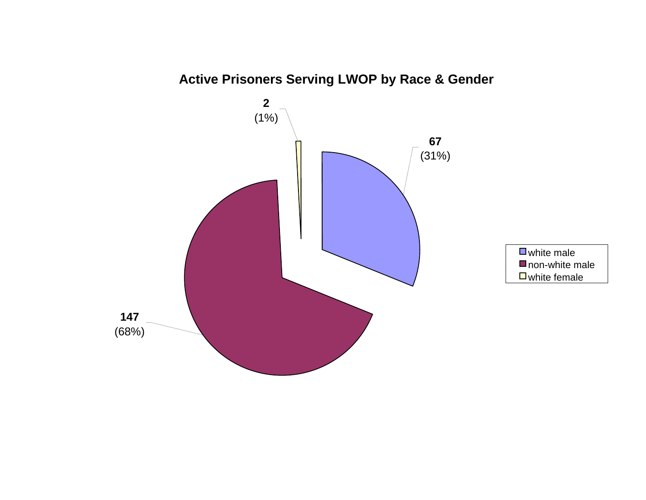

**Active Prisoners Serving LWOP by Race & Gender**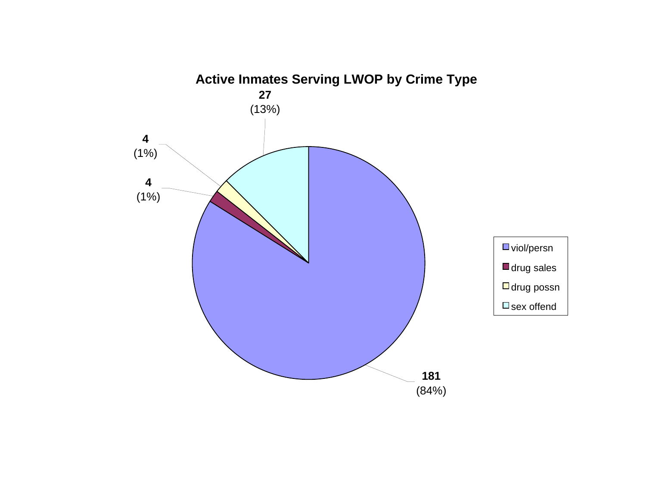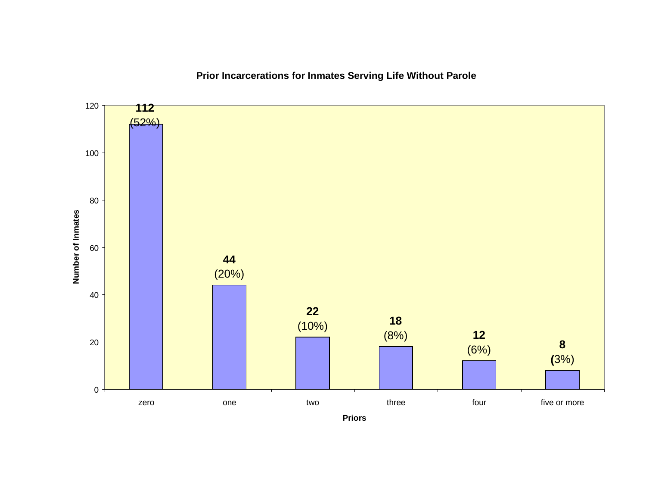**Prior Incarcerations for Inmates Serving Life Without Parole**



**Priors**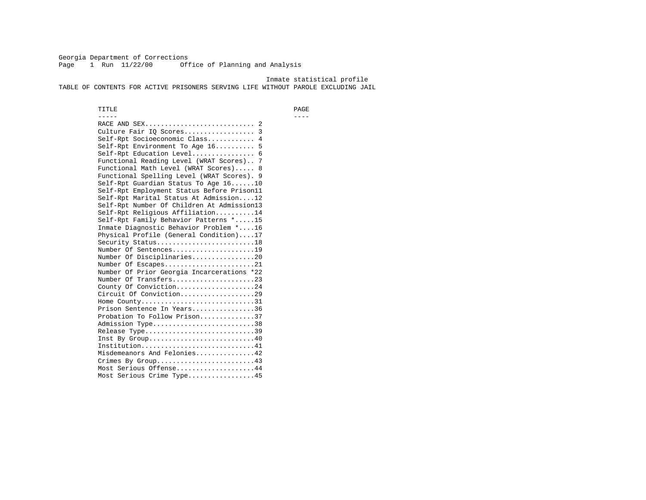Georgia Department of Corrections Page 1 Run 11/22/00 Office of Planning and Analysis

 Inmate statistical profile TABLE OF CONTENTS FOR ACTIVE PRISONERS SERVING LIFE WITHOUT PAROLE EXCLUDING JAIL

 TITLE PAGE ----- ---- RACE AND SEX............................ 2 Culture Fair IQ Scores.................. 3 Self-Rpt Socioeconomic Class............ 4 Self-Rpt Environment To Age 16.......... 5 Self-Rpt Education Level................ 6 Functional Reading Level (WRAT Scores).. 7 Functional Math Level (WRAT Scores)..... 8 Functional Spelling Level (WRAT Scores). 9 Self-Rpt Guardian Status To Age 16......10 Self-Rpt Employment Status Before Prison11 Self-Rpt Marital Status At Admission....12 Self-Rpt Number Of Children At Admission13 Self-Rpt Religious Affiliation..........14 Self-Rpt Family Behavior Patterns \*.....15 Inmate Diagnostic Behavior Problem \*....16 Physical Profile (General Condition)....17 Security Status...........................18 Number Of Sentences.....................19 Number Of Disciplinaries................20 Number Of Escapes........................21 Number Of Prior Georgia Incarcerations \*22 Number Of Transfers.....................23 County Of Conviction....................24 Circuit Of Conviction...................29 Home County.............................31 Prison Sentence In Years................36 Probation To Follow Prison..............37Admission Type.............................38 Release Type...............................39 Inst By Group.............................40 Institution.............................41 Misdemeanors And Felonies...............42 Crimes By Group.........................43 Most Serious Offense....................44 Most Serious Crime Type.................45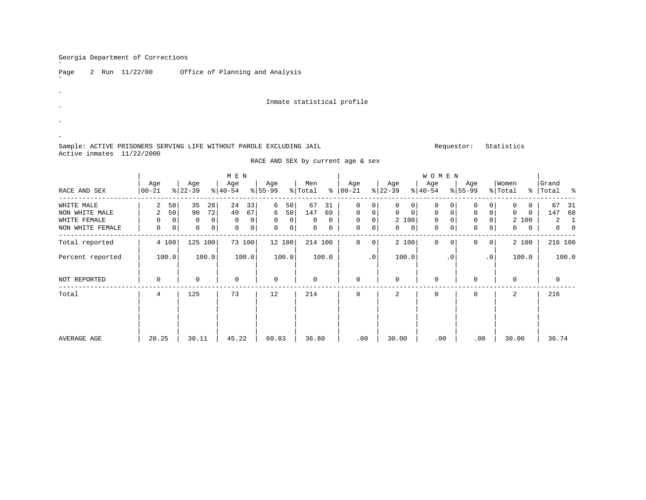˝

 $\overline{a}$ 

 $\overline{a}$  $\overline{a}$ ˝

| Page |  | 2 Run 11/22/00 | Office o |
|------|--|----------------|----------|
|      |  |                |          |

of Planning and Analysis

Inmate statistical profile

RACE AND SEX by current age & sex

# Sample: ACTIVE PRISONERS SERVING LIFE WITHOUT PAROLE EXCLUDING JAIL **Requestor:** Statistics Active inmates 11/22/2000

|                  |                 |       |                  |              | M E N            |        |                  |                |                |              |                      |                |                  |             | WOMEN            |     |                    |                |                  |          |                 |       |
|------------------|-----------------|-------|------------------|--------------|------------------|--------|------------------|----------------|----------------|--------------|----------------------|----------------|------------------|-------------|------------------|-----|--------------------|----------------|------------------|----------|-----------------|-------|
| RACE AND SEX     | Age<br>$ 00-21$ |       | Age<br>$ 22-39 $ |              | Age<br>$ 40-54 $ |        | Age<br>$8 55-99$ |                | Men<br>% Total |              | Age<br>$8   00 - 21$ |                | Age<br>$ 22-39 $ |             | Age<br>$8 40-54$ |     | Age<br>$8155 - 99$ |                | Women<br>% Total | ႜ        | Grand<br> Total | ႜ     |
| WHITE MALE       | $\overline{a}$  | 50    | 35               | 28           | 24               | 33     | 6                | 50             | 67             | 31           | $\Omega$             | 0              | 0                | 0           | $\Omega$         |     | $\Omega$           |                |                  | 0        | 67              | 31    |
| NON WHITE MALE   | 2               | 50    | 90               | 72           | 49               | 67     | 6                | 50             | 147            | 69           | $\Omega$             | 0              | $\Omega$         | $\mathbf 0$ | 0                |     | $\mathbf 0$        | 0              | 0                | $\Omega$ | 147             | 68    |
| WHITE FEMALE     | 0               |       | 0                | $\mathbf{0}$ | $\mathbf 0$      | 0      | $\mathbf 0$      | $\overline{0}$ | 0              | $\mathbf{0}$ | $\mathbf 0$          | 0              | 2 100            |             | $\mathbf 0$      |     | $\mathbf 0$        | 0              |                  | 2 100    | 2               |       |
| NON WHITE FEMALE | 0               | 0     | 0                | 0            | 0                | 0      | 0                | 0 <sup>1</sup> | 0              | 0            | 0                    | 0 <sup>1</sup> | 0                | 0           | 0                |     | $\mathbf{0}$       | 0              | 0                | 0        | $\mathbf{0}$    |       |
| Total reported   |                 | 4 100 |                  | 125 100      |                  | 73 100 |                  | 12 100         |                | 214 100      | $\Omega$             | 0              | 2 100            |             | $\Omega$         |     | $\Omega$           | $\overline{0}$ |                  | 2 100    | 216 100         |       |
| Percent reported |                 | 100.0 |                  | 100.0        |                  | 100.0  |                  | 100.0          |                | 100.0        |                      | $\cdot$ 0      | 100.0            |             |                  | . 0 |                    | $\cdot$ 0      |                  | 100.0    |                 | 100.0 |
| NOT REPORTED     | 0               |       | 0                |              | 0                |        | $\mathbf 0$      |                | 0              |              | $\mathbf 0$          |                | $\mathbf{0}$     |             | 0                |     | $\Omega$           |                | 0                |          | 0               |       |
| Total            | 4               |       | 125              |              | 73               |        | 12               |                | 214            |              | 0                    |                | 2                |             | 0                |     | $\Omega$           |                | 2                |          | 216             |       |
|                  |                 |       |                  |              |                  |        |                  |                |                |              |                      |                |                  |             |                  |     |                    |                |                  |          |                 |       |
|                  |                 |       |                  |              |                  |        |                  |                |                |              |                      |                |                  |             |                  |     |                    |                |                  |          |                 |       |
| AVERAGE AGE      | 20.25           |       | 30.11            |              | 45.22            |        | 60.83            |                | 36.80          |              | .00                  |                | 30.00            |             | .00              |     | .00                |                | 30.00            |          | 36.74           |       |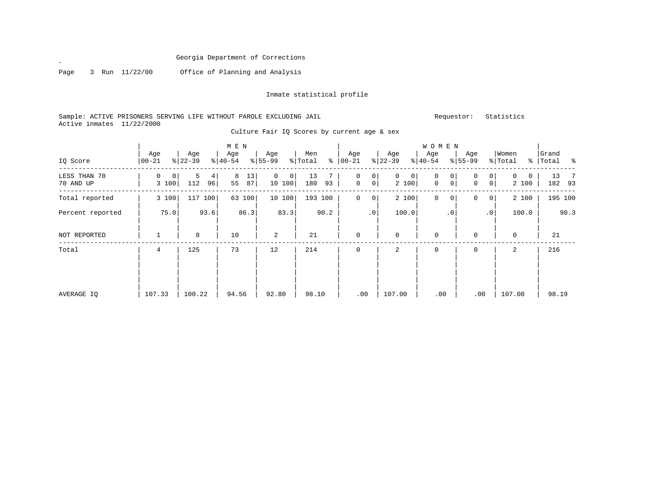Page 3 Run 11/22/00 Office of Planning and Analysis

 $\mathscr{L}$ 

# Inmate statistical profile

# Sample: ACTIVE PRISONERS SERVING LIFE WITHOUT PAROLE EXCLUDING JAIL Requestor: Statistics Active inmates 11/22/2000

| IQ Score                  | Age<br>$00 - 21$             | Age<br>$ 22-39 $    | M E N<br>Age<br>$8 40-54$ | Age<br>$ 55-99 $              | Men<br>ႜ<br>% Total | Age<br>$ 00 - 21 $                    | Age<br>$ 22-39 $             | <b>WOMEN</b><br>Age<br>$ 40-54 $                    | Age<br>$8 55-99$                              | Women<br>% Total | Grand<br>%   Total % |
|---------------------------|------------------------------|---------------------|---------------------------|-------------------------------|---------------------|---------------------------------------|------------------------------|-----------------------------------------------------|-----------------------------------------------|------------------|----------------------|
| LESS THAN 70<br>70 AND UP | 0<br>$\overline{0}$<br>3 100 | 5<br>4<br>112<br>96 | 13<br>8<br>55<br>87       | 0<br>$\overline{0}$<br>10 100 | 13<br>180<br>93     | 0<br>0<br>$\mathbf 0$<br>$\mathsf{O}$ | $\mathsf{O}$<br> 0 <br>2 100 | $\mathbf 0$<br>0 <sup>1</sup><br>$\mathsf{O}$<br> 0 | $\circ$<br>0<br>$\mathbf 0$<br>0 <sup>1</sup> | 0<br>2 100       | 13<br>182 93         |
| Total reported            | 3 100                        | 117<br>100          | 63 100                    | 10 100                        | 193 100             | $\mathbf 0$<br>0                      | 2 100                        | $\mathbf 0$<br> 0                                   | 0<br>0 <sup>1</sup>                           | 2 100            | 195 100              |
| Percent reported          | 75.0                         | 93.6                | 86.3                      | 83.3                          | 90.2                | $\cdot$ 0                             | 100.0                        | $\cdot$ 0                                           | $\cdot$ 0                                     | 100.0            | 90.3                 |
| NOT REPORTED              |                              | 8                   | 10                        | 2                             | 21                  | $\mathbf 0$                           | $\Omega$                     | $\mathbf 0$                                         | $\Omega$                                      | $\mathbf 0$      | 21                   |
| Total                     | 4                            | 125                 | 73                        | 12                            | 214                 | $\mathbf 0$                           | 2                            | 0                                                   | 0                                             | 2                | 216                  |
| AVERAGE IO                | 107.33                       | 100.22              | 94.56                     | 92.80                         | 98.10               | .00                                   | 107.00                       | .00                                                 | .00                                           | 107.00           | 98.19                |

Culture Fair IQ Scores by current age & sex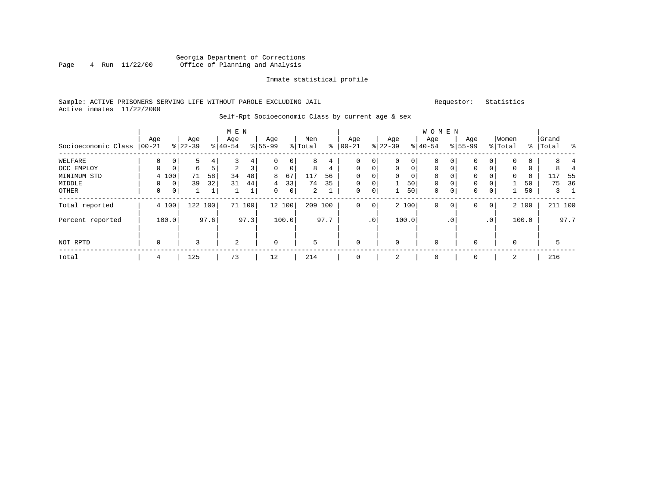### Georgia Department of Corrections<br>4 Run 11/22/00 Office of Planning and Analysis Page 4 Run 11/22/00 Office of Planning and Analysis

### Inmate statistical profile

### Sample: ACTIVE PRISONERS SERVING LIFE WITHOUT PAROLE EXCLUDING JAIL Requestor: Statistics Active inmates 11/22/2000

#### Self-Rpt Socioeconomic Class by current age & sex

|                     |             |       |           |              | M E N     |             |             |        |                |                 |             |             |              |             | W O M E N    |             |             |              |             |          |           |             |
|---------------------|-------------|-------|-----------|--------------|-----------|-------------|-------------|--------|----------------|-----------------|-------------|-------------|--------------|-------------|--------------|-------------|-------------|--------------|-------------|----------|-----------|-------------|
|                     | Age         |       | Age       |              | Age       |             | Age         |        | Men            |                 | Age         |             | Age          |             | Age          |             | Age         |              | Women       |          | Grand     |             |
| Socioeconomic Class | $ 00-21$    |       | $8 22-39$ |              | $8 40-54$ |             | $8 55-99$   |        | % Total        | နွ              | $00 - 21$   | န္          | $22 - 39$    |             | $ 40-54$     |             | $8155 - 99$ |              | % Total     |          | %   Total | ႜ           |
| WELFARE             | $\Omega$    | 0     | 5         | 4            | 3         | 4           | $\Omega$    | 0      | 8              | 4               | 0           | 0           | $\mathbf{0}$ | 0           | 0            | $\Omega$    | 0           |              | $\mathbf 0$ | 0        |           |             |
| OCC EMPLOY          | $\Omega$    | 0     | 6         | 5            | 2         | 3           | $\Omega$    | 0      | 8              | $4\overline{ }$ | 0           | $\mathbf 0$ | $\mathbf{0}$ | $\mathbf 0$ | $\mathbf{0}$ | $\Omega$    | 0           |              | $\mathbf 0$ | 0        |           |             |
| MINIMUM STD         |             | 4 100 | 71        | 58           | 34        | 48          | 8           | 67     | 117            | 56              | $\Omega$    | 0           | $\Omega$     | $\mathbf 0$ | $\Omega$     |             | $\Omega$    |              | $\mathbf 0$ | $\Omega$ | 117       | 55          |
| MIDDLE              | $\Omega$    | 0     | 39        | 32           | 31        | 44          | 4           | 33     | 74             | 35              | $\mathbf 0$ | $\mathbf 0$ |              | 50          | $\mathbf{0}$ |             | 0           |              |             | 50       | 75        | 36          |
| OTHER               | $\mathbf 0$ | 0     |           | $\mathbf{1}$ |           | $\mathbf 1$ | $\Omega$    | 0      | $\overline{2}$ |                 | $\mathbf 0$ | $\mathbf 0$ |              | 50          | $\mathbf{0}$ | $\mathbf 0$ | 0           | 0            |             | 50       |           | $3 \quad 1$ |
| Total reported      |             | 4 100 | 122       | 100          | 71        | 100         |             | 12 100 | 209            | 100             | 0           | 0           |              | 2 100       | 0            | 0           | 0           | $\mathbf{0}$ |             | 2 100    |           | 211 100     |
| Percent reported    |             | 100.0 |           | 97.6         |           | 97.3        |             | 100.0  |                | 97.7            |             | .0          |              | 100.0       |              | . 0         |             | $\cdot$ 0    |             | 100.0    |           | 97.7        |
| NOT RPTD            | $\mathbf 0$ |       | 3         |              | 2         |             | $\mathbf 0$ |        | 5              |                 | $\mathbf 0$ |             | $\mathbf 0$  |             | $\mathbf 0$  |             | 0           |              | 0           |          | 5         |             |
| Total               | 4           |       | 125       |              | 73        |             | 12          |        | 214            |                 | $\mathbf 0$ |             | 2            |             | 0            |             | 0           |              | 2           |          | 216       |             |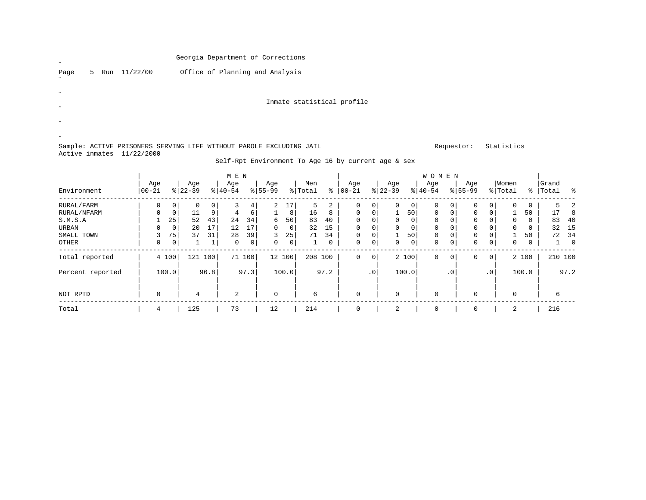| $\boldsymbol{\mathscr{U}}$       |  |                | Georgia Department of Corrections |                            |  |
|----------------------------------|--|----------------|-----------------------------------|----------------------------|--|
| Page<br>$\overline{\phantom{a}}$ |  | 5 Run 11/22/00 | Office of Planning and Analysis   |                            |  |
| $\boldsymbol{\mathscr{U}}$       |  |                |                                   |                            |  |
| $\boldsymbol{\mathscr{U}}$       |  |                |                                   | Inmate statistical profile |  |
| $\overline{\phantom{a}}$         |  |                |                                   |                            |  |
| $\boldsymbol{\mathscr{U}}$       |  |                |                                   |                            |  |

Sample: ACTIVE PRISONERS SERVING LIFE WITHOUT PAROLE EXCLUDING JAIL **Requestor:** Statistics Active inmates 11/22/2000

Self-Rpt Environment To Age 16 by current age & sex

|                  |                 |                |                  |                | M E N            |        |                  |        |                |      |                 |                 |                  |                | WOMEN            |                |                    |           |                  |       |                    |         |
|------------------|-----------------|----------------|------------------|----------------|------------------|--------|------------------|--------|----------------|------|-----------------|-----------------|------------------|----------------|------------------|----------------|--------------------|-----------|------------------|-------|--------------------|---------|
| Environment      | Age<br>$ 00-21$ |                | Age<br>$8 22-39$ |                | Age<br>$8 40-54$ |        | Age<br>$8 55-99$ |        | Men<br>% Total | ွေ   | Age<br>$ 00-21$ |                 | Age<br>$ 22-39 $ |                | Age<br>$ 40-54 $ |                | Age<br>$8155 - 99$ |           | Women<br>% Total |       | Grand<br>%   Total | ႜ       |
| RURAL/FARM       | 0               | 0 <sup>1</sup> | 0                | $\overline{0}$ |                  | 4      | $\overline{2}$   | 17     | 5              | 2    | 0               | $\circ$         | 0                | 0 <sup>1</sup> | 0                | 0 <sup>1</sup> | 0                  | 0         | 0                | 0     |                    |         |
| RURAL/NFARM      | $\Omega$        | 0              | 11               | ا و            | 4                | 6      |                  | 8      | 16             | 8    | $\Omega$        | 0 <sup>1</sup>  |                  | 50             | $\mathbf 0$      | $\overline{0}$ | 0                  | 0         |                  | 50    | 17                 | 8       |
| S.M.S.A          |                 | 25             | 52               | 43             | 24               | 34     | 6                | 50     | 83             | 40   | $\Omega$        | $\Omega$        | $\Omega$         | 0              | $\Omega$         | $\Omega$       | 0                  |           | $\mathbf 0$      | 0     | 83                 | 40      |
| URBAN            | 0               | $\mathbf{0}$   | 20               | 17             | 12               | 17     | 0                | 0      | 32             | 15   | $\Omega$        | $\overline{0}$  | 0                | $\overline{0}$ | $\mathbf 0$      | $\overline{0}$ | 0                  |           | 0                | 0     | 32                 | - 15    |
| SMALL TOWN       | 3               | 75             | 37               | 31             | 28               | 39     | 3                | 25     | 71             | 34   | $\mathbf 0$     | 0 <sup>1</sup>  |                  | 50             | $\mathbf 0$      | 0              | 0                  |           |                  | 50    | 72                 | 34      |
| OTHER            | 0               | $\overline{0}$ |                  |                | $\Omega$         | 0      | 0                | 0      |                | 0    | $\Omega$        | $\overline{0}$  | 0                | 0 <sup>1</sup> | $\Omega$         | 0 <sup>1</sup> | 0                  | 0         | $\mathbf 0$      | 0     |                    | 0       |
| Total reported   |                 | 4 100          | 121              | 100            |                  | 71 100 |                  | 12 100 | 208 100        |      | $\Omega$        | 0               |                  | 2 100          | $\Omega$         | $\circ$        | 0                  | 0         |                  | 2 100 |                    | 210 100 |
| Percent reported |                 | 100.0          |                  | 96.8           |                  | 97.3   |                  | 100.0  |                | 97.2 |                 | .0 <sup>1</sup> |                  | 100.0          |                  | .0'            |                    | $\cdot$ 0 |                  | 100.0 |                    | 97.2    |
| NOT RPTD         | 0               |                | 4                |                | 2                |        | 0                |        | 6              |      | $\Omega$        |                 | $\mathbf 0$      |                | $\mathbf 0$      |                | $\Omega$           |           | 0                |       | 6                  |         |
| Total            | 4               |                | 125              |                | 73               |        | 12               |        | 214            |      |                 |                 | 2                |                | 0                |                | 0                  |           | 2                |       | 216                |         |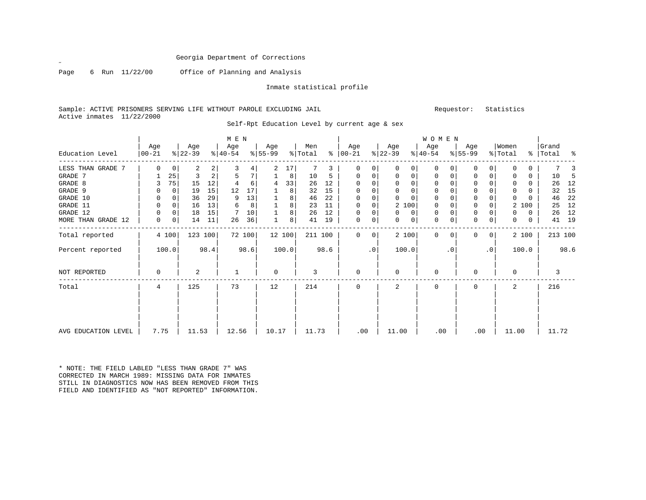Page 6 Run 11/22/00 Office of Planning and Analysis

Inmate statistical profile

Sample: ACTIVE PRISONERS SERVING LIFE WITHOUT PAROLE EXCLUDING JAIL Requestor: Statistics Active inmates 11/22/2000

| Education Level     | Age<br>$ 00 - 21 $ |             | Age<br>$ 22-39 $ |            | M E N<br>Age<br>$8 40-54$ |        | Age<br>$8 55-99$ |       | Men<br>% Total |      | Age<br>$8   00 - 21$ |             | Age<br>$ 22-39 $ |             | <b>WOMEN</b><br>Age<br>$ 40-54 $ |           | Age<br>$8 55-99$ |                | Women<br>% Total |       | Grand<br>%   Total |         | ႜ  |
|---------------------|--------------------|-------------|------------------|------------|---------------------------|--------|------------------|-------|----------------|------|----------------------|-------------|------------------|-------------|----------------------------------|-----------|------------------|----------------|------------------|-------|--------------------|---------|----|
| LESS THAN GRADE 7   | 0                  | $\mathbf 0$ | 2                | 2          | 3                         | 4      | 2                | 17    |                | 3    | 0                    | 0           | $\Omega$         | $\Omega$    | 0                                | 0         | $\Omega$         | $\Omega$       | $\Omega$         | U     |                    |         |    |
| GRADE 7             |                    | 25          | 3                | $\sqrt{2}$ | 5                         | 7      |                  | 8     | 10             | 5    | 0                    | 0           | 0                | 0           | 0                                | 0         | 0                | 0              | 0                | 0     |                    | 10      | -5 |
| GRADE 8             | 3                  | 75          | 15               | 12         |                           | 6      | 4                | 33    | 26             | 12   | $\Omega$             | 0           |                  | $\mathbf 0$ | 0                                |           | $\Omega$         |                | 0                | 0     |                    | 26      | 12 |
| GRADE 9             | 0                  | $\Omega$    | 19               | 15         | 12                        | 17     |                  | 8     | 32             | 15   | $\Omega$             | 0           | $\Omega$         | $\mathbf 0$ | 0                                |           | $\mathbf 0$      |                | $\Omega$         |       |                    | 32      | 15 |
| GRADE 10            | 0                  | $\Omega$    | 36               | 29         | 9                         | 13     |                  | 8     | 46             | 22   | $\mathbf 0$          | 0           |                  | $\Omega$    | $\mathbf 0$                      |           | $\mathbf 0$      | $\Omega$       | $\Omega$         |       |                    | 46      | 22 |
| GRADE 11            | 0                  | $\mathbf 0$ | 16               | 13         | 6                         | 8      |                  | 8     | 23             | 11   | $\mathbf 0$          | $\mathbf 0$ | 2 100            |             | 0                                |           | $\mathbf{0}$     | 0              |                  | 2 100 |                    | 25      | 12 |
| GRADE 12            | 0                  | 0           | 18               | 15         |                           | 10     |                  | 8     | 26             | 12   | $\mathbf 0$          | 0           | $\Omega$         | 0           | 0                                |           | $\mathbf 0$      |                |                  | 0     |                    | 26      | 12 |
| MORE THAN GRADE 12  | 0                  | 0           | 14               | 11         | 26                        | 36     |                  | 8     | 41             | 19   | $\mathbf 0$          | 0           | $\Omega$         | 0           | $\mathbf 0$                      | 0         | $\mathbf 0$      | 0              | 0                | 0     |                    | 41      | 19 |
| Total reported      |                    | 4 100       | 123 100          |            |                           | 72 100 | 12 100           |       | 211 100        |      | $\Omega$             | 0           | 2 100            |             | $\Omega$                         | $\Omega$  | $\Omega$         | 0 <sup>1</sup> |                  | 2 100 |                    | 213 100 |    |
| Percent reported    |                    | 100.0       |                  | 98.4       |                           | 98.6   |                  | 100.0 |                | 98.6 |                      | $\cdot$ 0   | 100.0            |             |                                  | $\cdot$ 0 |                  | $\cdot$ 0      |                  | 100.0 |                    | 98.6    |    |
| <b>NOT REPORTED</b> | 0                  |             | 2                |            |                           |        | 0                |       | 3              |      | $\mathbf 0$          |             | $\Omega$         |             | $\Omega$                         |           |                  |                | 0                |       |                    | 3       |    |
| Total               | $\overline{4}$     |             | 125              |            | 73                        |        | 12               |       | 214            |      | $\Omega$             |             | $\overline{a}$   |             | $\Omega$                         |           | $\Omega$         |                | $\overline{a}$   |       |                    | 216     |    |
|                     |                    |             |                  |            |                           |        |                  |       |                |      |                      |             |                  |             |                                  |           |                  |                |                  |       |                    |         |    |
| AVG EDUCATION LEVEL | 7.75               |             | 11.53            |            | 12.56                     |        | 10.17            |       | 11.73          |      | .00                  |             | 11.00            |             | .00                              |           | .00              |                | 11.00            |       |                    | 11.72   |    |

Self-Rpt Education Level by current age & sex

\* NOTE: THE FIELD LABLED "LESS THAN GRADE 7" WAS CORRECTED IN MARCH 1989: MISSING DATA FOR INMATES STILL IN DIAGNOSTICS NOW HAS BEEN REMOVED FROM THISFIELD AND IDENTIFIED AS "NOT REPORTED" INFORMATION.

 $\mathbf{z}$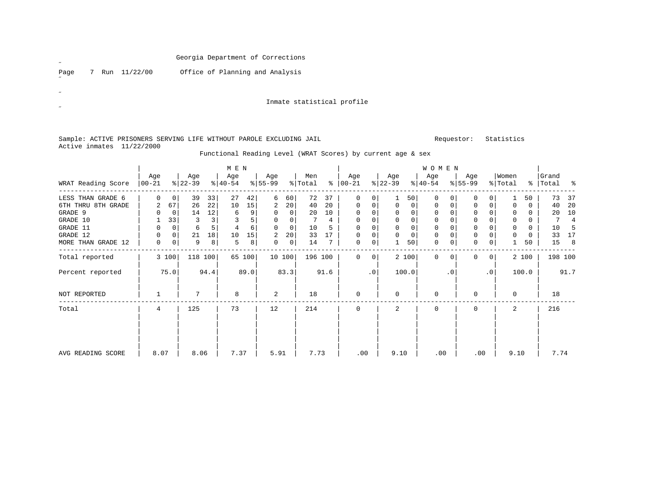| Georgia Department of Corrections |
|-----------------------------------|
|-----------------------------------|

Page 7 Run 11/22/00 Office of Planning and Analysis

Inmate statistical profile

Sample: ACTIVE PRISONERS SERVING LIFE WITHOUT PAROLE EXCLUDING JAIL Requestor: Statistics Active inmates 11/22/2000

Functional Reading Level (WRAT Scores) by current age & sex

|                    |                  |             |                  |         | M E N            |        |                  |                 |                |      |                      |             |                  |             | <b>WOMEN</b>     |           |                  |                |                  |       |                    |                |
|--------------------|------------------|-------------|------------------|---------|------------------|--------|------------------|-----------------|----------------|------|----------------------|-------------|------------------|-------------|------------------|-----------|------------------|----------------|------------------|-------|--------------------|----------------|
| WRAT Reading Score | Age<br>$ 00-21 $ |             | Age<br>$ 22-39 $ |         | Age<br>$ 40-54 $ |        | Age<br>$ 55-99 $ |                 | Men<br>% Total |      | Age<br>$8   00 - 21$ |             | Age<br>$ 22-39 $ |             | Age<br>$ 40-54 $ |           | Age<br>$8 55-99$ |                | Women<br>% Total |       | Grand<br>% Total % |                |
| LESS THAN GRADE 6  | U                | 0           | 39               | 33      | 27               | 42     | 6                | 60              | 72             | 37   | 0                    | 0           |                  | 50          | 0                |           |                  |                |                  | 50    | 73                 | 37             |
| 6TH THRU 8TH GRADE | 2                | 67          | 26               | 22      | 10               | 15     | 2                | 20 <sup>1</sup> | 40             | 20   | $\mathbf 0$          | 0           | 0                | $\mathbf 0$ | 0                | 0         | $\Omega$         | $\Omega$       |                  | 0     | 40                 | 20             |
| GRADE 9            |                  | $\Omega$    | 14               | 12      | 6                | 9      | 0                | $\Omega$        | 20             | 10   | $\Omega$             |             |                  | $\Omega$    | $\Omega$         |           |                  |                |                  | 0     | 20                 | 10             |
| GRADE 10           |                  | 33          | 3                |         |                  | 5      |                  |                 |                | 4    | $\Omega$             |             |                  | $\Omega$    | 0                |           | 0                |                |                  | 0     |                    | $\overline{4}$ |
| GRADE 11           | 0                | 0           | 6                |         |                  | 6      | $\Omega$         | $\Omega$        | 10             | 5    | $\Omega$             | 0           | $\Omega$         | $\Omega$    | 0                |           | $\mathbf 0$      |                | <sup>0</sup>     | 0     | 10                 | -5             |
| GRADE 12           |                  | 0           | 21               | 18      | 10               | 15     | 2                | 20              | 33             | 17   | 0                    | 0           |                  | $\mathbf 0$ | 0                |           | $\mathbf 0$      |                |                  | 0     | 33                 | 17             |
| MORE THAN GRADE 12 | 0                | $\mathbf 0$ | 9                | 8       | 5                | 8      | 0                | $\overline{0}$  | 14             | 7    | 0                    | 0           |                  | 50          | 0                | 0         | $\mathbf 0$      | 0              |                  | 50    | 15                 | 8              |
| Total reported     |                  | 3 100       |                  | 118 100 |                  | 65 100 |                  | 10 100          | 196 100        |      | $\Omega$             | $\mathbf 0$ | 2 100            |             | $\Omega$         | $\Omega$  | 0                | $\overline{0}$ |                  | 2 100 | 198 100            |                |
| Percent reported   |                  | 75.0        |                  | 94.4    |                  | 89.0   |                  | 83.3            |                | 91.6 |                      | $\cdot$ 0   | 100.0            |             |                  | $\cdot$ 0 |                  | $\cdot$ 0      |                  | 100.0 |                    | 91.7           |
| NOT REPORTED       |                  |             | 7                |         | 8                |        | 2                |                 | 18             |      | $\mathbf 0$          |             | $\Omega$         |             | $\Omega$         |           |                  |                | $\Omega$         |       | 18                 |                |
| Total              | 4                |             | 125              |         | 73               |        | 12               |                 | 214            |      | $\Omega$             |             | 2                |             | $\Omega$         |           | $\Omega$         |                | $\overline{a}$   |       | 216                |                |
|                    |                  |             |                  |         |                  |        |                  |                 |                |      |                      |             |                  |             |                  |           |                  |                |                  |       |                    |                |
|                    |                  |             |                  |         |                  |        |                  |                 |                |      |                      |             |                  |             |                  |           |                  |                |                  |       |                    |                |
| AVG READING SCORE  | 8.07             |             | 8.06             |         | 7.37             |        | 5.91             |                 | 7.73           |      | .00                  |             | 9.10             |             | .00              |           | .00              |                | 9.10             |       | 7.74               |                |

 $\overline{a}$ 

 $\mathscr{B}^{\pm}$ 

 $\mathscr{L}$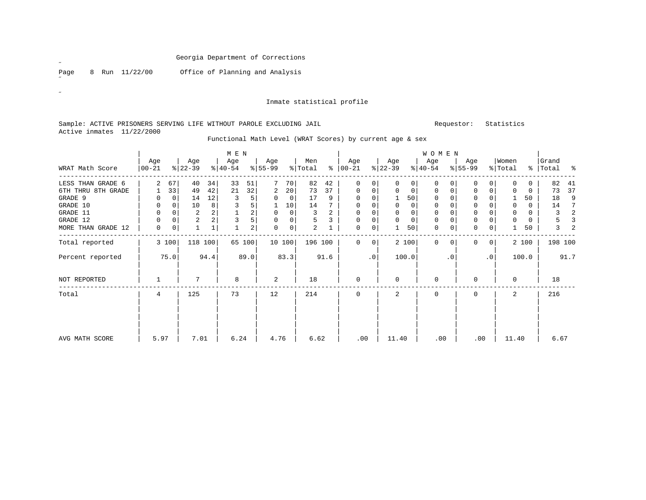Page 8 Run 11/22/00 Office of Planning and Analysis

#### Inmate statistical profile

### Sample: ACTIVE PRISONERS SERVING LIFE WITHOUT PAROLE EXCLUDING JAIL Requestor: Statistics Active inmates 11/22/2000

|                    |             |          |                |                | M E N     |      |           |             |         |      |               |                |           |              | <b>WOMEN</b> |           |              |                 |                |       |           |         |
|--------------------|-------------|----------|----------------|----------------|-----------|------|-----------|-------------|---------|------|---------------|----------------|-----------|--------------|--------------|-----------|--------------|-----------------|----------------|-------|-----------|---------|
|                    | Age         |          | Age            |                | Age       |      | Age       |             | Men     |      | Age           |                | Age       |              | Age          |           | Age          |                 | Women          |       | Grand     |         |
| WRAT Math Score    | $ 00-21$    |          | $ 22-39 $      |                | $ 40-54 $ |      | $ 55-99 $ |             | % Total |      | $8   00 - 21$ |                | $ 22-39 $ |              | $8 40-54$    |           | $8 55-99$    |                 | % Total        |       | %   Total | ႜ       |
| LESS THAN GRADE 6  |             | 67       | 40             | 34             | 33        | 51   |           | 70          | 82      | 42   | $\Omega$      | 0              |           | $\Omega$     | $\Omega$     |           | $\Omega$     | $\Omega$        | $\Omega$       | 0     | 82        | 41      |
| 6TH THRU 8TH GRADE |             | 33       | 49             | 42             | 21        | 32   | 2         | 20          | 73      | 37   | $\mathbf 0$   | 0              | $\Omega$  | $\mathbf{0}$ | 0            | 0         | $\mathbf 0$  | 0               | 0              | 0     | 73        | 37      |
| GRADE 9            | $\Omega$    | 0        | 14             | 12             | 3         | 5    | $\Omega$  | 0           | 17      | 9    | $\Omega$      |                |           | 50           | $\Omega$     |           | 0            |                 |                | 50    | 18        | 9       |
| GRADE 10           | 0           | 0        | 10             | 8              | 3         | 5    |           | 10          | 14      |      | $\Omega$      | 0              | $\Omega$  | $\Omega$     | $\Omega$     |           | $\Omega$     | 0               | $\Omega$       | 0     | 14        | 7       |
| GRADE 11           | 0           |          | 2              |                |           | 2    | 0         | $\Omega$    | 3       | 2    | 0             | 0              |           | 0            | 0            |           | 0            |                 | $\Omega$       | 0     | 3         | 2       |
| GRADE 12           | $\mathbf 0$ | $\Omega$ | $\overline{2}$ | $\overline{a}$ | 3         | 5    | 0         | $\mathbf 0$ | 5       | 3    | 0             | 0              | $\Omega$  | $\Omega$     | 0            | $\Omega$  | $\mathbf{0}$ | $\Omega$        | $\Omega$       | 0     | 5         | 3       |
| MORE THAN GRADE 12 | $\mathbf 0$ | 0        | $\mathbf{1}$   |                |           | 2    | 0         | $\mathbf 0$ | 2       |      | 0             | $\overline{0}$ |           | 50           | 0            | 0         | $\mathbf 0$  | 0               |                | 50    | 3         |         |
| Total reported     |             | 3 100    | 118 100        |                | 65        | 100  |           | 10 100      | 196 100 |      | $\Omega$      | 0              |           | 2 100        | $\Omega$     |           | $\Omega$     | $\overline{0}$  |                | 2 100 |           | 198 100 |
| Percent reported   |             | 75.0     |                | 94.4           |           | 89.0 |           | 83.3        |         | 91.6 |               | $\cdot$ 0      |           | 100.0        |              | $\cdot$ 0 |              | .0 <sup>1</sup> |                | 100.0 |           | 91.7    |
| NOT REPORTED       |             |          |                |                | 8         |      | 2         |             | 18      |      | $\Omega$      |                | $\Omega$  |              | $\Omega$     |           | $\Omega$     |                 | $\Omega$       |       | 18        |         |
| Total              | 4           |          | 125            |                | 73        |      | 12        |             | 214     |      | $\Omega$      |                | 2         |              | $\Omega$     |           | $\Omega$     |                 | $\mathfrak{D}$ |       | 216       |         |
|                    |             |          |                |                |           |      |           |             |         |      |               |                |           |              |              |           |              |                 |                |       |           |         |
| AVG MATH SCORE     | 5.97        |          | 7.01           |                | 6.24      |      | 4.76      |             | 6.62    |      | .00           |                | 11.40     |              | .00          |           | .00          |                 | 11.40          |       | 6.67      |         |

Functional Math Level (WRAT Scores) by current age & sex

˝

 $\bar{\mathcal{A}}$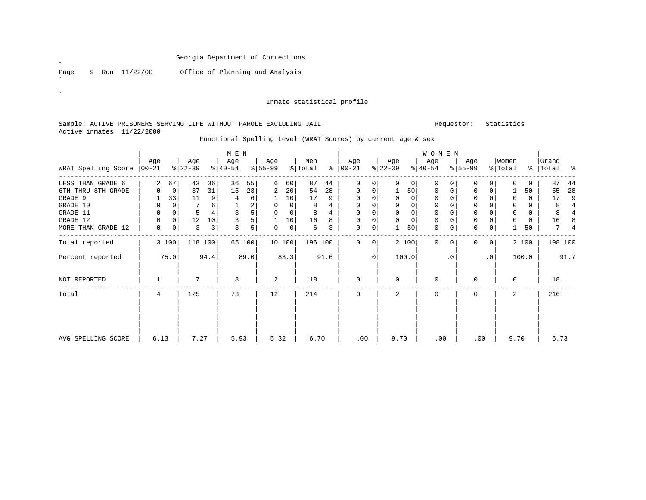Page 9 Run 11/22/00 Office of Planning and Analysis

˝

 $\bar{\mathcal{A}}$ 

#### Inmate statistical profile

### Sample: ACTIVE PRISONERS SERVING LIFE WITHOUT PAROLE EXCLUDING JAIL Requestor: Statistics Active inmates 11/22/2000

|                             |             |          |                  |      | M E N            |      |                  |          |                |      |                      |           |                  |          | <b>WOMEN</b>     |           |                 |                 |                  |               |                |                |
|-----------------------------|-------------|----------|------------------|------|------------------|------|------------------|----------|----------------|------|----------------------|-----------|------------------|----------|------------------|-----------|-----------------|-----------------|------------------|---------------|----------------|----------------|
| WRAT Spelling Score   00-21 | Age         |          | Age<br>$ 22-39 $ |      | Age<br>$ 40-54 $ |      | Age<br>$8 55-99$ |          | Men<br>% Total |      | Age<br>$8   00 - 21$ |           | Age<br>$ 22-39 $ |          | Age<br>$8 40-54$ |           | Age<br>$ 55-99$ |                 | Women<br>% Total | $\frac{8}{6}$ | Grand<br>Total | ್ಠಿ            |
|                             |             |          |                  |      |                  |      |                  |          |                |      |                      |           |                  |          |                  |           |                 |                 |                  |               |                |                |
| LESS THAN GRADE 6           |             | 67       | 43               | 36   | 36               | 55   | 6                | 60       | 87             | 44   | $\Omega$             | 0         |                  | $\Omega$ | $\Omega$         |           |                 |                 |                  | $\Omega$      | 87             | 44             |
| 6TH THRU 8TH GRADE          |             | 0        | 37               | 31   | 15               | 23   | 2                | 20       | 54             | 28   | $\mathbf 0$          | 0         |                  | 50       | 0                |           | $\mathbf 0$     | 0               |                  | 50            | 55             | 28             |
| GRADE 9                     |             | 33       | 11               | 9    | 4                | 6    |                  | 10       | 17             | 9    | 0                    | 0         |                  | 0        | 0                |           | 0               |                 | 0                | 0             | 17             | 9              |
| GRADE 10                    | 0           |          | 7                | 6    |                  | 2    | $\Omega$         | $\Omega$ | 8              |      | $\Omega$             |           |                  | $\Omega$ |                  |           | $\Omega$        |                 | 0                | 0             | 8              | $\overline{4}$ |
| GRADE 11                    | 0           | 0        | 5                |      | 3                | 5    | $\Omega$         | $\Omega$ | 8              |      | $\Omega$             | 0         | $\Omega$         | $\Omega$ | $\Omega$         |           | $\Omega$        | $\Omega$        | $\Omega$         | 0             | 8              |                |
| GRADE 12                    | $\Omega$    | $\Omega$ | 12               | 10   | 3                | 5    |                  | 10       | 16             | 8    | $\Omega$             | 0         |                  | $\Omega$ | $\Omega$         |           | $\Omega$        | $\Omega$        |                  | $\Omega$      | 16             | 8              |
| MORE THAN GRADE 12          | $\mathbf 0$ | 0        | 3                | 3    | 3                | 5    | 0                | $\Omega$ | 6              | 3    | 0                    | 0         |                  | 50       | 0                |           | 0               | 0               |                  | 50            | 7              |                |
| Total reported              |             | 3 100    | 118              | 100  | 65               | 100  |                  | 10 100   | 196 100        |      | $\Omega$             | $\Omega$  |                  | 2 100    | $\Omega$         |           | $\Omega$        | 0 <sup>1</sup>  |                  | 2 100         | 198 100        |                |
| Percent reported            |             | 75.0     |                  | 94.4 |                  | 89.0 |                  | 83.3     |                | 91.6 |                      | $\cdot$ 0 |                  | 100.0    |                  | $\cdot$ 0 |                 | .0 <sup>1</sup> |                  | 100.0         |                | 91.7           |
| NOT REPORTED                |             |          |                  |      | 8                |      | 2                |          | 18             |      | $\Omega$             |           | $\Omega$         |          | 0                |           | $\Omega$        |                 | $\Omega$         |               | 18             |                |
| Total                       | 4           |          | 125              |      | 73               |      | 12               |          | 214            |      | $\Omega$             |           | 2                |          | $\Omega$         |           | $\Omega$        |                 | $\overline{a}$   |               | 216            |                |
|                             |             |          |                  |      |                  |      |                  |          |                |      |                      |           |                  |          |                  |           |                 |                 |                  |               |                |                |
| AVG SPELLING SCORE          | 6.13        |          | 7.27             |      | 5.93             |      | 5.32             |          | 6.70           |      | .00                  |           | 9.70             |          | .00              |           | .00             |                 | 9.70             |               | 6.73           |                |

Functional Spelling Level (WRAT Scores) by current age & sex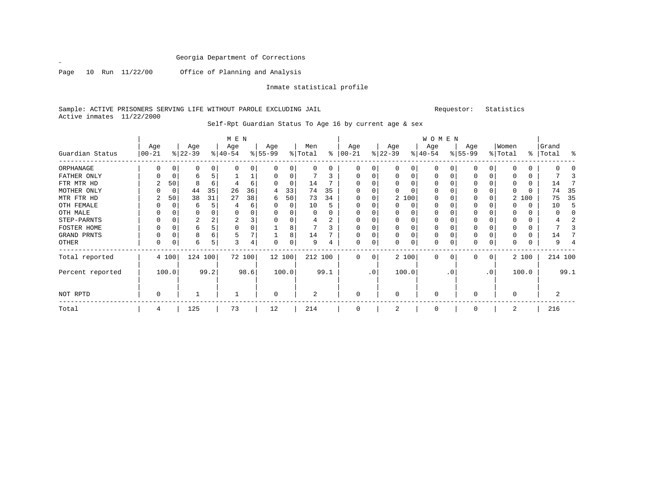˝

Page 10 Run 11/22/00 Office of Planning and Analysis

Inmate statistical profile

Sample: ACTIVE PRISONERS SERVING LIFE WITHOUT PAROLE EXCLUDING JAIL **Subset Actives** Requestor: Statistics Active inmates 11/22/2000

| M E N | W O M E N | Age | Age | Age | Age | Men | Age | Age | Age | Age |Women |Grand Guardian Status |00-21 %|22-39 %|40-54 %|55-99 %|Total % |00-21 %|22-39 %|40-54 %|55-99 %|Total % |Total % ------------------------------------------------------------------------------------------------------------------------------------ORPHANAGE | 0 0| 0 0| 0 0| 0 0| 0 0 | 0 0| 0 0| 0 0| 0 0| 0 0 | 0 0 FATHER ONLY | 0 0| 6 5| 1 1| 0 0| 7 3 | 0 0| 0 0| 0 0| 0 0| 0 0 | 7 3 FTR MTR HD | 2 50| 8 6| 4 6| 0 0| 14 7 | 0 0| 0 0| 0 0| 0 0| 0 0 | 14 7 MOTHER ONLY | 0 0| 44 35| 26 36| 4 33| 74 35 | 0 0| 0 0| 0 0| 0 0| 0 0 | 74 35 MTR FTR HD | 2 50| 38 31| 27 38| 6 50| 73 34 | 0 0| 2 100| 0 0| 0 0| 2 100 | 75 35 OTH FEMALE | 0 0| 6 5| 4 6| 0 0| 10 5 | 0 0| 0 0| 0 0| 0 0| 0 0 | 10 5 OTH MALE | 0 0| 0 0| 0 0| 0 0| 0 0 | 0 0| 0 0| 0 0| 0 0| 0 0 | 0 0 STEP-PARNTS | 0 0| 2 2| 2 3| 0 0| 4 2 | 0 0| 0 0| 0 0| 0 0| 0 0 | 4 2 FOSTER HOME | 0 0| 6 5| 0 0| 1 8| 7 3 | 0 0| 0 0| 0 0| 0 0| 0 0 | 7 3 GRAND PRNTS | 0 0| 8 6| 5 7| 1 8| 14 7 | 0 0| 0 0| 0 0| 0 0| 0 0 | 14 7 OTHER | 0 0| 6 5| 3 4| 0 0| 9 4 | 0 0| 0 0| 0 0| 0 0| 0 0 | 9 4 ------------------------------------------------------------------------------------------------------------------------------------Total reported | 4 100| 124 100| 72 100| 12 100| 212 100 | 0 0| 2 100| 0 0| 0 0| 2 100 | 214 100 | | | | | | | | | | | Percent reported | 100.0| 99.2| 98.6| 100.0| 99.1 | .0| 100.0| .0| .0| 100.0 | 99.1 | | | | | | | | | | | | | | | | | | | | | | NOT RPTD | 0 | 1 | 1 | 0 | 2 | 0 | 0 | 0 | 0 | 0 | 2 ------------------------------------------------------------------------------------------------------------------------------------Total | 4 | 125 | 73 | 12 | 214 | 0 | 2 | 0 | 0 | 2 | 216

Self-Rpt Guardian Status To Age 16 by current age & sex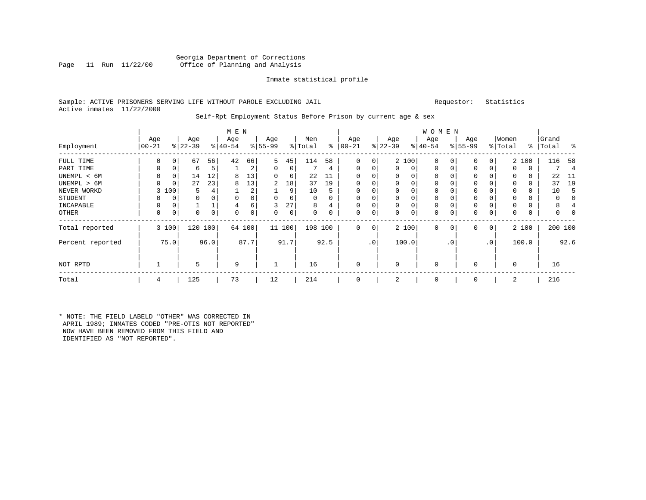### Georgia Department of Corrections<br>Page 11 Run 11/22/00 Office of Planning and Analysis Office of Planning and Analysis

### Inmate statistical profile

#### Sample: ACTIVE PRISONERS SERVING LIFE WITHOUT PAROLE EXCLUDING JAIL Requestor: Statistics Active inmates 11/22/2000

#### Self-Rpt Employment Status Before Prison by current age & sex

|                  |           |          |           |          | M E N     |      |           |        |         |          |            |         |           |       | W O M E N    |          |             |                |             |       |       |                |
|------------------|-----------|----------|-----------|----------|-----------|------|-----------|--------|---------|----------|------------|---------|-----------|-------|--------------|----------|-------------|----------------|-------------|-------|-------|----------------|
|                  | Age       |          | Age       |          | Age       |      | Age       |        | Men     |          | Age        |         | Age       |       | Age          |          | Age         |                | Women       |       | Grand |                |
| Employment       | $00 - 21$ |          | $ 22-39 $ |          | $8 40-54$ |      | $8 55-99$ |        | % Total | ွေ       | $ 00 - 21$ |         | $ 22-39 $ |       | $ 40-54 $    |          | $8 55-99$   |                | % Total     | %     | Total | ം ക            |
| FULL TIME        | 0         | $\Omega$ | 67        | 56       | 42        | 66   | 5.        | 45     | 114     | 58       | 0          | 0       |           | 2 100 | $\mathbf{0}$ | C        | 0           | 0              |             | 2 100 | 116   | 58             |
| PART TIME        | $\Omega$  | 0        | 6         | 5        |           | 2    | 0         | 0      |         | 4        | $\Omega$   | 0       | 0         | 0     | $\mathbf{0}$ | $\Omega$ | 0           | 0              | 0           | 0     |       | $\overline{4}$ |
| UNEMPL < 6M      | 0         | 0        | 14        | 12       | 8         | 13   | 0         | 0      | 22      |          |            |         | 0         | 0     | 0            |          | 0           |                | $\Omega$    | 0     | 22    | -11            |
| UNEMPL > 6M      | U         | $\Omega$ | 27        | 23       | 8         | 13   | 2         | 18     | 37      | 19       |            |         | $\Omega$  | 0     | $\Omega$     |          | 0           |                | $\Omega$    | 0     | 37    | 19             |
| NEVER WORKD      | 3         | 100      | 5         |          |           | 2    |           | 9      | 10      | 5        |            |         | 0         | 0     | 0            |          | $\mathbf 0$ |                | $\Omega$    | 0     | 10    | 5              |
| <b>STUDENT</b>   |           | $\Omega$ | 0         | $\Omega$ |           |      | $\Omega$  | 0      | 0       | $\Omega$ | $\Omega$   |         | 0         | 0     | $\mathbf 0$  |          | $\Omega$    |                | $\Omega$    | 0     | 0     | 0              |
| INCAPABLE        |           | 0        |           |          |           | 6    | 3         | 27     | 8       | 4        |            |         | 0         | 0     | $\mathbf 0$  |          | 0           |                |             | 0     | 8     |                |
| OTHER            | $\Omega$  | 0        | 0         | 0        | O         | 0    | 0         | 0      | 0       | 0        | 0          | 0       | 0         | 0     | 0            | $\Omega$ | 0           | 0              | $\Omega$    | 0     | 0     |                |
| Total reported   |           | 3 100    | 120 100   |          | 64        | 100  |           | 11 100 | 198 100 |          | $\Omega$   | $\circ$ |           | 2 100 | $\mathbf{0}$ | 0        | 0           | $\overline{0}$ |             | 2 100 |       | 200 100        |
| Percent reported |           | 75.0     |           | 96.0     |           | 87.7 |           | 91.7   |         | 92.5     |            | .0'     |           | 100.0 |              | . 0      |             | $\cdot$ 0      |             | 100.0 |       | 92.6           |
| NOT RPTD         |           |          | 5         |          | 9         |      |           |        | 16      |          | $\Omega$   |         | 0         |       | $\mathbf 0$  |          | $\Omega$    |                | $\mathbf 0$ |       | 16    |                |
| Total            | 4         |          | 125       |          | 73        |      | 12        |        | 214     |          |            |         | 2         |       | $\mathbf 0$  |          | $\Omega$    |                | 2           |       | 216   |                |

\* NOTE: THE FIELD LABELD "OTHER" WAS CORRECTED IN APRIL 1989; INMATES CODED "PRE-OTIS NOT REPORTED" NOW HAVE BEEN REMOVED FROM THIS FIELD AND IDENTIFIED AS "NOT REPORTED".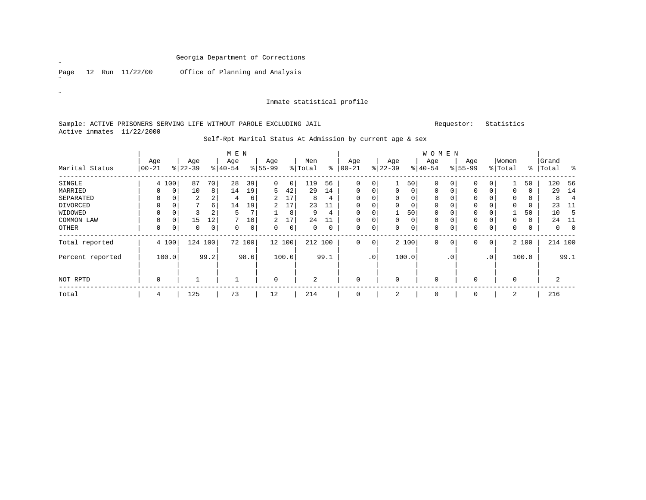Page 12 Run 11/22/00 Office of Planning and Analysis

#### Inmate statistical profile

### Sample: ACTIVE PRISONERS SERVING LIFE WITHOUT PAROLE EXCLUDING JAIL Requestor: Statistics Active inmates 11/22/2000

|                  |                 |             |                  |             | M E N            |        |                  |             |                |      |                 |                |                 |                 | <b>WOMEN</b>    |           |                    |                 |                  |       |                |                |
|------------------|-----------------|-------------|------------------|-------------|------------------|--------|------------------|-------------|----------------|------|-----------------|----------------|-----------------|-----------------|-----------------|-----------|--------------------|-----------------|------------------|-------|----------------|----------------|
| Marital Status   | Age<br>$ 00-21$ |             | Age<br>$ 22-39 $ |             | Age<br>$8 40-54$ |        | Age<br>$8 55-99$ |             | Men<br>% Total | နွ   | Age<br>$ 00-21$ |                | Age<br>$ 22-39$ |                 | Age<br>$ 40-54$ |           | Age<br>$8155 - 99$ |                 | Women<br>% Total | ွေ    | Grand<br>Total | ွေ             |
| SINGLE           |                 | 4 100       | 87               | 70          | 28               | 39     | 0                | $\mathbf 0$ | 119            | 56   | 0               | $\overline{0}$ |                 | 50 <sup>1</sup> | 0               | 0         | 0                  | 0               |                  | 50    | 120            | -56            |
| MARRIED          | $\Omega$        | $\mathbf 0$ | 10               | 8           | 14               | 19     | 5                | 42          | 29             | 14   | 0               | $\overline{0}$ | 0               | $\Omega$        | 0               | 0         | 0                  | 0               | 0                | 0     | 29             | 14             |
| SEPARATED        | O               |             | 2                | 2           | 4                | 6      |                  | 17          | 8              | 4    | $\Omega$        | 0              |                 | 0               | $\Omega$        |           |                    |                 | 0                |       | 8              | $\overline{4}$ |
| DIVORCED         | $\Omega$        |             | $\mathcal{L}$    | 6           | 14               | 19     | 2                | 17          | 23             | 11   | $\Omega$        | 0              |                 |                 | $\Omega$        |           | $\Omega$           |                 | $\Omega$         | 0     | 23             | -11            |
| WIDOWED          | $\mathbf 0$     |             | 3                | 2           | 5                | 7      |                  | 8           | 9              | 4    | 0               | 0              |                 | 50              | 0               |           | 0                  |                 |                  | 50    | 10             | 5              |
| COMMON LAW       | $\mathbf 0$     | 0           | 15               | 12          |                  | 10     | 2                | 17          | 24             | 11   | 0               | 0              |                 | $\overline{0}$  | 0               |           | 0                  | 0               | 0                | 0     | 24             | -11            |
| OTHER            | $\mathbf 0$     | 0           | $\mathbf 0$      | $\mathbf 0$ | 0                | 0      | 0                | 0           | 0              | 0    | 0               | $\overline{0}$ | 0               | 0 <sup>1</sup>  | 0               | 0         | $\mathbf 0$        | 0               | 0                | 0     | $\Omega$       | $\Omega$       |
| Total reported   |                 | 4 100       |                  | 124 100     |                  | 72 100 |                  | 12 100      | 212 100        |      | $\mathbf 0$     | $\overline{0}$ |                 | 2 100           | $\mathbf 0$     | 0         | 0                  | $\overline{0}$  |                  | 2 100 |                | 214 100        |
| Percent reported |                 | 100.0       |                  | 99.2        |                  | 98.6   |                  | 100.0       |                | 99.1 |                 | $\cdot$ 0      |                 | 100.0           |                 | $\cdot$ 0 |                    | .0 <sup>1</sup> |                  | 100.0 |                | 99.1           |
| NOT RPTD         | $\mathbf 0$     |             |                  |             |                  |        | $\mathbf 0$      |             | $\overline{2}$ |      | $\mathbf 0$     |                | $\Omega$        |                 | 0               |           | $\Omega$           |                 | $\mathbf 0$      |       | 2              |                |
| Total            | 4               |             | 125              |             | 73               |        | 12               |             | 214            |      | 0               |                | 2               |                 | 0               |           | 0                  |                 | 2                |       | 216            |                |

Self-Rpt Marital Status At Admission by current age & sex

 $\overline{a}$ 

 $\mathcal{U}^{\pm}$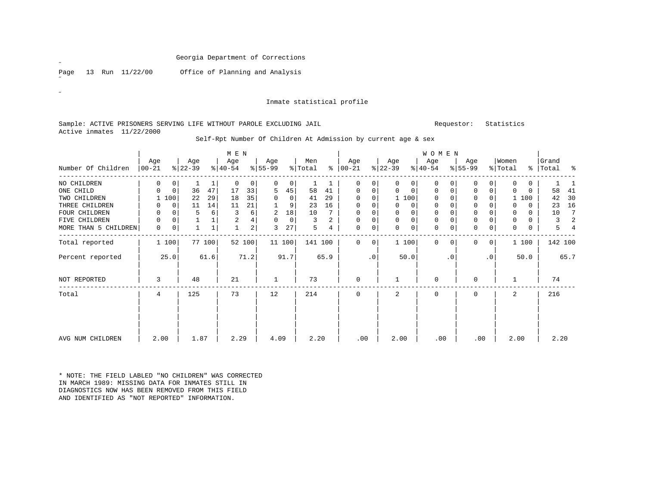Page 13 Run 11/22/00 Office of Planning and Analysis

˝

 $\mathbf{z}$ 

#### Inmate statistical profile

### Sample: ACTIVE PRISONERS SERVING LIFE WITHOUT PAROLE EXCLUDING JAIL Requestor: Statistics Active inmates 11/22/2000

|                      |                  |             |                  |        | M E N            |                |                  |             |                |                |                      |           |                  |          | W O M E N        |           |                  |           |                  |          |                    |      |
|----------------------|------------------|-------------|------------------|--------|------------------|----------------|------------------|-------------|----------------|----------------|----------------------|-----------|------------------|----------|------------------|-----------|------------------|-----------|------------------|----------|--------------------|------|
| Number Of Children   | Age<br>$ 00-21 $ |             | Age<br>$ 22-39 $ |        | Age<br>$ 40-54 $ |                | Age<br>$ 55-99 $ |             | Men<br>% Total |                | Age<br>$8   00 - 21$ |           | Age<br>$ 22-39 $ |          | Age<br>$ 40-54 $ |           | Age<br>$8 55-99$ |           | Women<br>% Total |          | Grand<br>%   Total | ႜ    |
| NO CHILDREN          | 0                | 0           |                  |        | $\Omega$         | $\Omega$       |                  | 0           |                |                | 0                    | 0         |                  | 0        | 0                |           | $\Omega$         | 0         | $\Omega$         | 0        |                    |      |
| ONE CHILD            | 0                | $\mathbf 0$ | 36               | 47     | 17               | 33             | 5                | 45          | 58             | 41             | $\mathbf 0$          | 0         | $\Omega$         | $\Omega$ | 0                | 0         | $\mathbf 0$      | 0         | 0                | $\Omega$ | 58                 | 41   |
| TWO CHILDREN         |                  | 100         | 22               | 29     | 18               | 35             | 0                | $\mathbf 0$ | 41             | 29             | $\Omega$             | 0         |                  | 1 100    | $\mathbf 0$      |           | $\Omega$         |           |                  | 100      | 42                 | 30   |
| THREE CHILDREN       | 0                | 0           | 11               | 14     | 11               | 21             |                  | 9           | 23             | 16             | $\Omega$             | 0         |                  | 0        | $\Omega$         |           | $\Omega$         |           | $\Omega$         | 0        | 23                 | 16   |
| FOUR CHILDREN        | 0                | $\Omega$    | 5                | 6      | 3                | 6              | 2                | 18          | 10             |                | $\Omega$             | 0         | $\Omega$         | $\Omega$ | 0                |           | 0                |           | $\Omega$         | $\Omega$ | 10                 | 7    |
| FIVE CHILDREN        | $\mathbf 0$      | $\mathbf 0$ |                  |        | $\overline{2}$   | 4              | $\Omega$         | $\Omega$    | 3              | $\overline{a}$ | 0                    | 0         | $\Omega$         | $\Omega$ | $\Omega$         |           | $\Omega$         | 0         | $\Omega$         | $\Omega$ | 3                  | 2    |
| MORE THAN 5 CHILDREN | 0                | $\mathbf 0$ |                  |        |                  | $\overline{a}$ | 3                | 27          | 5              | 4              | 0                    | 0         | $\Omega$         | $\Omega$ | 0                |           | 0                | 0         | 0                | 0        | 5                  | 4    |
| Total reported       |                  | 1 100       |                  | 77 100 | 52 100           |                |                  | 11 100      | 141 100        |                | $\Omega$             | 0         |                  | 1 100    | $\Omega$         |           | $\Omega$         | 0         |                  | 1 100    | 142 100            |      |
| Percent reported     |                  | 25.0        |                  | 61.6   |                  | 71.2           |                  | 91.7        |                | 65.9           |                      | $\cdot$ 0 |                  | 50.0     |                  | $\cdot$ 0 |                  | $\cdot$ 0 |                  | 50.0     |                    | 65.7 |
| NOT REPORTED         | 3                |             | 48               |        | 21               |                | 1                |             | 73             |                | $\mathbf 0$          |           |                  |          | $\mathbf 0$      |           | $\mathbf 0$      |           | -1               |          | 74                 |      |
| Total                | 4                |             | 125              |        | 73               |                | 12               |             | 214            |                | $\Omega$             |           | $\overline{a}$   |          | $\Omega$         |           | $\Omega$         |           | $\overline{a}$   |          | 216                |      |
|                      |                  |             |                  |        |                  |                |                  |             |                |                |                      |           |                  |          |                  |           |                  |           |                  |          |                    |      |
| AVG NUM CHILDREN     | 2.00             |             | 1.87             |        | 2.29             |                | 4.09             |             | 2.20           |                | .00                  |           | 2.00             |          | .00              |           | .00              |           |                  | 2.00     | 2.20               |      |

Self-Rpt Number Of Children At Admission by current age & sex

\* NOTE: THE FIELD LABLED "NO CHILDREN" WAS CORRECTED IN MARCH 1989: MISSING DATA FOR INMATES STILL IN DIAGNOSTICS NOW HAS BEEN REMOVED FROM THIS FIELD AND IDENTIFIED AS "NOT REPORTED" INFORMATION.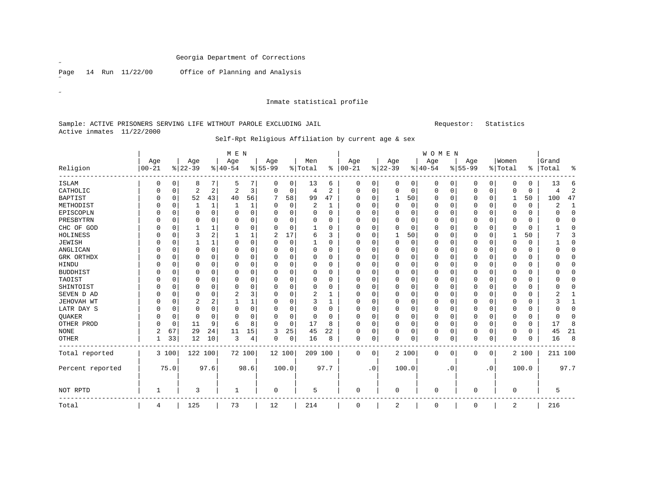Page 14 Run 11/22/00 Office of Planning and Analysis

Inmate statistical profile

### Sample: ACTIVE PRISONERS SERVING LIFE WITHOUT PAROLE EXCLUDING JAIL Requestor: Statistics Active inmates 11/22/2000

# Self-Rpt Religious Affiliation by current age & sex

|                  |           |             |          |              | M E N          |          |           |             |          |                |           |             |          |             | WOMEN        |           |           |             |             |             |          |              |
|------------------|-----------|-------------|----------|--------------|----------------|----------|-----------|-------------|----------|----------------|-----------|-------------|----------|-------------|--------------|-----------|-----------|-------------|-------------|-------------|----------|--------------|
|                  | Age       |             | Age      |              | Age            |          | Age       |             | Men      |                | Age       |             | Age      |             | Age          |           | Age       |             | Women       |             | Grand    |              |
| Religion         | $00 - 21$ |             | $ 22-39$ |              | $ 40-54$       |          | $8 55-99$ |             | % Total  | ႜ              | $00 - 21$ |             | $ 22-39$ |             | $ 40-54$     |           | $8 55-99$ |             | % Total     | ႜ           | Total    | ႜ            |
| <b>ISLAM</b>     | 0         | 0           | 8        | 7            | 5              |          | 0         | 0           | 13       | 6              | 0         | 0           | 0        | 0           | 0            | 0         | 0         | 0           | 0           | 0           | 13       | 6            |
| CATHOLIC         |           | 0           | 2        | 2            | $\overline{2}$ | 3        | 0         | 0           | 4        | $\overline{2}$ | 0         | 0           | $\Omega$ | $\mathbf 0$ | 0            | 0         | $\Omega$  | 0           | $\Omega$    | $\mathbf 0$ | 4        | 2            |
| <b>BAPTIST</b>   |           | 0           | 52       | 43           | 40             | 56       | 7         | 58          | 99       | 47             | 0         | $\Omega$    | 1        | 50          | $\Omega$     | 0         | $\Omega$  | $\mathbf 0$ |             | 50          | 100      | 47           |
| METHODIST        |           | $\Omega$    |          | 1            |                |          | O         | $\Omega$    | 2        | 1              | 0         | $\Omega$    | $\Omega$ | U           | $\Omega$     | $\Omega$  | O         | $\Omega$    | 0           | $\Omega$    | 2        | $\mathbf{1}$ |
| EPISCOPLN        |           | 0           | O        | 0            | ∩              | 0        | O         | 0           | $\Omega$ | 0              | 0         | O           | $\Omega$ | O           | 0            | 0         | O         | 0           | 0           | 0           | ∩        | $\mathbf 0$  |
| PRESBYTRN        |           | 0           | N        | 0            | $\Omega$       | 0        | O         | 0           | 0        | 0              | 0         | O           | $\Omega$ | O           | $\Omega$     | 0         | O         | 0           | $\Omega$    | 0           | ∩        | $\mathbf 0$  |
| CHC OF GOD       |           | 0           |          |              | O              | 0        | O         | 0           |          | 0              | 0         | U           | $\Omega$ | $\Omega$    | 0            | 0         | 0         | 0           | $\Omega$    | 0           |          | $\mathbf 0$  |
| HOLINESS         |           | $\Omega$    | 3        | 2            |                |          | 2         | 17          | 6        | 3              | 0         | $\Omega$    | 1        | 50          | 0            | $\Omega$  | O         | 0           |             | 50          |          | 3            |
| JEWISH           |           | $\Omega$    |          | $\mathbf{1}$ | $\Omega$       | $\Omega$ | 0         | $\mathbf 0$ | 1        | 0              | 0         | $\Omega$    | $\Omega$ | 0           | $\Omega$     | $\Omega$  | $\Omega$  | 0           | $\Omega$    | $\mathbf 0$ |          | $\mathbf 0$  |
| ANGLICAN         |           | $\Omega$    | 0        | $\Omega$     | $\Omega$       | 0        | 0         | 0           | 0        | $\Omega$       | 0         | $\Omega$    | $\Omega$ | 0           | $\Omega$     | U         | 0         | 0           |             | 0           |          | $\mathbf 0$  |
| GRK ORTHDX       |           | U           | 0        | $\Omega$     | $\Omega$       | O        | O         | $\Omega$    | 0        | 0              | 0         | U           | $\Omega$ | O           | 0            | O         | $\Omega$  | $\mathbf 0$ |             | 0           |          | $\mathbf 0$  |
| HINDU            |           | $\Omega$    | 0        | $\Omega$     | $\Omega$       | O        | O         | O           | $\Omega$ | 0              | 0         | U           | $\Omega$ | O           | 0            | $\Omega$  | $\Omega$  | 0           | O           | 0           |          | $\Omega$     |
| <b>BUDDHIST</b>  |           | $\Omega$    | 0        | $\Omega$     | $\Omega$       | 0        | O         | 0           | 0        | 0              | 0         | O           | $\Omega$ | O           | $\Omega$     | 0         | 0         | 0           | $\Omega$    | 0           | ∩        | $\mathbf 0$  |
| TAOIST           |           | $\Omega$    | U        | 0            | $\Omega$       | O        | O         | 0           | 0        | 0              | 0         | U           | $\Omega$ | O           | 0            | $\Omega$  | O         | 0           |             | 0           | O        | $\mathbf 0$  |
| SHINTOIST        |           | $\Omega$    | 0        | 0            | $\Omega$       | 0        | O         | 0           | 0        | $\Omega$       | 0         | U           | $\Omega$ | O           | $\Omega$     | 0         | $\Omega$  | 0           | O           | 0           | ∩        | $\mathbf 0$  |
| SEVEN D AD       |           | $\Omega$    | 0        | $\Omega$     | $\overline{2}$ | 3        | O         | 0           | 2        | 1              | 0         | $\Omega$    | $\Omega$ | O           | $\Omega$     | $\Omega$  | $\Omega$  | 0           | $\Omega$    | $\Omega$    |          | 1            |
| JEHOVAH WT       |           | 0           | 2        | 2            |                |          | 0         | 0           | 3        | 1              | 0         | 0           | $\Omega$ | O           | 0            | $\Omega$  | 0         | $\mathbf 0$ | $\Omega$    | 0           | 3        | 1            |
| LATR DAY S       |           | 0           | 0        | $\Omega$     | $\Omega$       | $\Omega$ | O         | O           | 0        | $\Omega$       | 0         | U           | $\Omega$ | O           | $\Omega$     | O         | $\Omega$  | 0           | $\Omega$    | $\mathbf 0$ | $\Omega$ | $\mathbf 0$  |
| QUAKER           |           | 0           | 0        | $\Omega$     | O              | O        | O         | 0           | 0        | 0              | 0         | U           | $\Omega$ | O           | 0            | 0         | $\Omega$  | 0           | 0           | 0           | O        | $\Omega$     |
| OTHER PROD       |           | $\mathbf 0$ | 11       | 9            | 6              | R        | O         | $\mathbf 0$ | 17       | 8              | 0         | $\Omega$    | $\Omega$ | O           | $\Omega$     | $\Omega$  | $\Omega$  | 0           | $\Omega$    | $\mathbf 0$ | 17       | 8            |
| <b>NONE</b>      | 2         | 67          | 29       | 24           | 11             | 15       | 3         | 25          | 45       | 22             | 0         | 0           | $\Omega$ | 0           | 0            | 0         | $\Omega$  | 0           | $\Omega$    | 0           | 45       | 21           |
| OTHER            |           | 33          | 12       | 10           | 3              | 4        | 0         | 0           | 16       | 8              | 0         | 0           | $\Omega$ | 0           | $\mathbf 0$  | 0         | O         | 0           | $\Omega$    | 0           | 16       | 8            |
| Total reported   |           | 3 100       | 122 100  |              |                | 72 100   | 12 100    |             | 209 100  |                | 0         | $\mathbf 0$ |          | 2 100       | $\mathbf{0}$ | 0         | 0         | 0           |             | 2 100       | 211 100  |              |
| Percent reported |           | 75.0        |          | 97.6         |                | 98.6     |           | 100.0       |          | 97.7           |           | $\cdot$ 0   |          | 100.0       |              | $\cdot$ 0 |           | $\cdot$ 0   |             | 100.0       |          | 97.7         |
| NOT RPTD         | 1         |             | 3        |              | 1              |          | 0         |             | 5        |                | 0         |             | 0        |             | 0            |           | 0         |             | $\mathbf 0$ |             | 5        |              |
| Total            | 4         |             | 125      |              | 73             |          | 12        |             | 214      |                | 0         |             | 2        |             | $\mathbf 0$  |           | 0         |             | 2           |             | 216      |              |

 $\overline{a}$ 

 $\mathcal{U}^{\pm}$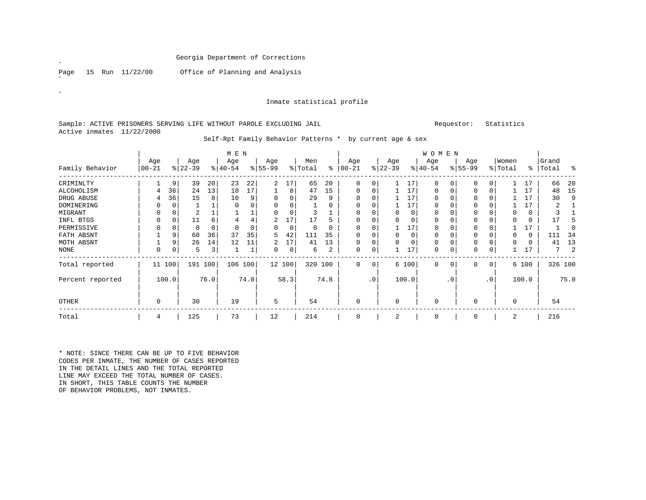Page 15 Run 11/22/00 Office of Planning and Analysis

˝

 $\mathscr{L}^{\pm}$ 

# Inmate statistical profile

#### Sample: ACTIVE PRISONERS SERVING LIFE WITHOUT PAROLE EXCLUDING JAIL Requestor: Statistics Active inmates 11/22/2000

|                  |                   |       |                  |     | M E N            |          |                  |          |                |          |                  |             |                  |          | <b>WOMEN</b>     |             |                  |              |                  |       |                    |         |
|------------------|-------------------|-------|------------------|-----|------------------|----------|------------------|----------|----------------|----------|------------------|-------------|------------------|----------|------------------|-------------|------------------|--------------|------------------|-------|--------------------|---------|
| Family Behavior  | Age<br>$ 00 - 21$ |       | Age<br>$ 22-39 $ |     | Age<br>$ 40-54 $ |          | Age<br>$8 55-99$ |          | Men<br>% Total | နွ       | Age<br>$00 - 21$ |             | Age<br>$ 22-39 $ |          | Age<br>$ 40-54 $ |             | Age<br>$8 55-99$ |              | Women<br>% Total |       | Grand<br>%   Total | ႜ       |
|                  |                   |       |                  |     |                  |          |                  |          |                |          |                  |             |                  |          |                  |             |                  |              |                  |       |                    |         |
| CRIMINLTY        |                   | 9     | 39               | 20  | 23               | 22       | 2                | 17       | 65             | 20       | $\Omega$         | 0           |                  | 17       | $\mathbf 0$      | $\Omega$    | 0                | $\Omega$     |                  | 17    | 66                 | 20      |
| ALCOHOLISM       | 4                 | 36    | 24               | 13  | 18               | 17       |                  | 8        | 47             | 15       | $\Omega$         | 0           |                  | 17       | 0                | $\Omega$    | 0                |              |                  | 17    | 48                 | 15      |
| DRUG ABUSE       | 4                 | 36    | 15               | 8   | 10               | 9        | $\Omega$         | $\Omega$ | 29             | 9        | $\Omega$         | $\Omega$    |                  | 17       | $\mathbf 0$      | $\Omega$    | $\Omega$         |              |                  | 17    | 30                 | 9       |
| DOMINERING       |                   |       |                  |     |                  | 0        |                  |          |                | 0        | 0                |             |                  | 17       | $\Omega$         |             | $\Omega$         |              |                  |       |                    |         |
| MIGRANT          |                   |       | $\overline{2}$   |     |                  | ᆚ        |                  |          | 3              |          |                  |             |                  | $\Omega$ | $\Omega$         |             | $\Omega$         |              | $\Omega$         | 0     |                    |         |
| INFL BTGS        | $\Omega$          |       | 11               | 6   | 4                | 4        | 2                | 17       | 17             |          | $\Omega$         | $\Omega$    |                  | $\Omega$ | 0                | 0           | 0                |              | $\Omega$         | 0     | 17                 |         |
| PERMISSIVE       |                   |       | 0                | 0   | $\Omega$         | $\Omega$ | 0                | 0        | $\Omega$       | $\Omega$ | $\Omega$         | $\Omega$    |                  | 17       | $\Omega$         | $\Omega$    | $\Omega$         |              |                  | 17    |                    |         |
| FATH ABSNT       |                   | 9     | 68               | 36  | 37               | 35       | 5                | 42       | 111            | 35       | $\Omega$         | $\Omega$    | $\Omega$         | $\Omega$ | 0                | $\Omega$    | 0                |              | $\Omega$         | 0     | 111                | 34      |
| MOTH ABSNT       |                   | 9     | 26               | 14  | 12               | 11       |                  | 17       | 41             | 13       | $\Omega$         | 0           |                  | $\Omega$ | 0                | 0           | 0                |              | $\Omega$         | 0     | 41                 | 13      |
| NONE             | $\Omega$          | 0     | 5                | 3   |                  | 1        | 0                | 0        | 6              | 2        | 0                | 0           |                  | 17       | 0                | 0           | 0                | 0            |                  | 17    |                    | 2       |
| Total reported   | 11                | 100   | 191              | 100 | 106              | 100      |                  | 12 100   | 320 100        |          | $\Omega$         | $\mathbf 0$ |                  | 6 100    | $\mathbf 0$      | $\mathbf 0$ | 0                | $\mathbf{0}$ |                  | 6 100 |                    | 326 100 |
| Percent reported |                   | 100.0 | 76.0             |     |                  | 74.0     |                  | 58.3     |                | 74.8     |                  | $\cdot$ 0   |                  | 100.0    |                  | . 0         |                  | $\cdot$ 0    |                  | 100.0 |                    | 75.0    |
| OTHER            | 0                 |       | 30               |     | 19               |          | 5                |          | 54             |          | $\Omega$         |             | $\Omega$         |          | 0                |             | 0                |              | $\mathbf 0$      |       | 54                 |         |
| Total            | 4                 |       | 125              |     | 73               |          | 12               |          | 214            |          | 0                |             | 2                |          | 0                |             | $\Omega$         |              | 2                |       | 216                |         |

Self-Rpt Family Behavior Patterns \* by current age & sex

\* NOTE: SINCE THERE CAN BE UP TO FIVE BEHAVIOR CODES PER INMATE, THE NUMBER OF CASES REPORTED IN THE DETAIL LINES AND THE TOTAL REPORTED LINE MAY EXCEED THE TOTAL NUMBER OF CASES. IN SHORT, THIS TABLE COUNTS THE NUMBER OF BEHAVIOR PROBLEMS, NOT INMATES.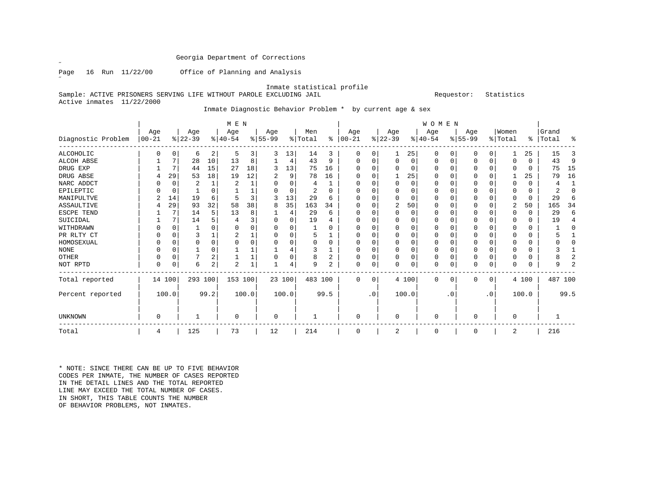˝

Page 16 Run 11/22/00 Office of Planning and Analysis

#### Inmate statistical profile

Sample: ACTIVE PRISONERS SERVING LIFE WITHOUT PAROLE EXCLUDING JAIL Requestor: Statistics Active inmates 11/22/2000

# Inmate Diagnostic Behavior Problem \* by current age & sex

|                    |                   |          |                  |                | M E N            |       |                 |          |                |                |                   |           |                  |          | WOMEN            |          |                  |           |                  |          |                    |      |
|--------------------|-------------------|----------|------------------|----------------|------------------|-------|-----------------|----------|----------------|----------------|-------------------|-----------|------------------|----------|------------------|----------|------------------|-----------|------------------|----------|--------------------|------|
| Diagnostic Problem | Age<br>$ 00 - 21$ |          | Age<br>$ 22-39 $ |                | Age<br>$ 40-54 $ |       | Age<br>$ 55-99$ |          | Men<br>% Total | နွ             | Age<br>$ 00 - 21$ |           | Age<br>$ 22-39 $ |          | Age<br>$ 40-54 $ |          | Age<br>$ 55-99 $ |           | Women<br>% Total |          | Grand<br>%   Total | ႜ    |
| ALCOHOLIC          |                   | 0        | 6                | 2              | 5                | 3     | 3               | 13       | 14             | 3              | 0                 | 0         |                  | 25       | 0                | O        | O                | 0         |                  | 25       | 15                 | 3    |
| ALCOH ABSE         |                   | 7        | 28               | 10             | 13               | 8     |                 | 4        | 43             | 9              | 0                 | 0         | $\Omega$         | 0        | 0                | 0        | 0                | 0         | 0                | 0        | 43                 | 9    |
| DRUG EXP           |                   | 7        | 44               | 15             | 27               | 18    | 3               | 13       | 75             | 16             |                   |           |                  | 0        | 0                |          |                  | 0         | 0                | 0        | 75                 | 15   |
| DRUG ABSE          |                   | 29       | 53               | 18             | 19               | 12    |                 | 9        | 78             | 16             |                   |           |                  | 25       | 0                |          | O                |           |                  | 25       | 79                 | 16   |
| NARC ADDCT         |                   | $\Omega$ |                  | $\mathbf{1}$   | 2                |       |                 | $\Omega$ | 4              |                |                   | 0         | $\Omega$         | 0        | $\Omega$         | $\Omega$ | O                |           | $\Omega$         | 0        |                    |      |
| EPILEPTIC          |                   | $\Omega$ |                  |                |                  |       |                 | $\Omega$ | 2              | $\Omega$       |                   |           | $\Omega$         | $\Omega$ | $\Omega$         |          | O                |           | <sup>0</sup>     | 0        | 2                  | O    |
| MANIPULTVE         |                   | 14       | 19               | 6              |                  | 3     |                 | 13       | 29             | 6              |                   |           |                  | $\Omega$ | $\Omega$         |          |                  |           | 0                | 0        | 29                 | 6    |
| ASSAULTIVE         |                   | 29       | 93               | 32             | 58               | 38    | 8               | 35       | 163            | 34             | $\Omega$          |           | 2                | 50       | $\Omega$         |          | O                |           | 2                | 50       | 165                | 34   |
| ESCPE TEND         |                   |          | 14               | 5              | 13               | 8     |                 | 4        | 29             | 6              |                   | O         | $\Omega$         | $\Omega$ | 0                | C        |                  |           | 0                | $\Omega$ | 29                 | 6    |
| SUICIDAL           |                   |          | 14               |                |                  | 3     |                 | $\Omega$ | 19             |                |                   |           |                  | $\Omega$ | 0                |          | O                |           | 0                | 0        | 19                 |      |
| WITHDRAWN          |                   | $\cap$   |                  |                | <sup>0</sup>     | 0     |                 | O        |                | U              |                   |           | <sup>0</sup>     | U        | $\Omega$         | C        | O                |           | <sup>0</sup>     | 0        |                    |      |
| PR RLTY CT         | U                 | $\Omega$ | ζ                |                |                  |       |                 | O        |                |                | C                 |           | $\Omega$         | $\Omega$ | $\Omega$         | $\Omega$ | O                |           | 0                | 0        |                    |      |
| HOMOSEXUAL         |                   | $\Omega$ | $\Omega$         | $\Omega$       |                  | O     |                 | $\Omega$ | O              | $\Omega$       |                   |           | $\Omega$         | $\Omega$ | $\Omega$         | $\Omega$ | $\Omega$         | $\cap$    | $\Omega$         | $\Omega$ |                    |      |
| <b>NONE</b>        |                   |          |                  |                |                  |       |                 |          | 3              |                |                   | 0         | $\Omega$         | $\Omega$ | 0                | $\Omega$ | O                | O         | <sup>0</sup>     | 0        |                    |      |
| OTHER              | 0                 | $\Omega$ |                  |                |                  |       |                 | $\Omega$ | 8              | 2              |                   | 0         | $\Omega$         | $\Omega$ | 0                | $\Omega$ | 0                | U         | 0                | 0        |                    |      |
| NOT RPTD           | 0                 | $\Omega$ | 6                | $\overline{a}$ | $\overline{2}$   | $1\,$ |                 | 4        | 9              | $\overline{a}$ | $\Omega$          | 0         | $\Omega$         | 0        | $\mathbf 0$      | $\Omega$ | $\Omega$         | 0         | 0                | 0        |                    | 2    |
| Total reported     |                   | 14 100   | 293 100          |                | 153 100          |       |                 | 23 100   | 483 100        |                | $\Omega$          | 0         |                  | 4 100    | $\Omega$         | $\Omega$ | $\Omega$         | 0         |                  | 4 100    | 487 100            |      |
| Percent reported   |                   | 100.0    |                  | 99.2           |                  | 100.0 |                 | 100.0    |                | 99.5           |                   | $\cdot$ 0 |                  | 100.0    |                  | . 0      |                  | $\cdot$ 0 |                  | 100.0    |                    | 99.5 |
| <b>UNKNOWN</b>     | 0                 |          |                  |                | $\mathbf 0$      |       | 0               |          |                |                | $\mathbf 0$       |           | 0                |          | 0                |          | 0                |           | $\mathbf 0$      |          |                    |      |
| Total              | 4                 |          | 125              |                | 73               |       | 12              |          | 214            |                | $\Omega$          |           | 2                |          | 0                |          | $\Omega$         |           | 2                |          | 216                |      |

\* NOTE: SINCE THERE CAN BE UP TO FIVE BEHAVIOR CODES PER INMATE, THE NUMBER OF CASES REPORTED IN THE DETAIL LINES AND THE TOTAL REPORTEDLINE MAY EXCEED THE TOTAL NUMBER OF CASES. IN SHORT, THIS TABLE COUNTS THE NUMBER OF BEHAVIOR PROBLEMS, NOT INMATES.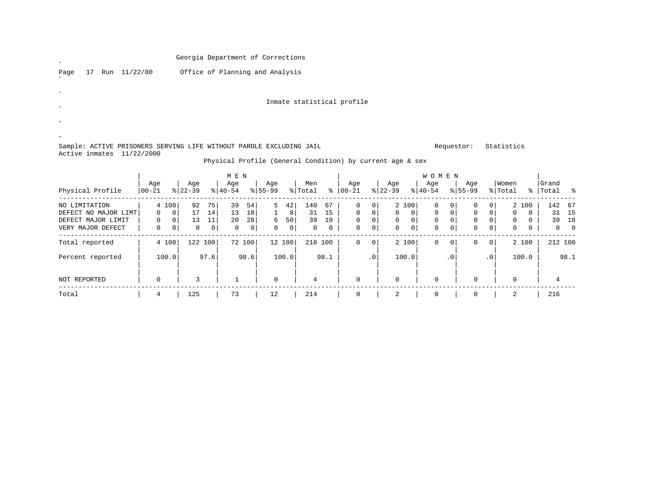| $\overline{\phantom{a}}$                                                                                                     |                                                              | Georgia Department of Corrections |                     |                  |                     |                |            |                |                |                            |                      |                                |                                   |                     |                             |                      |                  |                            |                    |                |
|------------------------------------------------------------------------------------------------------------------------------|--------------------------------------------------------------|-----------------------------------|---------------------|------------------|---------------------|----------------|------------|----------------|----------------|----------------------------|----------------------|--------------------------------|-----------------------------------|---------------------|-----------------------------|----------------------|------------------|----------------------------|--------------------|----------------|
| Run 11/22/00<br>Page<br>17                                                                                                   |                                                              | Office of Planning and Analysis   |                     |                  |                     |                |            |                |                |                            |                      |                                |                                   |                     |                             |                      |                  |                            |                    |                |
|                                                                                                                              |                                                              |                                   |                     |                  |                     |                |            |                |                |                            |                      |                                |                                   |                     |                             |                      |                  |                            |                    |                |
| $\!\!\!\!$                                                                                                                   |                                                              |                                   |                     |                  |                     |                |            |                |                |                            |                      |                                |                                   |                     |                             |                      |                  |                            |                    |                |
|                                                                                                                              |                                                              |                                   |                     |                  |                     |                |            |                |                | Inmate statistical profile |                      |                                |                                   |                     |                             |                      |                  |                            |                    |                |
|                                                                                                                              |                                                              |                                   |                     |                  |                     |                |            |                |                |                            |                      |                                |                                   |                     |                             |                      |                  |                            |                    |                |
|                                                                                                                              |                                                              |                                   |                     |                  |                     |                |            |                |                |                            |                      |                                |                                   |                     |                             |                      |                  |                            |                    |                |
|                                                                                                                              |                                                              |                                   |                     |                  |                     |                |            |                |                |                            |                      |                                |                                   |                     |                             |                      |                  |                            |                    |                |
| Requestor:<br>Statistics<br>Sample: ACTIVE PRISONERS SERVING LIFE WITHOUT PAROLE EXCLUDING JAIL<br>Active inmates 11/22/2000 |                                                              |                                   |                     |                  |                     |                |            |                |                |                            |                      |                                |                                   |                     |                             |                      |                  |                            |                    |                |
| Physical Profile (General Condition) by current age & sex                                                                    |                                                              |                                   |                     |                  |                     |                |            |                |                |                            |                      |                                |                                   |                     |                             |                      |                  |                            |                    |                |
|                                                                                                                              |                                                              |                                   |                     |                  |                     |                |            |                |                |                            |                      |                                |                                   |                     |                             |                      |                  |                            |                    |                |
|                                                                                                                              |                                                              |                                   |                     | M E N            |                     |                |            |                |                |                            |                      |                                | <b>WOMEN</b>                      |                     |                             |                      |                  |                            |                    |                |
| Physical Profile                                                                                                             | Age<br>$ 00 - 21$                                            | Age<br>$ 22-39 $                  |                     | Age<br>$ 40-54 $ |                     | Age<br>% 55-99 |            | Men<br>% Total | ွေ             | Age<br>$ 00-21 $           |                      | Age<br>$ 22-39 $               | Age<br>$8 40-54$                  |                     | Age<br>$8 55-99$            |                      | Women<br>% Total |                            | Grand<br>%   Total | ိ              |
|                                                                                                                              |                                                              |                                   |                     |                  |                     |                |            |                |                |                            |                      |                                |                                   |                     |                             |                      |                  |                            |                    |                |
| NO LIMITATION                                                                                                                | 4 100                                                        |                                   | $92 \quad 75$       | 39               | 54                  | 5              | 42         | 140            | 67             | 0                          | 0 <sup>1</sup>       | 2 100                          | 0                                 | 0 <sup>1</sup>      | 0                           | 0 <sup>1</sup>       |                  | 2 100                      |                    | 142 67         |
| DEFECT NO MAJOR LIMT<br>DEFECT MAJOR LIMIT                                                                                   | $\overline{\phantom{0}}$ 0<br>$\overline{0}$<br>$\mathbf{0}$ | 17<br> 0                          | 14<br>$13 \quad 11$ | 13               | 18<br>$20 \quad 28$ | 1              | 8 <br>6 50 |                | 31 15<br>39 19 | 0<br>$\mathsf{O}$          | 0 <br>0 <sup>1</sup> | $\overline{0}$<br>$\mathsf{O}$ | 0 <br>0<br>$\mathbf 0$<br>$\circ$ | 0<br>0 <sup>1</sup> | $\mathbf 0$<br>$\mathsf{O}$ | 0 <br>0 <sup>1</sup> | 0<br>$\mathbf 0$ | $\overline{0}$<br>$\Omega$ |                    | 31 15<br>39 18 |
| VERY MAJOR DEFECT                                                                                                            | $\mathbf{0}$                                                 | 0<br>$\mathbf 0$                  | 0                   | $\Omega$         | 0                   | $\mathbf{0}$   | 0          | $\overline{0}$ | $\mathbf{0}$   | $\Omega$                   | 0                    | $\mathbf 0$                    | $\mathbf 0$<br>0                  | $\circ$             | $\Omega$                    | $\mathbf{0}$         | $\Omega$         | $\mathbf 0$                | $\mathbf 0$        | $\overline{0}$ |
| Total reported                                                                                                               | 4 100                                                        |                                   | 122 100             |                  | 72 100              |                | 12 100     | 210 100        |                | $\Omega$                   | $\overline{0}$       | 2 100                          | $\mathbf 0$                       | $\overline{0}$      | 0                           | $\overline{0}$       |                  | 2 100                      |                    | 212 100        |
|                                                                                                                              |                                                              |                                   |                     |                  |                     |                |            |                |                |                            |                      |                                |                                   |                     |                             |                      |                  |                            |                    |                |
| Percent reported                                                                                                             | 100.0                                                        |                                   | 97.6                |                  | 98.6                |                | 100.0      |                | 98.1           |                            | $\cdot$ 0            | 100.0                          |                                   | $\cdot$ 0           |                             | $\cdot$ 0            |                  | 100.0                      |                    | 98.1           |
|                                                                                                                              |                                                              |                                   |                     |                  |                     |                |            |                |                |                            |                      |                                |                                   |                     |                             |                      |                  |                            |                    |                |
| NOT REPORTED                                                                                                                 | 0                                                            | 3                                 |                     |                  |                     | $\Omega$       |            |                |                | U                          |                      | $\Omega$                       | $\Omega$                          |                     | U                           |                      | $\Omega$         |                            |                    |                |
|                                                                                                                              |                                                              |                                   |                     |                  |                     |                |            |                |                |                            |                      |                                |                                   |                     |                             |                      |                  |                            |                    |                |

Total | 4 | 125 | 73 | 12 | 214 | 0 | 2 | 0 | 0 | 2 | 216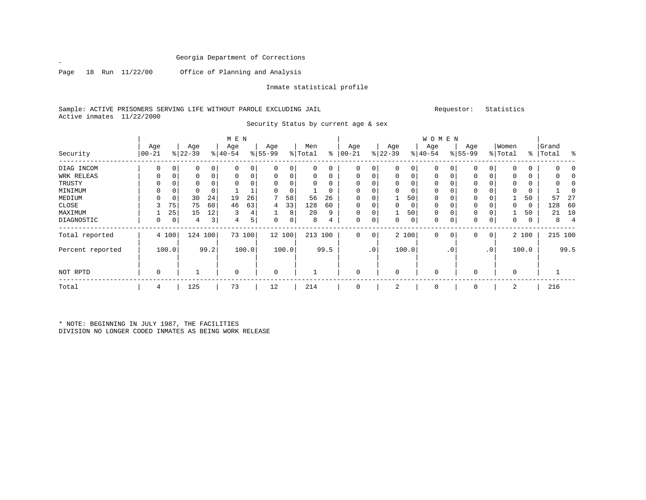Page 18 Run 11/22/00 Office of Planning and Analysis

 $\mathscr{L}$ 

Inmate statistical profile

Security Status by current age & sex

Sample: ACTIVE PRISONERS SERVING LIFE WITHOUT PAROLE EXCLUDING JAIL Requestor: Statistics Active inmates 11/22/2000

| Security         | Age<br>$ 00 - 21$ |             | Age<br>$ 22-39 $ |         | M E N<br>Age<br>$ 40-54 $ |        | Age<br>$ 55-99$ |        | Men<br>% Total | ៖        | Age<br>$00 - 21$ |           | Age<br>$ 22-39 $ |          | <b>WOMEN</b><br>Age<br>$ 40-54 $ |           | Age<br>$ 55-99 $ |              | Women<br>% Total | $\frac{1}{6}$ | Grand<br>Total | ႜ              |
|------------------|-------------------|-------------|------------------|---------|---------------------------|--------|-----------------|--------|----------------|----------|------------------|-----------|------------------|----------|----------------------------------|-----------|------------------|--------------|------------------|---------------|----------------|----------------|
| DIAG INCOM       | 0                 | 0           | 0                | 0       | $\mathbf 0$               | 0      | 0               | 0      | 0              | 0        | $\Omega$         | 0         | $\mathbf 0$      | 0        | 0                                | 0         | 0                | $\mathbf 0$  | $\Omega$         |               | $\Omega$       | $\Omega$       |
| WRK RELEAS       | 0                 | $\mathbf 0$ | 0                | 0       | $\mathbf 0$               | 0      | 0               | 0      | 0              | 0        | 0                |           | 0                | 0        | 0                                | 0         | 0                | 0            | $\Omega$         |               |                | 0              |
| TRUSTY           | $\Omega$          | $\mathbf 0$ | $\Omega$         |         | $\Omega$                  | 0      | $\Omega$        | 0      | 0              | $\Omega$ | $\Omega$         |           | $\Omega$         | $\Omega$ | $\Omega$                         | $\Omega$  | $\Omega$         | $\Omega$     | $\Omega$         |               | $\Omega$       | O              |
| MINIMUM          | 0                 | $\mathbf 0$ | 0                | 0       |                           |        | $\Omega$        | 0      |                | 0        | $\Omega$         |           | $\mathbf 0$      | 0        | 0                                |           | 0                |              | $\Omega$         |               |                | 0              |
| MEDIUM           | 0                 | 0           | 30               | 24      | 19                        | 26     |                 | 58     | 56             | 26       | $\Omega$         |           |                  | 50       | 0                                | 0         | 0                | 0            |                  | 50            | 57             | 27             |
| CLOSE            |                   | 75          | 75               | 60      | 46                        | 63     | 4               | 33     | 128            | 60       | $\Omega$         |           | $\Omega$         | 0        | 0                                |           | 0                |              | $\Omega$         | $\Omega$      | 128            | 60             |
| MAXIMUM          |                   | 25          | 15               | 12      | 3                         | 4      |                 | 8      | 20             | 9        | $\Omega$         |           |                  | 50       | $\mathbf 0$                      | 0         | 0                | $\Omega$     |                  | 50            | 21             | 10             |
| DIAGNOSTIC       | 0                 | 0           | 4                | 3       | 4                         | 5      | 0               | 0      | 8              | 4        | $\Omega$         | 0         | 0                | 0        | 0                                | 0         | 0                | 0            | $\Omega$         | $\Omega$      | 8              | $\overline{4}$ |
| Total reported   |                   | 4 100       |                  | 124 100 |                           | 73 100 |                 | 12 100 | 213 100        |          | $\Omega$         | 0         |                  | 2 100    | $\Omega$                         | 0         | $\Omega$         | $\mathbf{0}$ |                  | 2 100         |                | 215 100        |
| Percent reported |                   | 100.0       |                  | 99.2    |                           | 100.0  |                 | 100.0  |                | 99.5     |                  | $\cdot$ 0 |                  | 100.0    |                                  | $\cdot$ 0 |                  | $\cdot$ 0    |                  | 100.0         |                | 99.5           |
| NOT RPTD         | 0                 |             |                  |         | $\mathbf 0$               |        | $\mathbf 0$     |        |                |          | $\Omega$         |           | $\mathbf 0$      |          | 0                                |           | 0                |              | $\Omega$         |               |                |                |
| Total            | 4                 |             | 125              |         | 73                        |        | 12              |        | 214            |          |                  |           | 2                |          | 0                                |           | 0                |              | 2                |               | 216            |                |

\* NOTE: BEGINNING IN JULY 1987, THE FACILITIES DIVISION NO LONGER CODED INMATES AS BEING WORK RELEASE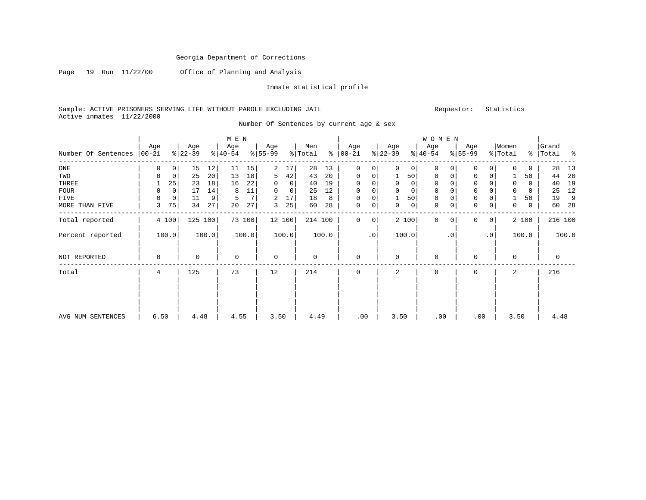Page 19 Run 11/22/00 Office of Planning and Analysis

Inmate statistical profile

Sample: ACTIVE PRISONERS SERVING LIFE WITHOUT PAROLE EXCLUDING JAIL Remond that the statistics of the statistics Active inmates 11/22/2000

Number Of Sentences by current age & sex

|                     |          |                |           |                 | M E N     |                |           |        |         |       |               |             |              |              | WOMEN       |           |             |                 |             |       |           |         |
|---------------------|----------|----------------|-----------|-----------------|-----------|----------------|-----------|--------|---------|-------|---------------|-------------|--------------|--------------|-------------|-----------|-------------|-----------------|-------------|-------|-----------|---------|
|                     | Age      |                | Age       |                 | Age       |                | Age       |        | Men     |       | Age           |             | Age          |              | Age         |           | Age         |                 | Women       |       | Grand     |         |
| Number Of Sentences | $ 00-21$ |                | $ 22-39 $ |                 | $ 40-54 $ |                | $8 55-99$ |        | % Total |       | $8   00 - 21$ |             | $ 22-39 $    |              | $ 40-54 $   |           | $8155 - 99$ |                 | % Total     |       | %   Total | ႜ       |
| ONE                 | 0        | 0 <sup>1</sup> | 15        | 12              | 11        | 15             | 2         | 17     | 28      | 13    | $\Omega$      | 0           | $\Omega$     | 0            | 0           | 0         | 0           | $\Omega$        | $\Omega$    | 0     | 28        | 13      |
| TWO                 | 0        | $\mathbf 0$    | 25        | 20 <sup>1</sup> | 13        | 18             | 5         | 42     | 43      | 20    | 0             | 0           |              | 50           | 0           | 0         | $\mathbf 0$ | 0               |             | 50    | 44        | 20      |
| THREE               |          | 25             | 23        | 18              | 16        | 22             | 0         | 0      | 40      | 19    | 0             | 0           | $\mathbf 0$  | $\mathbf{0}$ | 0           |           | $\mathbf 0$ |                 | $\mathbf 0$ | 0     | 40        | 19      |
| <b>FOUR</b>         | $\Omega$ | $\mathbf 0$    | 17        | 14              | 8         | 11             | 0         | 0      | 25      | 12    | $\Omega$      |             |              | $\mathbf 0$  | $\mathbf 0$ |           | $\Omega$    |                 | $\Omega$    | 0     | 25        | 12      |
| <b>FIVE</b>         | 0        | 0              | 11        | 9               | 5         | 7 <sup>1</sup> | 2         | 17     | 18      | 8     | $\mathbf 0$   | 0           |              | 50           | 0           |           | $\mathbf 0$ |                 |             | 50    | 19        | 9       |
| MORE THAN FIVE      | 3        | 75             | 34        | 27              | 20        | 27             | 3         | 25     | 60      | 28    | $\mathbf 0$   | 0           | $\mathbf{0}$ | $\mathbf 0$  | $\mathbf 0$ |           | $\mathbf 0$ | 0               | 0           | 0     | 60        | -28     |
| Total reported      |          | 4 100          | 125       | 100             |           | 73 100         |           | 12 100 | 214 100 |       | $\Omega$      | $\mathbf 0$ |              | 2 100        | $\Omega$    | 0         | $\Omega$    | $\circ$         |             | 2 100 |           | 216 100 |
| Percent reported    |          | 100.0          |           | 100.0           |           | 100.0          |           | 100.0  |         | 100.0 |               | $\cdot$ 0   |              | 100.0        |             | $\cdot$ 0 |             | .0 <sup>1</sup> |             | 100.0 |           | 100.0   |
| NOT REPORTED        | $\Omega$ |                | $\Omega$  |                 | $\Omega$  |                | $\Omega$  |        | 0       |       | $\mathbf 0$   |             | $\Omega$     |              | $\Omega$    |           | $\cap$      |                 | $\Omega$    |       | 0         |         |
| Total               | 4        |                | 125       |                 | 73        |                | 12        |        | 214     |       | $\mathbf 0$   |             | 2            |              | $\mathbf 0$ |           | 0           |                 | 2           |       | 216       |         |
|                     |          |                |           |                 |           |                |           |        |         |       |               |             |              |              |             |           |             |                 |             |       |           |         |
| AVG NUM SENTENCES   | 6.50     |                | 4.48      |                 | 4.55      |                | 3.50      |        | 4.49    |       | .00           |             | 3.50         |              | .00         |           |             | .00             | 3.50        |       | 4.48      |         |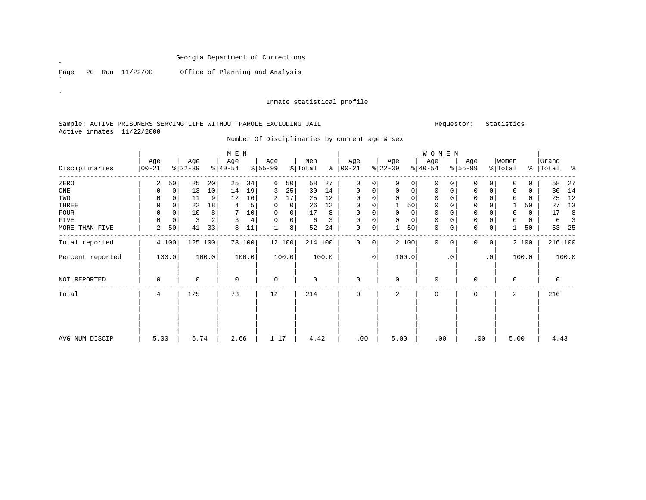Page 20 Run 11/22/00 Office of Planning and Analysis

#### Inmate statistical profile

### Sample: ACTIVE PRISONERS SERVING LIFE WITHOUT PAROLE EXCLUDING JAIL Requestor: Statistics Active inmates 11/22/2000

Number Of Disciplinaries by current age & sex

|                  |                 |             |                  |       | M E N            |        |                  |        |                |       |                    |                |                 |          | WOMEN            |           |                 |              |                  |             |                |         |
|------------------|-----------------|-------------|------------------|-------|------------------|--------|------------------|--------|----------------|-------|--------------------|----------------|-----------------|----------|------------------|-----------|-----------------|--------------|------------------|-------------|----------------|---------|
| Disciplinaries   | Age<br>$ 00-21$ |             | Age<br>$ 22-39 $ |       | Age<br>$ 40-54 $ |        | Age<br>$ 55-99 $ |        | Men<br>% Total | ွေ    | Age<br>$ 00 - 21 $ |                | Age<br>$ 22-39$ |          | Age<br>$ 40-54 $ |           | Age<br>$ 55-99$ |              | Women<br>% Total | ႜ           | Grand<br>Total | - ေ     |
| ZERO             | 2               | 50          | 25               | 20    | 25               | 34     | 6                | 50     | 58             | 27    | 0                  | $\Omega$       | $\Omega$        | $\Omega$ | $\mathbf 0$      | $\Omega$  |                 | 0            | $\Omega$         | 0           | 58             | 27      |
| ONE              | 0               | $\mathbf 0$ | 13               | 10    | 14               | 19     | 3                | 25     | 30             | 14    | 0                  | 0              | $\mathbf 0$     | 0        | 0                | 0         |                 | $\mathbf 0$  | 0                | $\mathbf 0$ | 30             | 14      |
| TWO              | $\Omega$        | $\Omega$    | 11               | 9     | 12               | 16     | 2                | 17     | 25             | 12    | $\Omega$           | 0              | $\Omega$        | $\Omega$ | $\Omega$         |           |                 | $\Omega$     | $\Omega$         | $\Omega$    | 25             | 12      |
| THREE            | 0               | 0           | 22               | 18    | 4                |        | $\Omega$         | 0      | 26             | 12    | 0                  |                |                 | 50       | 0                |           |                 | 0            |                  | 50          | 27             | 13      |
| <b>FOUR</b>      | 0               | 0           | 10               | 8     |                  | 10     | $\Omega$         | 0      | 17             | 8     | 0                  | 0              | $\mathbf 0$     |          | $\mathbf 0$      |           |                 | 0            | $\Omega$         | $\Omega$    | 17             | 8       |
| <b>FIVE</b>      | $\Omega$        | 0           | 3                | 2     | 3                | 4      | $\Omega$         | 0      | 6              | 3     | U                  | $\Omega$       | $\Omega$        | $\Omega$ | $\mathbf 0$      | U         | $\Omega$        | 0            | 0                | $\Omega$    | 6              | 3       |
| MORE THAN FIVE   | 2               | 50          | 41               | 33    | 8                | 11     |                  | 8      | 52             | 24    | 0                  | 0              |                 | 50       | $\mathbf 0$      | 0         | $\Omega$        | $\mathbf 0$  |                  | 50          | 53             | 25      |
| Total reported   |                 | 4 100       | 125 100          |       |                  | 73 100 |                  | 12 100 | 214 100        |       | 0                  | 0 <sup>1</sup> |                 | 2 100    | $\mathbf 0$      | 0         | $\Omega$        | $\mathbf{0}$ |                  | 2 100       |                | 216 100 |
| Percent reported |                 | 100.0       |                  | 100.0 |                  | 100.0  |                  | 100.0  |                | 100.0 |                    | $\cdot$ 0      |                 | 100.0    |                  | $\cdot$ 0 |                 | $\cdot$ 0    |                  | 100.0       |                | 100.0   |
| NOT REPORTED     | 0               |             | $\Omega$         |       | $\mathbf 0$      |        | $\mathbf 0$      |        | $\Omega$       |       | $\Omega$           |                | $\Omega$        |          | $\Omega$         |           | $\Omega$        |              | 0                |             | $\mathbf 0$    |         |
| Total            | 4               |             | 125              |       | 73               |        | 12               |        | 214            |       | 0                  |                | $\overline{2}$  |          | $\mathbf 0$      |           | $\Omega$        |              | 2                |             | 216            |         |
|                  |                 |             |                  |       |                  |        |                  |        |                |       |                    |                |                 |          |                  |           |                 |              |                  |             |                |         |
| AVG NUM DISCIP   | 5.00            |             | 5.74             |       | 2.66             |        | 1.17             |        | 4.42           |       | .00                |                | 5.00            |          | .00              |           | .00             |              | 5.00             |             | 4.43           |         |

˝

 $\bar{\mathcal{A}}$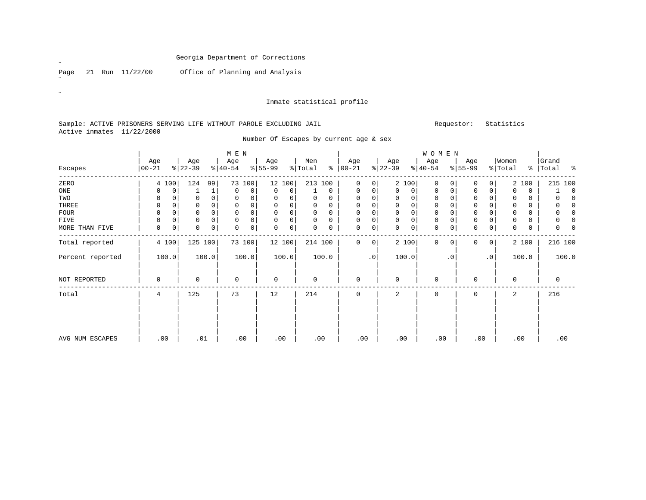Page 21 Run 11/22/00 Office of Planning and Analysis

 $\mathscr{L}$ 

 $\mathscr{B}^{\pm}$ 

#### Inmate statistical profile

### Sample: ACTIVE PRISONERS SERVING LIFE WITHOUT PAROLE EXCLUDING JAIL Requestor: Statistics Active inmates 11/22/2000

Number Of Escapes by current age & sex

|                  |                  |             |                  |             | $M$ E $N$        |             |                  |        |                            |               |                 |                 |                  |          | WOMEN            |             |                  |              |                  |          |                    |             |
|------------------|------------------|-------------|------------------|-------------|------------------|-------------|------------------|--------|----------------------------|---------------|-----------------|-----------------|------------------|----------|------------------|-------------|------------------|--------------|------------------|----------|--------------------|-------------|
| Escapes          | Age<br>$00 - 21$ |             | Age<br>$8 22-39$ |             | Age<br>$ 40-54 $ |             | Age<br>$8 55-99$ |        | Men<br>$\frac{1}{2}$ Total | $\frac{8}{6}$ | Age<br>$ 00-21$ |                 | Age<br>$ 22-39 $ |          | Age<br>$ 40-54 $ |             | Age<br>$ 55-99 $ |              | Women<br>% Total |          | Grand<br>%   Total | း           |
| ZERO             |                  | 4 100       | 124              | 99          |                  | 73 100      |                  | 12 100 | 213 100                    |               | $\Omega$        | 0               |                  | 2 100    | $\Omega$         | $\Omega$    | 0                | 0            | $\overline{a}$   | 100      | 215 100            |             |
| ONE              | 0                | 0           |                  | 1           | $\mathbf 0$      | $\mathbf 0$ | 0                | 0      |                            | $\mathbf 0$   | $\mathbf 0$     | $\mathbf 0$     | $\mathbf 0$      | 0        | 0                | 0           | 0                | 0            | $\Omega$         | $\Omega$ |                    | $\mathbf 0$ |
| TWO              | 0                | $\Omega$    | $\Omega$         |             | $\mathbf 0$      | 0           | 0                | 0      | 0                          | 0             |                 |                 | 0                | $\Omega$ | 0                |             | 0                | $\Omega$     | $\Omega$         |          |                    | $\Omega$    |
| THREE            | 0                | $\mathbf 0$ | 0                |             | $\mathbf 0$      | 0           | $\mathbf 0$      | 0      | 0                          | 0             | $\mathbf{0}$    | 0               | 0                | 0        | $\mathbf 0$      | 0           | 0                | $\Omega$     | $\mathbf 0$      |          | 0                  | $\Omega$    |
| <b>FOUR</b>      | 0                | 0           | 0                |             | 0                | 0           | 0                | 0      | $\mathbf 0$                | 0             | $\mathbf 0$     |                 | 0                | 0        | $\mathbf 0$      |             | 0                | $\Omega$     | $\Omega$         |          |                    | $\Omega$    |
| FIVE             | 0                | $\Omega$    | 0                |             | $\mathbf 0$      | 0           | $\mathbf 0$      | 0      | $\Omega$                   | 0             | $\mathbf 0$     |                 | 0                | 0        | 0                |             | 0                | 0            | $\Omega$         |          | 0                  | 0           |
| MORE THAN FIVE   | $\mathbf 0$      | $\mathbf 0$ | 0                | $\mathbf 0$ | $\mathbf 0$      | 0           | $\mathbf 0$      | 0      | $\Omega$                   | 0             | $\mathbf 0$     | 0               | $\Omega$         | 0        | $\mathbf 0$      | 0           | $\Omega$         | $\mathbf 0$  | $\Omega$         | 0        | $\Omega$           | $\Omega$    |
| Total reported   |                  | 4 100       | 125 100          |             |                  | 73 100      |                  | 12 100 | 214 100                    |               | $\Omega$        | $\overline{0}$  |                  | 2 100    | $\mathbf 0$      | $\mathbf 0$ | $\Omega$         | $\mathbf{0}$ |                  | 2 100    | 216 100            |             |
| Percent reported |                  | 100.0       |                  | 100.0       |                  | 100.0       |                  | 100.0  |                            | 100.0         |                 | .0 <sup>1</sup> |                  | 100.0    |                  | $\cdot$ 0   |                  | $\cdot$ 0    |                  | 100.0    |                    | 100.0       |
| NOT REPORTED     | 0                |             | 0                |             | $\mathbf 0$      |             | 0                |        | $\mathbf 0$                |               | $\Omega$        |                 | $\Omega$         |          | $\Omega$         |             | $\Omega$         |              | $\Omega$         |          | 0                  |             |
| Total            | 4                |             | 125              |             | 73               |             | 12               |        | 214                        |               | $\Omega$        |                 | 2                |          | $\Omega$         |             | $\Omega$         |              | 2                |          | 216                |             |
|                  |                  |             |                  |             |                  |             |                  |        |                            |               |                 |                 |                  |          |                  |             |                  |              |                  |          |                    |             |
| AVG NUM ESCAPES  |                  | .00         | .01              |             |                  | .00         |                  | .00    | .00                        |               | .00             |                 | .00              |          | .00              |             | .00              |              | .00              |          |                    | .00         |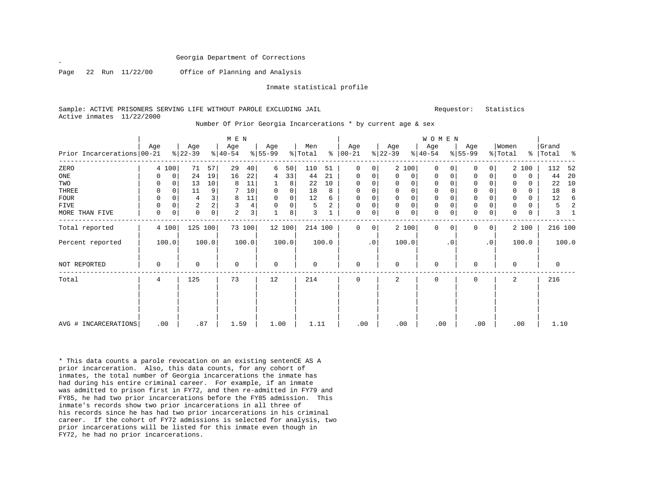˝

Page 22 Run 11/22/00 Office of Planning and Analysis

Inmate statistical profile

Sample: ACTIVE PRISONERS SERVING LIFE WITHOUT PAROLE EXCLUDING JAIL **Subset Construent Construent** Requestor: Statistics Active inmates 11/22/2000

|                            |          |          |                  |       | M E N           |                |                 |             |                |       |                      |           |                  |             | WOMEN            |             |                 |          |                  |          |                    |       |
|----------------------------|----------|----------|------------------|-------|-----------------|----------------|-----------------|-------------|----------------|-------|----------------------|-----------|------------------|-------------|------------------|-------------|-----------------|----------|------------------|----------|--------------------|-------|
| Prior Incarcerations 00-21 | Age      |          | Age<br>$ 22-39 $ |       | Age<br>$ 40-54$ |                | Age<br>$ 55-99$ |             | Men<br>% Total |       | Age<br>$8   00 - 21$ |           | Age<br>$ 22-39 $ |             | Age<br>$ 40-54 $ |             | Age<br>$ 55-99$ |          | Women<br>% Total |          | Grand<br>%   Total | ို့   |
| ZERO                       |          | 4 100    | 71               | 57    | 29              | 40             | 6               | 50          | 110            | 51    | 0                    | 0         |                  | 2 100       | $\mathbf 0$      | $\Omega$    | 0               | $\Omega$ |                  | 2 100    | 112                | 52    |
| ONE                        | 0        | 0        | 24               | 19    | 16              | 22             | 4               | 33          | 44             | 21    | 0                    | 0         | 0                | 0           | 0                | 0           | 0               | O        | 0                | $\Omega$ | 44 20              |       |
| TWO                        | 0        | $\Omega$ | 13               | 10    | 8               | 11             |                 | 8           | 22             | 10    | $\Omega$             | $\Omega$  | 0                | $\mathbf 0$ | $\Omega$         | 0           | $\Omega$        |          | 0                | $\Omega$ | 22                 | 10    |
| THREE                      | 0        | $\Omega$ | 11               | 9     |                 | 10             | $\Omega$        | 0           | 18             | 8     | 0                    | $\Omega$  |                  | $\mathbf 0$ | $\Omega$         | 0           | $\Omega$        |          | 0                | 0        | 18                 |       |
| FOUR                       | 0        | $\Omega$ | 4                | 3     | 8               | 11             | $\Omega$        | $\mathbf 0$ | 12             | 6     | 0                    | 0         |                  | $\mathbf 0$ | $\mathbf 0$      | $\mathbf 0$ | $\Omega$        | $\Omega$ | 0                | $\Omega$ | 12                 |       |
| FIVE                       | 0        | 0        | $\overline{a}$   |       | 3               | $\overline{4}$ |                 | 0           | 5              | 2     | 0                    | 0         |                  | $\mathbf 0$ | $\mathbf 0$      | $\mathbf 0$ | 0               | 0        | 0                |          | 5                  |       |
| MORE THAN FIVE             | $\Omega$ | 0        | $\Omega$         | 0     | $\overline{2}$  | 3              |                 | 8           | 3              |       | $\Omega$             | 0         | U                | 0           | $\Omega$         | 0           | $\Omega$        | 0        | 0                | $\Omega$ | 3                  |       |
| Total reported             |          | 4 100    | 125 100          |       |                 | 73 100         |                 | 12 100      | 214 100        |       | $\Omega$             | $\Omega$  |                  | 2 100       | $\Omega$         | $\Omega$    | $\Omega$        | $\Omega$ |                  | 2 100    | 216 100            |       |
| Percent reported           |          | 100.0    |                  | 100.0 |                 | 100.0          |                 | 100.0       |                | 100.0 |                      | $\cdot$ 0 |                  | 100.0       |                  | $\cdot$ 0   |                 | . 0      |                  | 100.0    |                    | 100.0 |
| NOT REPORTED               | 0        |          | 0                |       | 0               |                | 0               |             | 0              |       | 0                    |           | 0                |             | $\mathbf 0$      |             | $\Omega$        |          | 0                |          | 0                  |       |
| Total                      | 4        |          | 125              |       | 73              |                | 12              |             | 214            |       | $\Omega$             |           | 2                |             | $\Omega$         |             | $\Omega$        |          | 2                |          | 216                |       |
|                            |          |          |                  |       |                 |                |                 |             |                |       |                      |           |                  |             |                  |             |                 |          |                  |          |                    |       |
|                            |          |          |                  |       |                 |                |                 |             |                |       |                      |           |                  |             |                  |             |                 |          |                  |          |                    |       |
| AVG # INCARCERATIONS       |          | .00      | .87              |       | 1.59            |                | 1.00            |             | 1.11           |       | .00                  |           | .00              |             | .00              |             | .00             |          |                  | .00      | 1.10               |       |

Number Of Prior Georgia Incarcerations \* by current age & sex

\* This data counts a parole revocation on an existing sentenCE AS A prior incarceration. Also, this data counts, for any cohort of inmates, the total number of Georgia incarcerations the inmate has had during his entire criminal career. For example, if an inmate was admitted to prison first in FY72, and then re-admitted in FY79 and FY85, he had two prior incarcerations before the FY85 admission. This inmate's records show two prior incarcerations in all three of his records since he has had two prior incarcerations in his criminal career. If the cohort of FY72 admissions is selected for analysis, two prior incarcerations will be listed for this inmate even though in FY72, he had no prior incarcerations.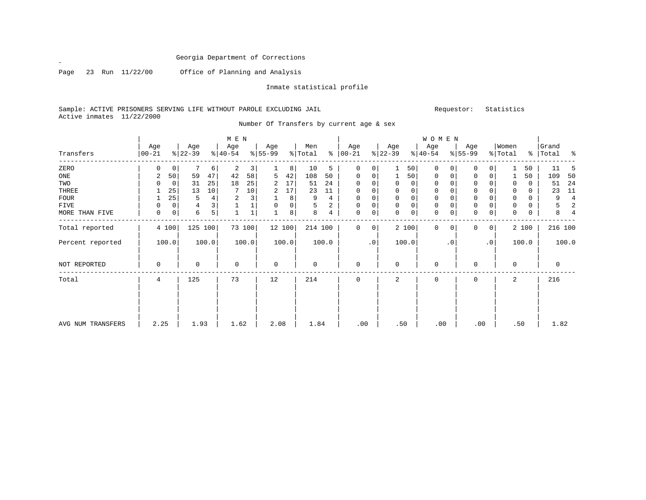Page 23 Run 11/22/00 Office of Planning and Analysis

Inmate statistical profile

Sample: ACTIVE PRISONERS SERVING LIFE WITHOUT PAROLE EXCLUDING JAIL **Subset Activates** Requestor: Statistics Active inmates 11/22/2000

| M E N | W O M E N | Age | Age | Age | Age | Men | Age | Age | Age | Age |Women |Grand Transfers |00-21 %|22-39 %|40-54 %|55-99 %|Total % |00-21 %|22-39 %|40-54 %|55-99 %|Total % |Total % ------------------------------------------------------------------------------------------------------------------------------------ZERO | 0 0| 7 6| 2 3| 1 8| 10 5 | 0 0| 1 50| 0 0| 0 0| 1 50 | 11 5 ONE | 2 50| 59 47| 42 58| 5 42| 108 50 | 0 0| 1 50| 0 0| 0 0| 1 50 | 109 50 TWO | 0 0| 31 25| 18 25| 2 17| 51 24 | 0 0| 0 0| 0 0| 0 0| 0 0 | 51 24 THREE | 1 25| 13 10| 7 10| 2 17| 23 11 | 0 0| 0 0| 0 0| 0 0| 0 0 | 23 11 FOUR | 1 25| 5 4| 2 3| 1 8| 9 4 | 0 0| 0 0| 0 0| 0 0| 0 0 | 9 4 FIVE | 0 0| 4 3| 1 1| 0 0| 5 2 | 0 0| 0 0| 0 0| 0 0| 0 0 | 5 2 MORE THAN FIVE | 0 0| 6 5| 1 1| 1 8| 8 4 | 0 0| 0 0| 0 0| 0 0| 0 0 | 8 4 ------------------------------------------------------------------------------------------------------------------------------------216 100 Total reported | 4 100 | 125 100 | 73 100 | 12 100 | 214 100 | 0 0 | 2 100 | 0 0 | 0 0 | 2 100 | | | | | | | | | | | Percent reported | 100.0| 100.0| 100.0| 100.0| 100.0 | .0| 100.0| .0| .0| 100.0 | 100.0 | | | | | | | | | | | | | | | | | | | | | | NOT REPORTED | 0 | 0 | 0 | 0 | 0 | 0 | 0 | 0 | 0 | 0 | 0 ------------------------------------------------------------------------------------------------------------------------------------Total | 4 | 125 | 73 | 12 | 214 | 0 | 2 | 0 | 0 | 2 | 216 | | | | | | | | | | | | | | | | | | | | | | | | | | | | | | | | | | | | | | | | | | | | | | | | | | | | | | | AVG NUM TRANSFERS | 2.25 | 1.93 | 1.62 | 2.08 | 1.84 | .00 | .50 | .00 | .00 | .50 | 1.82

### Number Of Transfers by current age & sex

˝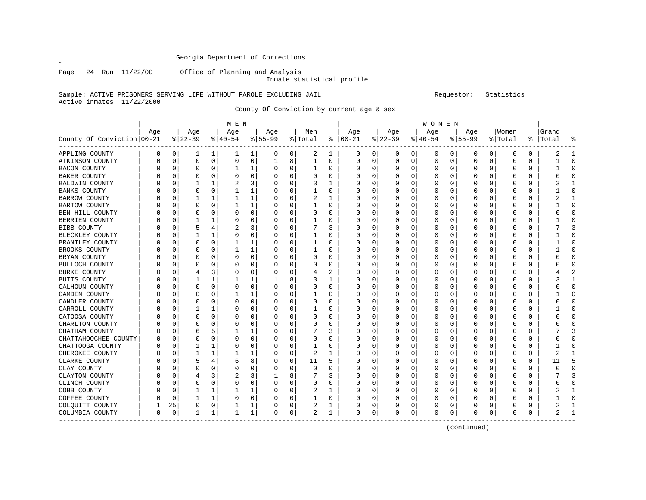Page 24 Run 11/22/00 Office of Planning and Analysis

 $\mathscr{L}$ 

Inmate statistical profile

Sample: ACTIVE PRISONERS SERVING LIFE WITHOUT PAROLE EXCLUDING JAIL Requestor: Statistics Active inmates 11/22/2000

County Of Conviction by current age & sex

|                              |          |          |              |             | M E N    |             |          |             |                |          |               |             |          |             | W O M E N |   |           |             |          |          |          |              |
|------------------------------|----------|----------|--------------|-------------|----------|-------------|----------|-------------|----------------|----------|---------------|-------------|----------|-------------|-----------|---|-----------|-------------|----------|----------|----------|--------------|
|                              | Age      |          | Age          |             | Age      |             | Age      |             | Men            |          | Age           |             | Age      |             | Age       |   | Age       |             | Women    |          | Grand    |              |
| County Of Conviction   00-21 |          |          | $ 22-39 $    |             | $ 40-54$ |             | $ 55-99$ |             | % Total        |          | $8   00 - 21$ |             | $ 22-39$ |             | $ 40-54$  |   | $8 55-99$ |             | % Total  | ႜ        | Total    |              |
| APPLING COUNTY               | 0        | 0        | ı            | 1           | ı        | 1           | 0        | 0           | 2              | 1        | 0             | 0           | 0        | 0           | 0         | 0 | 0         | 0           | $\Omega$ | 0        | 2        | 1            |
| ATKINSON COUNTY              | 0        | 0        | 0            | $\mathbf 0$ | 0        | $\mathbf 0$ | 1        | 8           | 1              | 0        | 0             | $\mathbf 0$ | 0        | $\mathbf 0$ | 0         | 0 | 0         | $\mathbf 0$ | $\Omega$ | 0        | 1        | <sup>0</sup> |
| <b>BACON COUNTY</b>          | O        | $\Omega$ | $\Omega$     | 0           |          | 1           | 0        | $\mathbf 0$ | $\mathbf{1}$   | $\Omega$ | 0             | $\mathbf 0$ | 0        | $\mathbf 0$ | $\Omega$  | 0 | 0         | 0           | 0        | $\Omega$ | 1        | $\Omega$     |
| <b>BAKER COUNTY</b>          | O        | $\Omega$ | 0            | 0           | 0        | 0           | 0        | 0           | $\Omega$       | 0        | O             | 0           | 0        | 0           | 0         | O | 0         | 0           | O        | 0        | O        | ∩            |
| BALDWIN COUNTY               |          | C        |              | 1           | 2        | 3           | 0        | 0           | 3              |          | 0             | 0           | 0        | 0           | 0         | 0 | 0         | 0           | $\Omega$ | $\Omega$ |          |              |
| BANKS COUNTY                 |          | C        | 0            | $\Omega$    |          | 1           | 0        | $\Omega$    |                | $\Omega$ | 0             | 0           | O        | 0           | U         | O | 0         | 0           | O        | $\Omega$ |          |              |
| BARROW COUNTY                |          | C        |              | 1           |          | 1           | 0        | 0           | 2              |          | 0             | 0           | 0        | 0           | 0         | O | 0         | 0           | O        | 0        |          |              |
| BARTOW COUNTY                |          | 0        | 0            | $\Omega$    |          | 1           | 0        | 0           |                | $\Omega$ | 0             | $\mathbf 0$ | 0        | 0           | 0         | 0 | 0         | 0           | $\Omega$ | $\Omega$ |          | C            |
| BEN HILL COUNTY              |          | C        | C            | O           | O        | 0           | Ω        | $\Omega$    | O              | $\Omega$ |               | 0           | C        | 0           | 0         | O | 0         | 0           |          | 0        |          | C            |
| BERRIEN COUNTY               |          | $\Omega$ | 1            | 1           | O        | 0           | 0        | 0           | 1              | 0        | O             | 0           | 0        | 0           | 0         | 0 | 0         | 0           | O        | 0        |          | ∩            |
| BIBB COUNTY                  | n        | $\Omega$ | 5            | 4           |          | 3           | U        | 0           |                | 3        | O             | 0           | 0        | 0           | U         | O | 0         | 0           | O        | 0        |          |              |
| BLECKLEY COUNTY              |          | C        |              | 1           | 0        | 0           | 0        | $\Omega$    |                | 0        | 0             | 0           |          | 0           | 0         | 0 | 0         | 0           | 0        | $\Omega$ |          |              |
| BRANTLEY COUNTY              |          | C        | 0            | $\Omega$    |          | 1           | 0        | $\Omega$    |                | $\Omega$ | 0             | $\Omega$    | 0        | 0           | 0         | 0 | 0         | 0           | O        | $\Omega$ |          |              |
| BROOKS COUNTY                |          | O        | 0            | O           |          | 1           | 0        | 0           |                | 0        | 0             | 0           | 0        | 0           | O         | O | 0         | 0           | O        | 0        |          | n            |
| BRYAN COUNTY                 |          | C        | 0            | $\Omega$    | 0        | 0           | 0        | $\mathbf 0$ | $\Omega$       | 0        | 0             | 0           | C        | 0           | 0         | 0 | 0         | 0           | 0        | 0        |          |              |
| BULLOCH COUNTY               |          | C        | 0            | O           | O        | $\Omega$    | U        | 0           | $\Omega$       | $\Omega$ | O             | 0           | 0        | 0           | U         | O | 0         | 0           | O        | $\Omega$ | U        | $\cap$       |
| BURKE COUNTY                 |          | 0        | 4            | 3           | O        | 0           | 0        | 0           | 4              | 2        | 0             | 0           | 0        | 0           | 0         | O | 0         | 0           | O        | 0        |          |              |
| BUTTS COUNTY                 |          | C        | 1            | 1           |          | 1           |          | 8           | 3              |          | 0             | 0           | 0        | 0           | 0         | 0 | 0         | 0           | $\Omega$ | $\Omega$ |          |              |
| CALHOUN COUNTY               | U        | ſ        | 0            | $\Omega$    | O        | 0           | 0        | $\Omega$    | $\Omega$       | 0        | 0             | 0           | Ω        | 0           | U         | O | 0         | 0           | O        | $\Omega$ |          |              |
| CAMDEN COUNTY                |          | C        | 0            | 0           |          | 1           | 0        | $\Omega$    |                | 0        | 0             | 0           | 0        | 0           | 0         | O | 0         | 0           | O        | 0        |          | U            |
| CANDLER COUNTY               |          | O        | 0            | O           | O        | 0           | O        | $\mathbf 0$ | $\Omega$       | $\Omega$ | O             | $\mathbf 0$ | 0        | 0           | 0         | O | 0         | O           | $\left($ | $\Omega$ | O        | C            |
| CARROLL COUNTY               |          | C        |              | 1           | 0        | 0           | Ω        | 0           |                | 0        | 0             | 0           | C        | 0           | 0         | 0 | 0         | 0           |          | $\Omega$ |          | U            |
| CATOOSA COUNTY               |          | C        | 0            | $\Omega$    | 0        | $\Omega$    | 0        | $\Omega$    | $\Omega$       | $\Omega$ | 0             | $\Omega$    | 0        | 0           | 0         | 0 | 0         | 0           | O        | $\Omega$ | U        | $\cap$       |
| CHARLTON COUNTY              | U        | $\Omega$ | 0            | 0           | O        | 0           | U        | 0           | O              | 0        | O             | 0           | 0        | 0           | U         | O | 0         | 0           | O        | 0        | U        | U            |
| CHATHAM COUNTY               |          | C        | 6            | 5           |          | 1           | 0        | 0           |                | 3        | 0             | 0           |          | 0           | 0         | 0 | 0         | 0           | 0        | $\Omega$ |          |              |
| CHATTAHOOCHEE COUNTY         | O        | $\Omega$ | C            | O           | O        | $\Omega$    | U        | $\Omega$    | $\Omega$       | $\Omega$ | O             | $\Omega$    | O        | 0           | U         | O | 0         | U           | O        | $\Omega$ | O        |              |
| CHATTOOGA COUNTY             |          | O        |              | 1           | O        | 0           | 0        | 0           |                | 0        | 0             | 0           | 0        | 0           | 0         | O | 0         | 0           | O        | 0        |          |              |
| CHEROKEE COUNTY              |          | C        | 1            | 1           |          | 1           | 0        | 0           | 2              |          | 0             | 0           |          | 0           | 0         | 0 | 0         | 0           |          | $\Omega$ | 2        |              |
| CLARKE COUNTY                |          | C        | 5            | 4           | 6        | 8           | 0        | 0           | 11             | 5        | 0             | 0           | C        | 0           | 0         | O | 0         | 0           | O        | 0        | 11       |              |
| CLAY COUNTY                  |          | O        | $\Omega$     | 0           | O        | $\Omega$    | 0        | $\mathbf 0$ | $\Omega$       | 0        | 0             | 0           | 0        | 0           | $\Omega$  | O | 0         | 0           | O        | 0        | $\Omega$ |              |
| CLAYTON COUNTY               | O        | $\Omega$ |              | 3           | 2        | 3           |          | 8           |                | 3        | O             | 0           | 0        | 0           | U         | O | 0         | 0           | $\left($ | $\Omega$ |          |              |
| CLINCH COUNTY                | O        | C        | C            | 0           | O        | 0           | 0        | 0           | $\Omega$       | 0        | 0             | 0           | 0        | 0           | 0         | O | 0         | 0           | O        | $\Omega$ | n        |              |
| COBB COUNTY                  |          | $\Omega$ |              | 1           |          | 1           | 0        | $\Omega$    |                | 1        | 0             | $\Omega$    | 0        | 0           | 0         | 0 | 0         | 0           | O        | $\Omega$ |          |              |
| COFFEE COUNTY                |          | $\Omega$ | 1            | 1           | O        | 0           | 0        | 0           |                | 0        | 0             | 0           | 0        | 0           | 0         | O | 0         | 0           | $\left($ | 0        |          |              |
| COLQUITT COUNTY              |          | 25       | 0            | 0           |          | 1           | 0        | 0           | 2              |          | 0             | 0           | 0        | 0           | 0         | 0 | 0         | 0           |          | 0        |          |              |
| COLUMBIA COUNTY              | $\Omega$ | 0        | $\mathbf{1}$ | 1           | 1        | 1           | O        | 0           | $\mathfrak{D}$ | 1        | $\Omega$      | 0           | O        | 0           | $\Omega$  | 0 | $\Omega$  | 0           | O        | 0        | 2        |              |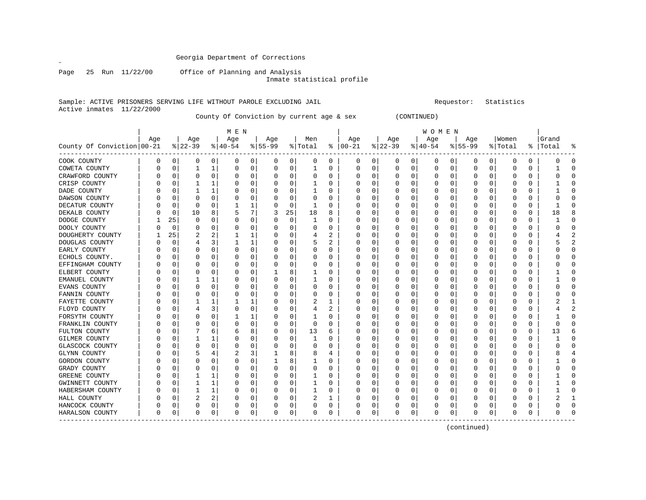Page 25 Run 11/22/00 Office of Planning and Analysis

Inmate statistical profile

#### Sample: ACTIVE PRISONERS SERVING LIFE WITHOUT PAROLE EXCLUDING JAIL Requestor: Statistics Active inmates 11/22/2000

County Of Conviction by current age & sex (CONTINUED)

|                            |     |          |             |          | M E N    |             |           |             |              |          |            |             |          |          | <b>WOMEN</b>          |   |              |   |          |          |          |              |
|----------------------------|-----|----------|-------------|----------|----------|-------------|-----------|-------------|--------------|----------|------------|-------------|----------|----------|-----------------------|---|--------------|---|----------|----------|----------|--------------|
|                            | Age |          | Age         |          | Age      |             | Age       |             | Men          |          | Age        |             | Age      |          | Age                   |   | Age          |   | Women    |          | Grand    |              |
| County Of Conviction 00-21 |     |          | $ 22-39 $   |          | $ 40-54$ |             | $8 55-99$ |             | % Total      |          | $% 100-21$ |             | $ 22-39$ |          | $\frac{1}{6}$   40-54 |   | $8 55-99$    |   | % Total  | ႜ        | Total    |              |
| COOK COUNTY                | 0   | 0        | 0           | 0        | 0        | 0           | 0         | 0           | 0            | 0        | 0          | 0           | 0        | 0        | 0                     | 0 | 0            | 0 | 0        | 0        | 0        | O            |
| COWETA COUNTY              | O   | $\Omega$ |             | 1        | $\Omega$ | $\mathbf 0$ | 0         | 0           | $\mathbf{1}$ | $\Omega$ | $\Omega$   | $\mathbf 0$ | $\Omega$ | 0        | $\mathbf 0$           | 0 | 0            | 0 | $\Omega$ | $\Omega$ |          | n            |
| CRAWFORD COUNTY            |     | $\Omega$ | 0           | 0        | O        | 0           | 0         | 0           | $\Omega$     | 0        | 0          | 0           | O        | 0        | 0                     | O | 0            | 0 | O        | $\Omega$ | n        |              |
| CRISP COUNTY               |     | $\Omega$ |             | 1        | O        | 0           | 0         | 0           |              | $\Omega$ | O          | $\Omega$    | 0        | $\Omega$ | U                     | O | $\left($     | O | $\left($ | $\Omega$ |          |              |
| DADE COUNTY                |     | O        |             | 1        |          | $\Omega$    | Ω         | $\mathbf 0$ |              | $\Omega$ | O          | 0           |          | 0        | 0                     | O | 0            | 0 |          | $\Omega$ |          |              |
| DAWSON COUNTY              |     | C        | $\Omega$    | $\Omega$ | O        | $\Omega$    | U         | $\mathbf 0$ | $\Omega$     | $\Omega$ | O          | 0           | C        | $\Omega$ | $\Omega$              | O | 0            | 0 |          | $\Omega$ | O        |              |
| DECATUR COUNTY             |     | $\Omega$ | $\mathbf 0$ | $\Omega$ |          | 1           | 0         | 0           | 1            | $\Omega$ | 0          | 0           | 0        | $\Omega$ | 0                     | 0 | 0            | 0 | 0        | $\Omega$ | 1        | U            |
| DEKALB COUNTY              |     | 0        | 10          | 8        |          | 7           | 3         | 25          | 18           | 8        | O          | 0           | 0        | 0        | 0                     | O | 0            | 0 | $\left($ | 0        | 18       |              |
| DODGE COUNTY               |     | 25       | 0           | $\Omega$ | O        | 0           | 0         | $\mathbf 0$ |              | 0        | O          | 0           | 0        | 0        | $\Omega$              | O | 0            | 0 | $\left($ | $\Omega$ |          | C            |
| DOOLY COUNTY               |     | $\Omega$ | 0           | 0        | 0        | 0           | 0         | $\Omega$    | $\Omega$     | 0        | 0          | 0           | 0        | 0        | 0                     | 0 | 0            | 0 | O        | $\Omega$ | U        |              |
| DOUGHERTY COUNTY           |     | 25       |             | 2        |          | 1           | 0         | $\Omega$    |              | 2        | 0          | $\Omega$    | 0        | 0        | 0                     | O | 0            | 0 | O        | $\Omega$ |          |              |
| DOUGLAS COUNTY             |     | $\Omega$ |             | 3        |          | 1           | 0         | $\Omega$    |              | 2        | 0          | $\Omega$    | 0        | $\Omega$ | 0                     | O | 0            | 0 | O        | $\Omega$ |          |              |
| EARLY COUNTY               |     | 0        | 0           | $\Omega$ | 0        | 0           | 0         | 0           | 0            | 0        | 0          | $\mathbf 0$ | C        | 0        | 0                     | 0 | 0            | 0 | 0        | 0        |          | n            |
| ECHOLS COUNTY.             |     | C        | C           | O        | 0        | $\Omega$    | Ω         | 0           | O            | 0        |            | $\mathbf 0$ | C        | 0        | 0                     | 0 | 0            | 0 |          | $\Omega$ |          | n            |
| EFFINGHAM COUNTY           |     | $\Omega$ | $\Omega$    | 0        | O        | 0           | O         | 0           | $\Omega$     | $\Omega$ | O          | 0           | 0        | 0        | 0                     | O | 0            | 0 | O        | $\Omega$ | n        | ∩            |
| ELBERT COUNTY              |     | 0        | 0           | 0        | O        | 0           |           | 8           |              | 0        | 0          | 0           | 0        | 0        | 0                     | O | 0            | 0 | O        | 0        |          | <sup>0</sup> |
| EMANUEL COUNTY             |     | $\Omega$ |             | 1        | O        | $\Omega$    | 0         | 0           |              | 0        | O          | 0           | 0        | 0        | 0                     | 0 | 0            | 0 | O        | 0        |          | <sup>0</sup> |
| EVANS COUNTY               |     | C        | C           | $\Omega$ | 0        | $\Omega$    | 0         | 0           | O            | 0        | 0          | 0           |          | 0        | 0                     | 0 | 0            | 0 | $\Box$   | $\Omega$ | n        |              |
| FANNIN COUNTY              |     | C        | C           | O        | O        | $\Omega$    | 0         | $\Omega$    | $\Omega$     | $\Omega$ | O          | 0           | O        | 0        | U                     | O | 0            | U | O        | $\Omega$ |          |              |
| FAYETTE COUNTY             |     | O        |             | 1        |          | 1           | 0         | 0           |              |          | 0          | 0           | 0        | 0        | 0                     | O | Ω            | U | $\left($ | $\Omega$ |          |              |
| FLOYD COUNTY               |     | O        |             | 3        | O        | 0           | 0         | 0           | 4            | 2        | 0          | 0           | C        | 0        | 0                     | O | 0            | 0 | $\left($ | $\Omega$ |          |              |
| FORSYTH COUNTY             |     | C        | C           | $\Omega$ |          | 1           | O         | $\mathbf 0$ |              | 0        | 0          | $\mathbf 0$ |          | 0        | 0                     | 0 | 0            | 0 | $\left($ | $\Omega$ |          |              |
| FRANKLIN COUNTY            |     | C        | C           | O        | O        | $\Omega$    | U         | $\mathbf 0$ | $\Omega$     | $\Omega$ | O          | $\mathbf 0$ | C        | $\Omega$ | $\Omega$              | O | 0            | 0 |          | $\Omega$ | $\Omega$ |              |
| FULTON COUNTY              |     | O        |             | 6        | 6        | 8           | U         | 0           | 13           | 6        | O          | 0           | 0        | $\Omega$ | U                     | O | <sup>0</sup> | 0 | O        | $\Omega$ | 13       | F            |
| GILMER COUNTY              |     | $\Omega$ | 1           | 1        | O        | $\mathbf 0$ | 0         | 0           | -1           | 0        | O          | 0           | 0        | $\Omega$ | $\Omega$              | O | 0            | 0 | $\left($ | 0        |          | C            |
| GLASCOCK COUNTY            |     |          | 0           | 0        | 0        | 0           | 0         | $\Omega$    | $\Omega$     | $\Omega$ | 0          | 0           |          | 0        | 0                     | 0 | 0            | 0 | 0        | $\Omega$ | O        |              |
| GLYNN COUNTY               |     | C        |             | 4        |          | 3           |           | 8           | 8            | 4        | 0          | $\Omega$    | 0        | 0        | 0                     | 0 | 0            | 0 | C        | $\Omega$ | 8        |              |
| GORDON COUNTY              |     | C        | $\Omega$    | O        | O        | $\Omega$    |           | 8           |              | $\Omega$ | O          | $\Omega$    | O        | $\Omega$ | $\Omega$              | O | O            | U | O        | $\Omega$ |          |              |
| GRADY COUNTY               |     | O        | 0           | $\Omega$ | O        | 0           | 0         | 0           | $\Omega$     | $\Omega$ | 0          | $\Omega$    | 0        | $\Omega$ | 0                     | O | 0            | 0 | O        | $\Omega$ | O        | U            |
| GREENE COUNTY              |     | $\Omega$ | 1           | 1        | 0        | 0           | 0         | 0           |              | $\Omega$ | 0          | $\mathbf 0$ | 0        | $\Omega$ | 0                     | 0 | 0            | 0 | $\Omega$ | $\Omega$ |          | C            |
| GWINNETT COUNTY            |     | C        |             | 1        | 0        | $\Omega$    | U         | 0           |              | 0        | 0          | 0           | C        | 0        | 0                     | 0 | 0            | 0 |          | $\Omega$ |          | C            |
| HABERSHAM COUNTY           |     | C        | 1           | 1        | O        | 0           | O         | 0           | 1            | 0        | 0          | 0           | 0        | 0        | 0                     | 0 | 0            | 0 | O        | 0        |          | ∩            |
| HALL COUNTY                |     | $\Omega$ | 2           | 2        | 0        | 0           | 0         | 0           | 2            | 1        | 0          | 0           | 0        | 0        | 0                     | 0 | 0            | 0 | O        | $\Omega$ | 2        | 1            |
| HANCOCK COUNTY             | O   | 0        | 0           | 0        | 0        | 0           | 0         | 0           | 0            | 0        | 0          | 0           | 0        | 0        | 0                     | 0 | 0            | 0 | $\left($ | 0        | O        | <sup>0</sup> |
| HARALSON COUNTY            | 0   | 0        | 0           | 0        | 0        | 0           | 0         | 0           | 0            | 0        | 0          | 0           | 0        | 0        | 0                     | 0 | 0            | 0 | 0        | 0        | O        |              |

(continued)

 $\mathscr{L}$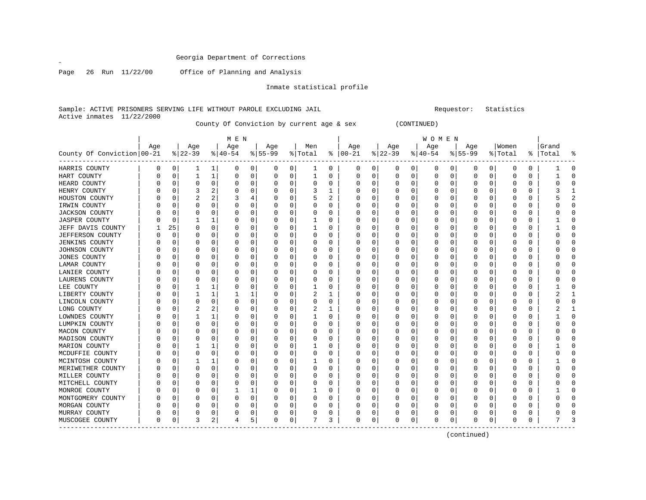$\mathscr{L}$ 

Page 26 Run 11/22/00 Office of Planning and Analysis

Inmate statistical profile

Sample: ACTIVE PRISONERS SERVING LIFE WITHOUT PAROLE EXCLUDING JAIL **Requestor:** Statistics Active inmates 11/22/2000

County Of Conviction by current age & sex (CONTINUED)

|                            |          |          |           |              | M E N    |          |           |          |          |              |          |              |          |   | W O M E N |          |           |          |          |          |           |                |
|----------------------------|----------|----------|-----------|--------------|----------|----------|-----------|----------|----------|--------------|----------|--------------|----------|---|-----------|----------|-----------|----------|----------|----------|-----------|----------------|
|                            | Age      |          | Age       |              | Age      |          | Age       |          | Men      |              | Age      |              | Age      |   | Age       |          | Age       |          | Women    |          | Grand     |                |
| County Of Conviction 00-21 |          |          | $ 22-39 $ |              | $ 40-54$ |          | $8 55-99$ |          | % Total  | ႜ            | $ 00-21$ |              | $ 22-39$ |   | $ 40-54$  |          | $8 55-99$ |          | % Total  |          | %   Total | ႜ              |
| HARRIS COUNTY              | 0        | 0        | 1         | 1            | 0        | 0        | 0         | 0        | ı        | 0            | 0        | 0            | 0        | 0 | 0         | 0        | 0         | 0        | 0        | 0        |           | 0              |
| HART COUNTY                |          | $\Omega$ | 1         | 1            | $\Omega$ | 0        | 0         | 0        |          | O            | $\Omega$ | O            | 0        | 0 | $\Omega$  | 0        | 0         | 0        | $\Omega$ | $\Omega$ |           | $\Omega$       |
| HEARD COUNTY               |          | $\Omega$ | $\Omega$  | $\Omega$     | $\Omega$ | $\Omega$ | O         | 0        | $\Omega$ | $\Omega$     | U        | 0            | $\Omega$ | 0 | O         | $\Omega$ | Ω         | $\Omega$ | $\Omega$ | $\Omega$ |           | $\Omega$       |
| HENRY COUNTY               |          | $\Omega$ | 3         | 2            | $\Omega$ | $\Omega$ |           | $\Omega$ | 3        | 1            | O        | <sup>0</sup> | $\Omega$ | O |           | $\Omega$ | Ω         | $\Omega$ | $\Omega$ | $\Omega$ |           | 1              |
| HOUSTON COUNTY             |          | $\Omega$ | 2         | 2            | 3        |          |           | $\Omega$ |          | 2            | 0        | 0            | 0        | 0 |           | 0        |           | $\Omega$ | $\Omega$ | $\Omega$ |           | $\overline{a}$ |
| IRWIN COUNTY               |          | $\Omega$ | 0         | 0            | $\Omega$ | $\Omega$ |           | 0        | 0        | $\Omega$     | 0        | O            | 0        | 0 |           | 0        | 0         | $\Omega$ | $\Omega$ | $\Omega$ |           | $\Omega$       |
| JACKSON COUNTY             |          | 0        | 0         | 0            | O        | 0        |           | 0        | 0        | 0            | 0        | O            | 0        | 0 | O         | 0        | 0         | $\Omega$ | 0        | 0        |           | 0              |
| JASPER COUNTY              |          | 0        |           |              | O        | O        | O         | 0        |          | O            | U        | 0            | 0        | 0 | O         | 0        | 0         | 0        | O        | 0        |           | 0              |
| JEFF DAVIS COUNTY          |          | 25       | 0         | 0            | 0        |          |           | 0        | 1        | O            | 0        | O            | 0        | 0 | 0         | 0        | 0         | 0        | O        | 0        |           | 0              |
| <b>JEFFERSON COUNTY</b>    |          | $\Omega$ |           | O            | ∩        | O        |           | 0        | 0        | n            | U        |              | $\Omega$ | U | O         | 0        | ი         | $\Omega$ | $\Omega$ | $\Omega$ |           | $\Omega$       |
| <b>JENKINS COUNTY</b>      |          | $\Omega$ | N         | O            | $\Omega$ | $\Omega$ |           | 0        | O        | U            | O        | U            | $\Omega$ | U | O         | O        | Ω         | $\Omega$ | $\Omega$ | $\Omega$ |           | $\Omega$       |
| JOHNSON COUNTY             |          | $\Omega$ | 0         | O            | $\Omega$ | $\Omega$ |           | $\Omega$ | n        | U            | O        | U            | $\Omega$ | 0 | $\left($  | $\Omega$ | 0         | $\Omega$ | $\Omega$ | $\Omega$ |           | $\Omega$       |
| <b>JONES COUNTY</b>        |          | 0        | 0         | $\Omega$     |          | $\Omega$ |           | 0        |          | O            | 0        | O            | $\Omega$ | 0 | $\left($  | 0        | ი         | 0        | $\Omega$ | $\Omega$ |           | $\Omega$       |
| LAMAR COUNTY               |          | $\Omega$ | N         | O            |          | O        |           | $\Omega$ | O        | $\Omega$     | $\Omega$ | 0            | $\Omega$ | 0 |           | 0        | Ω         | $\Omega$ | $\Omega$ | $\Omega$ |           | $\Omega$       |
| LANIER COUNTY              |          | $\Omega$ | N         | O            |          | $\Omega$ |           | 0        | O        | $\Omega$     | U        | <sup>0</sup> | $\Omega$ | 0 | $\Omega$  | 0        | Ω         | $\Omega$ | $\Omega$ | $\Omega$ |           | $\Omega$       |
| LAURENS COUNTY             |          | $\Omega$ | O         | O            | O        | O        |           | 0        | n        | <sup>0</sup> | U        | O            | $\Omega$ | U | O         | 0        | Ω         | $\Omega$ | $\Omega$ | $\Omega$ |           | $\Omega$       |
| LEE COUNTY                 |          | $\Omega$ |           |              | 0        | 0        | O         | 0        |          | 0            | 0        | 0            | $\Omega$ | 0 | 0         | 0        | 0         | $\Omega$ | $\Omega$ | $\Omega$ |           | $\Omega$       |
| LIBERTY COUNTY             |          | $\Omega$ |           | 1            |          |          |           | 0        | 2        |              | 0        |              | $\Omega$ | 0 | O         | 0        | 0         | $\Omega$ | $\Omega$ | $\Omega$ |           | $\mathbf{1}$   |
| LINCOLN COUNTY             |          | $\Omega$ | O         | $\Omega$     | $\Omega$ | $\Omega$ |           | 0        | O        | $\Omega$     | O        | U            | $\Omega$ | 0 | O         | 0        | Ω         | $\Omega$ | $\Omega$ | 0        |           | $\Omega$       |
| LONG COUNTY                |          | $\Omega$ | 2         | 2            | O        | $\Omega$ | O         | 0        | 2        |              | O        | 0            | 0        | 0 | $\left($  | 0        | Ω         | $\Omega$ | O        | 0        |           | 1              |
| LOWNDES COUNTY             |          | $\Omega$ |           |              | O        | $\Omega$ |           | 0        |          | O            | 0        | 0            | 0        | 0 |           | 0        | Ω         | 0        | 0        | 0        |           | 0              |
| LUMPKIN COUNTY             |          | $\Omega$ | 0         | $\Omega$     | $\Omega$ | $\Omega$ |           | 0        | 0        | 0            | 0        | O            | 0        | 0 |           | 0        | C         | $\Omega$ | $\Omega$ | $\Omega$ |           | $\mathbf 0$    |
| MACON COUNTY               |          | $\Omega$ | 0         | O            |          | $\Omega$ |           | 0        | O        | O            | U        | O            | 0        | 0 |           | 0        | 0         | $\Omega$ | $\Omega$ | $\Omega$ |           | $\Omega$       |
| MADISON COUNTY             |          | $\Omega$ | 0         | O            | O        | O        |           | 0        | 0        | 0            | U        | U            | $\Omega$ | 0 | ∩         | 0        | 0         | $\Omega$ | O        | 0        |           | $\mathbf 0$    |
| MARION COUNTY              |          | $\Omega$ |           |              | O        | O        |           | 0        |          | O            | U        | O            | 0        | 0 | O         | 0        | 0         | 0        | $\Omega$ | 0        |           | 0              |
| MCDUFFIE COUNTY            |          | $\Omega$ | N         | O            |          |          |           | 0        |          | O            | U        |              | $\Omega$ | U | O         | 0        | ი         | $\Omega$ | $\Omega$ | $\Omega$ |           | $\Omega$       |
| MCINTOSH COUNTY            |          | $\Omega$ |           | $\mathbf{1}$ |          | $\Omega$ |           | 0        |          | O            | U        |              | $\Omega$ | U | O         | O        | Ω         | $\Omega$ | $\Omega$ | $\Omega$ |           | $\Omega$       |
| MERIWETHER COUNTY          |          | $\Omega$ | O         | $\Omega$     | $\Omega$ | $\Omega$ | O         | $\Omega$ | $\Omega$ | $\Omega$     | O        | O            | $\Omega$ | O | O         | O        | Ω         | $\Omega$ | $\Omega$ | $\Omega$ |           | $\Omega$       |
| MILLER COUNTY              |          | $\Omega$ | 0         | $\Omega$     | $\Omega$ | $\Omega$ |           | 0        | 0        | O            | 0        | 0            | $\Omega$ | 0 | O         | 0        | 0         | $\Omega$ | $\Omega$ | $\Omega$ |           | $\Omega$       |
| MITCHELL COUNTY            |          | $\Omega$ | 0         | 0            |          | 0        |           | $\Omega$ |          | 0            | 0        | 0            | $\Omega$ | 0 |           | 0        | C         | $\Omega$ | $\Omega$ | $\Omega$ |           | $\Omega$       |
| MONROE COUNTY              |          | 0        | N         | 0            |          |          |           | 0        |          | O            | 0        | 0            | 0        | 0 | O         | 0        | 0         | $\Omega$ | $\Omega$ | 0        |           | $\Omega$       |
| MONTGOMERY COUNTY          |          | $\Omega$ | 0         | 0            |          | $\Omega$ |           | 0        | 0        | O            | 0        | 0            | $\Omega$ | 0 | $\Omega$  | 0        | 0         | $\Omega$ | $\Omega$ | $\Omega$ |           | $\Omega$       |
| MORGAN COUNTY              |          | 0        | 0         | 0            |          | 0        |           | 0        | 0        | 0            | O        | 0            | 0        | 0 | O         | 0        | 0         | 0        | O        | 0        |           | 0              |
| MURRAY COUNTY              |          | 0        | 0         | 0            |          | 0        |           | 0        |          | 0            | 0        | 0            | 0        | 0 | 0         | 0        | Ω         | 0        | O        | 0        |           | 0              |
| MUSCOGEE COUNTY            | $\Omega$ | 0        | 3         | 2            | 4        | 5        | 0         | 0        |          | 3            | $\Omega$ | 0            | $\Omega$ | 0 | $\Omega$  | 0        | ი         | 0        | $\Omega$ | $\Omega$ |           | ζ              |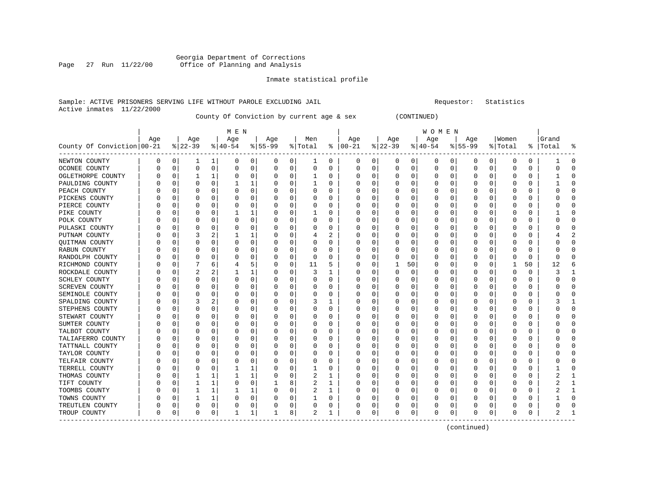#### Georgia Department of Corrections Page 27 Run 11/22/00 Office of Planning and Analysis

#### Inmate statistical profile

#### Sample: ACTIVE PRISONERS SERVING LIFE WITHOUT PAROLE EXCLUDING JAIL **Subset Construent Construent** Requestor: Statistics Active inmates 11/22/2000

County Of Conviction by current age & sex (CONTINUED)

| M E N | W O M E N | Age | Age | Age | Age | Men | Age | Age | Age | Age |Women |Grand County Of Conviction|00-21 %|22-39 %|40-54 %|55-99 %|Total % |00-21 %|22-39 %|40-54 %|55-99 %|Total % |Total % ------------------------------------------------------------------------------------------------------------------------------------NEWTON COUNTY | 0 0| 1 1| 0 0| 0 0| 1 0 | 0 0| 0 0| 0 0| 0 0| 0 0 | 1 0 OCONEE COUNTY | 0 0| 0 0| 0 0| 0 0| 0 0 | 0 0| 0 0| 0 0| 0 0| 0 0 | 0 0 OGLETHORPE COUNTY | 0 0| 1 1| 0 0| 0 0| 1 0 | 0 0| 0 0| 0 0| 0 0| 0 0 | 1 0 PAULDING COUNTY | 0 0| 0 0| 1 1| 0 0| 1 0 | 0 0| 0 0| 0 0| 0 0| 0 0 | 1 0 PEACH COUNTY | 0 0| 0 0| 0 0| 0 0| 0 0 | 0 0| 0 0| 0 0| 0 0| 0 0 | 0 0 PICKENS COUNTY | 0 0| 0 0| 0 0| 0 0| 0 0 | 0 0| 0 0| 0 0| 0 0| 0 0 | 0 0 PIERCE COUNTY | 0 0| 0 0| 0 0| 0 0| 0 0 | 0 0| 0 0| 0 0| 0 0| 0 0 | 0 0 PIKE COUNTY | 0 0| 0 0| 1 1| 0 0| 1 0 | 0 0| 0 0| 0 0| 0 0| 0 0 | 1 0 POLK COUNTY | 0 0| 0 0| 0 0| 0 0| 0 0 | 0 0| 0 0| 0 0| 0 0| 0 0 | 0 0 PULASKI COUNTY | 0 0| 0 0| 0 0| 0 0| 0 0 | 0 0| 0 0| 0 0| 0 0| 0 0 | 0 0 PUTNAM COUNTY | 0 0| 3 2| 1 1| 0 0| 4 2 | 0 0| 0 0| 0 0| 0 0| 0 0 | 4 2 QUITMAN COUNTY | 0 0| 0 0| 0 0| 0 0| 0 0 | 0 0| 0 0| 0 0| 0 0| 0 0 | 0 0 RABUN COUNTY | 0 0| 0 0| 0 0| 0 0| 0 0 | 0 0| 0 0| 0 0| 0 0| 0 0 | 0 0 RANDOLPH COUNTY | 0 0| 0 0| 0 0| 0 0| 0 0 | 0 0| 0 0| 0 0| 0 0| 0 0 | 0 0 RICHMOND COUNTY | 0 0| 7 6| 4 5| 0 0| 11 5 | 0 0| 1 50| 0 0| 0 0| 1 50 | 12 6 ROCKDALE COUNTY | 0 0| 2 2| 1 1| 0 0| 3 1 | 0 0| 0 0| 0 0| 0 0| 0 0 | 3 1 SCHLEY COUNTY | 0 0| 0 0| 0 0| 0 0| 0 0 | 0 0| 0 0| 0 0| 0 0| 0 0 | 0 0 SCREVEN COUNTY | 0 0| 0 0| 0 0| 0 0| 0 0 | 0 0| 0 0| 0 0| 0 0| 0 0 | 0 0 SEMINOLE COUNTY | 0 0| 0 0| 0 0| 0 0| 0 0 | 0 0| 0 0| 0 0| 0 0| 0 0 | 0 0 SPALDING COUNTY | 0 0| 3 2| 0 0| 0 0| 3 1 | 0 0| 0 0| 0 0| 0 0| 0 0 | 3 1 STEPHENS COUNTY | 0 0| 0 0| 0 0| 0 0| 0 0 | 0 0| 0 0| 0 0| 0 0| 0 0 | 0 0 STEWART COUNTY | 0 0| 0 0| 0 0| 0 0| 0 0 | 0 0| 0 0| 0 0| 0 0| 0 0 | 0 0 SUMTER COUNTY | 0 0| 0 0| 0 0| 0 0| 0 0 | 0 0| 0 0| 0 0| 0 0| 0 0 | 0 0 TALBOT COUNTY | 0 0| 0 0| 0 0| 0 0| 0 0 | 0 0| 0 0| 0 0| 0 0| 0 0 | 0 0 TALIAFERRO COUNTY | 0 0 | 0 0 | 0 0 | 0 0 | 0 0 | 0 0 | 0 0 | 0 0 | 0 0 | 0 0 | 0 0 | 0 0 | 0 0 | 0 0 | 0 0 | 0 TATTNALL COUNTY | 0 0| 0 0| 0 0| 0 0| 0 0 | 0 0| 0 0| 0 0| 0 0| 0 0 | 0 0 TAYLOR COUNTY | 0 0| 0 0| 0 0| 0 0| 0 0 | 0 0| 0 0| 0 0| 0 0| 0 0 | 0 0 TELFAIR COUNTY | 0 0| 0 0| 0 0| 0 0| 0 0 | 0 0| 0 0| 0 0| 0 0| 0 0 | 0 0 TERRELL COUNTY | 0 0| 0 0| 1 1| 0 0| 1 0 | 0 0| 0 0| 0 0| 0 0| 0 0 | 1 0 THOMAS COUNTY | 0 0| 1 1| 1 1| 0 0| 2 1 | 0 0| 0 0| 0 0| 0 0| 0 0 | 2 1 TIFT COUNTY | 0 0| 1 1| 0 0| 1 8| 2 1 | 0 0| 0 0| 0 0| 0 0| 0 0 | 2 1 TOOMBS COUNTY | 0 0| 1 1| 1 1| 0 0| 2 1 | 0 0| 0 0| 0 0| 0 0| 0 0 | 2 1 TOWNS COUNTY | 0 0| 1 1| 0 0| 0 0| 1 0 | 0 0| 0 0| 0 0| 0 0| 0 0 | 1 0 TREUTLEN COUNTY | 0 0| 0 0| 0 0| 0 0| 0 0 | 0 0| 0 0| 0 0| 0 0| 0 0 | 0 0 TROUP COUNTY | 0 0| 0 0| 1 1| 1 8| 2 1 | 0 0| 0 0| 0 0| 0 0| 0 0 | 2 1 ------------------------------------------------------------------------------------------------------------------------------------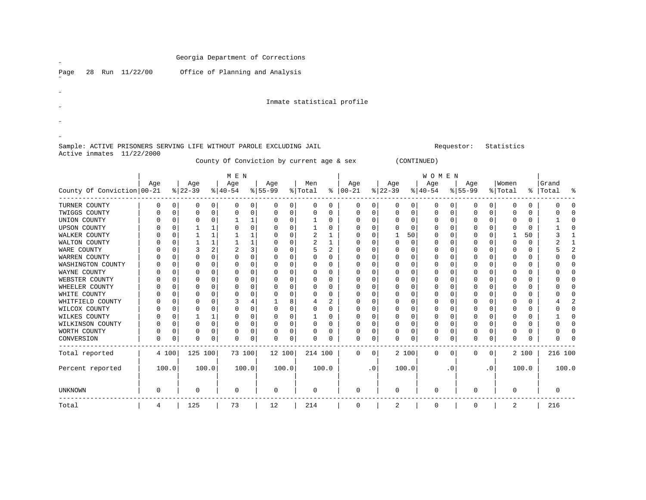|                                                                     |               |                         |               |                |                  |                               | Georgia Department of Corrections         |                         |                |                            |                            |                |                         |                         |                          |                         |                            |                            |                         |                         |                |                            |
|---------------------------------------------------------------------|---------------|-------------------------|---------------|----------------|------------------|-------------------------------|-------------------------------------------|-------------------------|----------------|----------------------------|----------------------------|----------------|-------------------------|-------------------------|--------------------------|-------------------------|----------------------------|----------------------------|-------------------------|-------------------------|----------------|----------------------------|
| Run 11/22/00<br>28<br>Page                                          |               |                         |               |                |                  |                               | Office of Planning and Analysis           |                         |                |                            |                            |                |                         |                         |                          |                         |                            |                            |                         |                         |                |                            |
|                                                                     |               |                         |               |                |                  |                               |                                           |                         |                |                            | Inmate statistical profile |                |                         |                         |                          |                         |                            |                            |                         |                         |                |                            |
|                                                                     |               |                         |               |                |                  |                               |                                           |                         |                |                            |                            |                |                         |                         |                          |                         |                            |                            |                         |                         |                |                            |
|                                                                     |               |                         |               |                |                  |                               |                                           |                         |                |                            |                            |                |                         |                         |                          |                         |                            |                            |                         |                         |                |                            |
|                                                                     |               |                         |               |                |                  |                               |                                           |                         |                |                            |                            |                |                         |                         |                          |                         |                            |                            |                         |                         |                |                            |
|                                                                     |               |                         |               |                |                  |                               |                                           |                         |                |                            |                            |                |                         |                         |                          |                         |                            |                            |                         |                         |                |                            |
| Sample: ACTIVE PRISONERS SERVING LIFE WITHOUT PAROLE EXCLUDING JAIL |               |                         |               |                |                  |                               |                                           |                         |                |                            |                            |                |                         |                         |                          |                         | Requestor:                 |                            | Statistics              |                         |                |                            |
| Active inmates 11/22/2000                                           |               |                         |               |                |                  |                               | County Of Conviction by current age & sex |                         |                |                            |                            |                |                         |                         | (CONTINUED)              |                         |                            |                            |                         |                         |                |                            |
|                                                                     |               |                         |               |                | M E N            |                               |                                           |                         |                |                            |                            |                |                         |                         | <b>WOMEN</b>             |                         |                            |                            |                         |                         |                |                            |
|                                                                     | Age           |                         | Age           |                | Age              |                               | Age                                       |                         | Men            |                            | Age                        |                | Age                     |                         | Age                      |                         | Age                        |                            | Women                   |                         | Grand          |                            |
| County Of Conviction 00-21                                          |               |                         | $8 22-39$     |                | $8 40-54$        |                               | $8 55-99$                                 |                         | % Total        |                            | $8   00 - 21$              |                | $8 22-39$               |                         | $ 40-54 $                |                         | $8 55-99$                  |                            | % Total                 |                         | %   Total      | ៖                          |
| TURNER COUNTY                                                       | 0             | 0                       | 0             | $\overline{0}$ | 0                | 0                             | 0                                         | $\mathbf 0$             | $\mathbf 0$    | 0                          | 0                          | 0              | 0                       | 0                       | 0                        | 0                       | 0                          | 0                          | 0                       | 0                       | 0              | 0                          |
| TWIGGS COUNTY                                                       | 0             | $\mathbf 0$             | $\mathbf 0$   | $\mathbf 0$    | $\mathbf 0$      | $\mathsf{O}\xspace$           | $\mathbf 0$                               | $\Omega$                | $\mathbf 0$    | $\mathbf 0$                | $\mathbf 0$                | 0              | $\mathbf 0$             | $\Omega$                | $\mathbf{0}$             | $\mathbf 0$             | $\mathbf 0$                | $\mathbf 0$                | $\mathbf 0$             | $\Omega$                | $\mathbf 0$    | $\Omega$                   |
| UNION COUNTY                                                        | 0             | 0                       | 0             | 0              | 1                | $\mathbf{1}$                  | $\mathbf 0$                               | $\mathbf 0$             | $\mathbf 1$    | $\mathbf 0$                | $\mathsf 0$                | 0              | $\mathbf 0$             | $\mathbf 0$             | $\mathbf{0}$             | $\mathbf 0$             | $\mathbf 0$                | 0 <sup>1</sup>             | $\mathbf 0$             | $\mathbf 0$             | 1              | $\mathbf 0$                |
| <b>UPSON COUNTY</b>                                                 | 0             | $\mathbf 0$             | 1             | 1              | 0                | $\mathbf 0$                   | $\mathbf 0$                               | $\mathbf 0$             | $\mathbf{1}$   | $\mathbf 0$                | $\mathsf 0$                | 0              | $\Omega$                | $\mathbf 0$             | $\mathbf{0}$             | 0                       | $\mathbf 0$                | $\mathbf 0$                | $\mathbf 0$             | $\mathbf 0$             | 1              | $\mathbf 0$                |
| WALKER COUNTY                                                       | $\Omega$      | $\mathbf 0$             | $\mathbf{1}$  | 1              | 1                | $\mathbf{1}$                  | $\mathbf 0$                               | $\Omega$                | 2              | 1                          | $\mathbf 0$                | 0              | $\mathbf{1}$            | 50                      | $\mathbf{0}$             | 0                       | $\mathbf 0$                | $\overline{0}$             | $\mathbf{1}$            | 50                      | 3              | $\mathbf{1}$               |
| WALTON COUNTY                                                       | 0             | $\mathbf 0$             | $\mathbf{1}$  | 1              | $\mathbf{1}$     | $\mathbf{1}$                  | $\mathbf 0$                               | $\Omega$                | $\overline{a}$ | $\mathbf{1}$               | $\mathbf 0$                | 0              | $\Omega$                | $\Omega$                | $\mathbf{0}$             | $\Omega$                | $\mathbf 0$                | $\overline{0}$             | $\mathbf 0$             | $\Omega$                | 2              | $\mathbf{1}$               |
| WARE COUNTY                                                         | 0<br>$\Omega$ | $\mathbf 0$<br>$\Omega$ | 3<br>$\Omega$ | 2<br>$\Omega$  | 2<br>$\mathbf 0$ | $\overline{3}$<br>$\mathbf 0$ | $\mathbf 0$<br>$\Omega$                   | $\mathbf 0$<br>$\Omega$ | 5<br>$\Omega$  | $\overline{a}$<br>$\Omega$ | $\mathbf 0$<br>$\Omega$    | 0<br>$\Omega$  | $\mathbf 0$<br>$\Omega$ | $\mathbf 0$<br>$\Omega$ | $\mathbf{0}$<br>$\Omega$ | $\mathbf 0$<br>$\Omega$ | $\mathbf 0$<br>$\mathbf 0$ | $\overline{0}$<br>$\Omega$ | $\mathbf 0$<br>$\Omega$ | $\mathbf 0$<br>$\Omega$ | 5<br>$\Omega$  | $\overline{c}$<br>$\Omega$ |
| WARREN COUNTY<br>WASHINGTON COUNTY                                  | 0             | $\mathbf 0$             | $\mathbf 0$   | $\mathbf 0$    | $\mathbf 0$      | $\mathbf 0$                   | $\mathbf 0$                               | $\Omega$                | 0              | $\mathbf 0$                | $\mathbf 0$                | 0              | $\mathbf 0$             | $\Omega$                | $\mathbf 0$              | $\Omega$                | $\mathbf 0$                | 0 <sup>1</sup>             | $\Omega$                | $\Omega$                | $\Omega$       | $\Omega$                   |
| WAYNE COUNTY                                                        | O             | $\Omega$                | $\Omega$      | $\Omega$       | $\Omega$         | $\mathbf 0$                   | $\Omega$                                  | $\Omega$                | $\Omega$       | $\Omega$                   | $\Omega$                   | $\Omega$       | $\Omega$                | $\Omega$                | $\Omega$                 | $\Omega$                | $\mathbf 0$                | $\Omega$                   | $\Omega$                | $\Omega$                | $\Omega$       | $\Omega$                   |
| WEBSTER COUNTY                                                      | 0             | $\mathbf 0$             | $\mathbf 0$   | $\mathbf 0$    | $\mathbf 0$      | $\mathbf 0$                   | $\mathbf 0$                               | $\mathbf 0$             | 0              | $\mathbf 0$                | $\mathbf 0$                | 0              | $\mathbf 0$             | $\Omega$                | $\mathbf{0}$             | $\mathbf 0$             | $\mathbf 0$                | $\mathbf 0$                | $\mathbf 0$             | $\Omega$                | $\Omega$       | $\mathbf 0$                |
| WHEELER COUNTY                                                      | 0             | $\mathbf 0$             | $\mathbf 0$   | $\mathbf 0$    | 0                | $\mathbf 0$                   | $\mathbf 0$                               | $\mathbf 0$             | 0              | $\mathbf 0$                | $\mathbf 0$                | 0              | $\mathbf 0$             | 0                       | $\mathbf{0}$             | $\mathbf 0$             | $\mathbf 0$                | $\mathbf 0$                | 0                       | 0                       | 0              | 0                          |
| WHITE COUNTY                                                        | $\Omega$      | $\mathbf 0$             | $\Omega$      | $\mathbf 0$    | 0                | $\mathbf 0$                   | $\Omega$                                  | $\Omega$                | $\Omega$       | $\mathbf 0$                | $\Omega$                   | 0              | $\mathbf 0$             | $\Omega$                | $\mathbf 0$              | 0                       | $\mathbf 0$                | $\mathbf 0$                | $\Omega$                | $\Omega$                | $\Omega$       | $\mathbf 0$                |
| WHITFIELD COUNTY                                                    | $\Omega$      | $\mathbf 0$             | $\mathbf 0$   | $\mathbf 0$    | 3                | 4                             | $\mathbf{1}$                              | 8                       | 4              | $\overline{a}$             | $\mathbf 0$                | 0              | $\mathbf 0$             | $\Omega$                | $\mathbf{0}$             | $\mathbf 0$             | $\mathbf 0$                | $\mathbf 0$                | $\Omega$                | $\Omega$                | $\overline{4}$ | $\overline{a}$             |
| WILCOX COUNTY                                                       | 0             | $\mathbf 0$             | $\mathbf 0$   | $\mathbf 0$    | $\mathsf 0$      | $\mathbf 0$                   | $\mathbf 0$                               | $\mathbf{0}$            | $\mathbf 0$    | $\mathbf 0$                | $\mathbf 0$                | 0              | $\mathbf 0$             | $\mathbf 0$             | $\mathbf{0}$             | $\mathbf 0$             | $\mathbf 0$                | $\overline{0}$             | $\mathbf 0$             | $\mathbf 0$             | $\mathbf 0$    | $\mathbf 0$                |
| WILKES COUNTY                                                       | $\Omega$      | $\mathbf 0$             | $\mathbf{1}$  | $\mathbf{1}$   | $\mathbf 0$      | $\mathbf 0$                   | $\mathbf 0$                               | $\Omega$                | $\mathbf{1}$   | $\mathbf 0$                | $\Omega$                   | 0              | $\mathbf 0$             | $\Omega$                | $\Omega$                 | $\Omega$                | $\mathbf 0$                | $\Omega$                   | $\Omega$                | $\Omega$                | $\mathbf{1}$   | 0                          |
| WILKINSON COUNTY                                                    | 0             | $\mathbf 0$             | $\mathbf 0$   | $\mathbf 0$    | $\mathbf 0$      | $\mathbf 0$                   | $\mathbf 0$                               | $\mathbf 0$             | $\mathbf 0$    | $\mathbf 0$                | $\mathbf 0$                | 0              | $\mathbf 0$             | $\Omega$                | $\mathbf{0}$             | $\mathbf 0$             | $\mathbf 0$                | $\mathbf 0$                | $\mathbf 0$             | $\mathbf 0$             | $\Omega$       | $\mathbf 0$                |
| WORTH COUNTY                                                        | 0             | 0                       | 0             | 0              | 0                | $\mathbf 0$                   | $\mathbf 0$                               | $\mathbf 0$             | 0              | $\mathbf 0$                | $\mathbf 0$                | $\overline{0}$ | $\mathbf 0$             | $\mathbf 0$             | $\mathbf 0$              | 0                       | $\mathbf 0$                | 0                          | 0                       | 0                       | $\mathbf 0$    | $\mathbf 0$                |
| CONVERSION                                                          | 0             | $\mathbf 0$             | $\mathbf 0$   | $\mathbf 0$    | $\mathbf 0$      | $\mathbf 0$                   | $\Omega$                                  | $\mathbf 0$             | 0              | $\mathbf 0$                | $\Omega$                   | 0 <sup>1</sup> | $\Omega$                | $\mathbf 0$             | $\mathbf 0$              | $\mathbf 0$             | $\mathbf 0$                | $\mathsf{O}$               | $\mathbf 0$             | 0                       | $\Omega$       | $\Omega$                   |
| Total reported                                                      |               | 4 100                   | 125 100       |                | 73 100           |                               | 12 100                                    |                         | 214 100        |                            | $\Omega$                   | 0              |                         | 2 100                   | $\Omega$                 | $\Omega$                | $\Omega$                   | $\overline{0}$             |                         | 2 100                   | 216 100        |                            |
| Percent reported                                                    |               | 100.0                   |               | 100.0          |                  | 100.0                         | 100.0                                     |                         |                | 100.0                      |                            | $\cdot$ 0      |                         | 100.0                   |                          | $\cdot$ 0               |                            | . 0                        |                         | 100.0                   |                | 100.0                      |
| UNKNOWN                                                             | 0             |                         | 0             |                | 0                |                               | 0                                         |                         | 0              |                            | 0                          |                | 0                       |                         | 0                        |                         | 0                          |                            | 0                       |                         | 0              |                            |
| Total                                                               | 4             |                         | 125           |                | 73               |                               | 12                                        |                         | 214            |                            | 0                          |                | 2                       |                         | $\mathbf 0$              |                         | $\mathbf 0$                |                            | 2                       |                         | 216            |                            |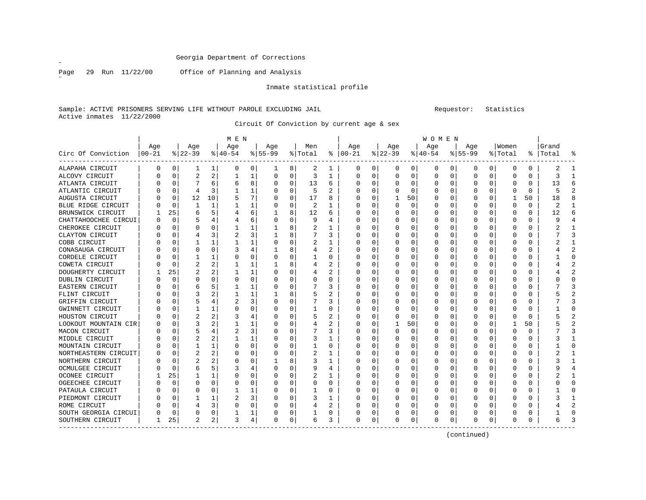$\overline{a}$ 

Page 29 Run 11/22/00 Office of Planning and Analysis

Inmate statistical profile

Sample: ACTIVE PRISONERS SERVING LIFE WITHOUT PAROLE EXCLUDING JAIL Requestor: Statistics Active inmates 11/22/2000

Circuit Of Conviction by current age & sex

|                      |          |          |                |                | M E N     |          |           |          |                |                |          |              |          |    | W O M E N |          |           |          |          |          |           |                |
|----------------------|----------|----------|----------------|----------------|-----------|----------|-----------|----------|----------------|----------------|----------|--------------|----------|----|-----------|----------|-----------|----------|----------|----------|-----------|----------------|
|                      | Age      |          | Age            |                | Age       |          | Age       |          | Men            |                | Age      |              | Age      |    | Age       |          | Age       |          | Women    |          | Grand     |                |
| Circ Of Conviction   | $ 00-21$ |          | $ 22-39 $      |                | $8 40-54$ |          | $8 55-99$ |          | % Total        | ႜ              | $ 00-21$ |              | $ 22-39$ |    | $ 40-54$  |          | $8 55-99$ |          | % Total  |          | %   Total | ႜ              |
| ALAPAHA CIRCUIT      | O        | 0        | 1              | 1              | 0         | 0        | ı         | 8        | 2              | 1              | 0        | 0            | 0        | 0  | 0         | 0        | 0         | 0        | 0        | 0        | 2         | 1              |
| ALCOVY CIRCUIT       |          | $\Omega$ | $\overline{2}$ | $\overline{a}$ |           | 1        | 0         | 0        | 3              | 1              | 0        | 0            | $\Omega$ | 0  | O         | 0        | 0         | $\Omega$ | $\Omega$ | 0        | 3         | $\mathbf{1}$   |
| ATLANTA CIRCUIT      |          | $\Omega$ |                | 6              | 6         | 8        | O         | 0        | 13             | 6              | O        | U            | 0        | 0  | O         | 0        | 0         | $\Omega$ | O        | $\Omega$ | 13        | 6              |
| ATLANTIC CIRCUIT     |          | 0        | 4              | 3              |           |          |           | 0        | 5              | $\overline{c}$ | 0        | 0            | C        | 0  |           | 0        | Ω         | 0        | 0        | 0        |           | $\overline{2}$ |
| AUGUSTA CIRCUIT      |          | $\Omega$ | 12             | 10             |           |          |           | 0        | 17             | 8              | 0        | O            |          | 50 |           | 0        |           | 0        |          | 50       | 18        | 8              |
| BLUE RIDGE CIRCUIT   |          | $\Omega$ |                | -1             |           |          |           | 0        | 2              |                | O        | O            | $\Omega$ | 0  | $\Omega$  | 0        | 0         | $\Omega$ | $\Omega$ | $\Omega$ | 2         | $\mathbf{1}$   |
| BRUNSWICK CIRCUIT    |          | 25       | 6              | 5              |           | 6        |           | 8        | 12             | 6              | U        | 0            | $\Omega$ | 0  | O         | 0        | 0         | $\Omega$ | O        | $\Omega$ | 12        | 6              |
| CHATTAHOOCHEE CIRCUI |          | $\Omega$ | 5              |                |           | 6        | 0         | 0        | q              | 4              | 0        | 0            | $\Omega$ | 0  | 0         | 0        | 0         | 0        | $\Omega$ | $\Omega$ | q         | 4              |
| CHEROKEE CIRCUIT     |          | $\Omega$ | N              | O              |           |          |           | 8        | 2              |                | O        |              | 0        | U  | O         | 0        | ი         | $\Omega$ | $\Omega$ | O        |           | 1              |
| CLAYTON CIRCUIT      |          | $\Omega$ |                | ς              |           | 3        |           | 8        |                | ζ              | U        |              | $\Omega$ | U  | $\Omega$  | $\Omega$ | Ω         | $\Omega$ | $\Omega$ | $\Omega$ |           | ζ              |
| COBB CIRCUIT         |          | $\Omega$ |                |                |           |          |           | 0        | 2              |                | O        | O            | $\Omega$ | U  | O         | O        | Ω         | $\Omega$ | $\Omega$ | $\Omega$ |           | 1              |
| CONASAUGA CIRCUIT    |          | $\Omega$ | O              | O              | 3         |          |           | 8        |                | 2              | O        | <sup>0</sup> | 0        | 0  | $\left($  | O        | Ω         | $\Omega$ | O        | 0        |           | 2              |
| CORDELE CIRCUIT      |          | $\Omega$ |                |                |           | O        |           | $\Omega$ |                | O              |          | O            | 0        | 0  |           | 0        | ი         | 0        | $\Omega$ | 0        |           | $\Omega$       |
| COWETA CIRCUIT       |          | $\Omega$ | 2              | 2              |           |          |           | 8        |                |                | O        | O            | C        | 0  |           | 0        | ი         | $\Omega$ | $\Omega$ | 0        |           | $\overline{2}$ |
| DOUGHERTY CIRCUIT    |          | 25       |                | 2              |           |          |           | 0        | 4              | 2              | U        | O            | $\Omega$ | 0  | O         | 0        | 0         | $\Omega$ | $\Omega$ | 0        |           | $\overline{2}$ |
| DUBLIN CIRCUIT       |          | 0        | 0              | O              |           | 0        |           | 0        | 0              | 0              | O        | O            | 0        | 0  | O         | 0        | 0         | $\Omega$ | O        | 0        |           | $\mathbf 0$    |
| EASTERN CIRCUIT      |          | 0        | 6              | 5              |           |          | O         | 0        |                | 3              | 0        | O            | 0        | 0  | O         | 0        | 0         | 0        | O        | 0        |           | 3              |
| FLINT CIRCUIT        |          | $\Omega$ | 3              |                |           |          |           | 8        |                | 2              | 0        |              | 0        | 0  |           | 0        | Ω         | 0        | O        | 0        |           | $\overline{2}$ |
| GRIFFIN CIRCUIT      |          | $\Omega$ | 5              |                |           | 3        |           | 0        |                |                | O        |              | 0        | 0  |           | 0        | Ω         | O        | O        | 0        |           | 3              |
| GWINNETT CIRCUIT     |          | O        |                |                |           | 0        |           | 0        |                | O              | O        |              | O        | 0  |           | 0        | ი         | O        | O        | 0        |           | $\Omega$       |
| HOUSTON CIRCUIT      |          | $\Omega$ | 2              | 2              | 3         |          |           | 0        |                | 2              | O        | U            | O        | U  |           | O        | ი         | $\Omega$ | O        | $\Omega$ |           | $\overline{a}$ |
| LOOKOUT MOUNTAIN CIR |          | $\Omega$ | 3              | 2              |           |          |           | $\Omega$ |                | 2              | O        | 0            |          | 50 |           | $\Omega$ | Ω         | $\Omega$ |          | 50       |           | $\overline{2}$ |
| MACON CIRCUIT        |          | $\Omega$ | 5              |                |           | 3        |           | $\Omega$ |                | 3              | O        | O            | 0        | 0  |           | $\Omega$ |           | U        | $\Omega$ | $\Omega$ |           | 3              |
| MIDDLE CIRCUIT       |          | $\Omega$ | 2              | 2              |           |          |           | 0        | 3              | 1              | U        | O            | 0        | 0  |           | 0        | 0         | $\Omega$ | $\Omega$ | $\Omega$ |           | 1              |
| MOUNTAIN CIRCUIT     |          | 0        |                |                |           | O        |           | 0        |                | 0              | U        | 0            | 0        | 0  | O         | 0        | 0         | $\Omega$ | O        | 0        |           | 0              |
| NORTHEASTERN CIRCUIT |          | 0        | 2              | 2              |           |          | 0         | 0        | 2              |                | U        | 0            | 0        | 0  | O         | 0        | 0         | 0        | $\Omega$ | 0        |           | 1              |
| NORTHERN CIRCUIT     |          | $\Omega$ | 2              | 2              |           |          |           | 8        | 3              | 1              | O        |              | 0        | 0  | O         | 0        | 0         | $\Omega$ | O        | O        |           | 1              |
| OCMULGEE CIRCUIT     |          | $\Omega$ | 6              | 5              |           |          |           | U        | 9              | 4              | O        |              | $\Omega$ | U  | O         | O        | ი         | n        | ∩        | $\Omega$ |           | 4              |
| OCONEE CIRCUIT       |          | 25       |                |                |           | O        |           | 0        | $\overline{2}$ |                | O        | U            | $\Omega$ | 0  | O         | O        | Ω         | $\Omega$ | O        | 0        |           | 1              |
| OGEECHEE CIRCUIT     |          | $\Omega$ | 0              | $\Omega$       | O         | $\Omega$ |           | 0        | O              | $\Omega$       | O        | U            | 0        | 0  | ∩         | O        | ი         | $\Omega$ | O        | 0        |           | $\Omega$       |
| PATAULA CIRCUIT      |          | $\Omega$ | 0              | 0              |           |          |           | 0        |                | 0              | O        | 0            | 0        | 0  |           | 0        | Ω         | 0        | O        | 0        |           | 0              |
| PIEDMONT CIRCUIT     |          | $\Omega$ |                | 1              |           | 3        |           | 0        | 3              | 1              |          | O            | 0        | 0  |           | 0        | Ω         | $\Omega$ |          | $\Omega$ |           | 1              |
| ROME CIRCUIT         |          | $\Omega$ |                | 3              |           | $\Omega$ |           | 0        | 4              |                | O        | 0            | 0        | 0  |           | 0        | 0         | $\Omega$ | $\Omega$ | $\Omega$ |           | 2              |
| SOUTH GEORGIA CIRCUI |          | 0        | 0              | 0              |           |          |           | 0        |                | 0              | U        | 0            | 0        | 0  |           | 0        | ი         | $\Omega$ | $\Omega$ | $\Omega$ |           | $\Omega$       |
| SOUTHERN CIRCUIT     | ı        | 25       | 2              | 2              | 3         | 4        | O         | 0        | 6              | 3              | 0        | 0            | $\Omega$ | 0  | $\Omega$  | 0        | 0         | 0        | $\Omega$ | 0        |           | ζ              |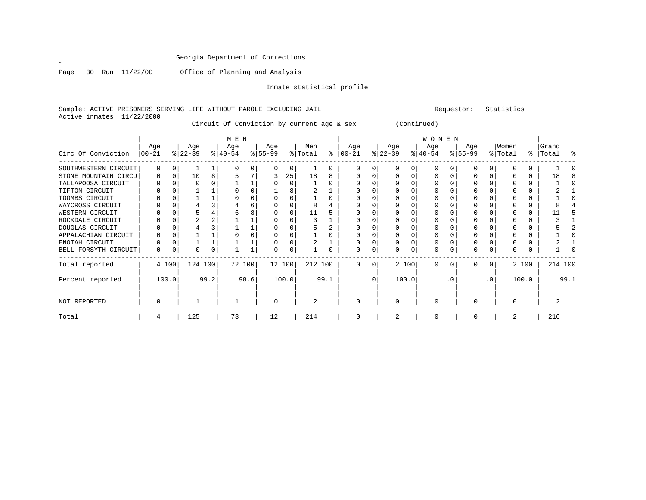Page 30 Run 11/22/00 Office of Planning and Analysis

Inmate statistical profile

Sample: ACTIVE PRISONERS SERVING LIFE WITHOUT PAROLE EXCLUDING JAIL Remond that the statistics of the statistics Active inmates 11/22/2000

Circuit Of Conviction by current age & sex (Continued)

|                      |           |          |           |      | M E N     |      |              |       |                |      |          |           |           |       | <b>WOMEN</b> |           |           |           |          |       |         |      |
|----------------------|-----------|----------|-----------|------|-----------|------|--------------|-------|----------------|------|----------|-----------|-----------|-------|--------------|-----------|-----------|-----------|----------|-------|---------|------|
|                      | Age       |          | Age       |      | Age       |      | Age          |       | Men            |      | Age      |           | Age       |       | Age          |           | Age       |           | Women    |       | Grand   |      |
| Circ Of Conviction   | $ 00-21 $ |          | $ 22-39 $ |      | $ 40-54 $ |      | $8 55-99$    |       | % Total        | ႜ    | 00-21    |           | $ 22-39 $ |       | $ 40-54 $    |           | $8 55-99$ |           | % Total  | ៖     | Total   | ႜ    |
| SOUTHWESTERN CIRCUIT |           | $\Omega$ |           |      |           |      | <sup>0</sup> | 0     |                | 0    |          |           | $\Omega$  |       | $\Omega$     |           |           | $\Omega$  |          |       |         |      |
| STONE MOUNTAIN CIRCU | O         |          | 10        | 8    |           |      |              | 25    | 18             | 8    |          |           |           |       |              |           |           | $\Omega$  |          |       | 18      | 8    |
| TALLAPOOSA CIRCUIT   |           |          |           |      |           |      |              |       |                |      |          |           |           |       |              |           |           |           |          |       |         |      |
| TIFTON CIRCUIT       |           |          |           |      |           |      |              |       |                |      |          |           |           |       |              |           |           |           |          |       |         |      |
| TOOMBS CIRCUIT       |           |          |           |      |           |      |              |       |                |      |          |           |           |       |              |           |           |           |          |       |         |      |
| WAYCROSS CIRCUIT     |           |          |           |      |           |      |              |       |                |      |          |           |           |       |              |           |           |           |          |       |         |      |
| WESTERN CIRCUIT      |           |          |           |      |           |      |              |       | 11             |      |          |           |           |       |              |           |           |           |          |       |         |      |
| ROCKDALE CIRCUIT     |           |          |           |      |           |      |              |       |                |      |          |           |           |       |              |           |           |           |          |       |         |      |
| DOUGLAS CIRCUIT      |           |          |           |      |           |      |              |       |                |      |          |           |           |       |              |           |           |           |          |       |         |      |
| APPALACHIAN CIRCUIT  |           |          |           |      |           |      |              |       |                |      |          |           |           |       |              |           |           |           |          |       |         |      |
| ENOTAH CIRCUIT       |           |          |           |      |           |      |              |       |                |      |          |           |           |       |              |           |           |           |          |       |         |      |
| BELL-FORSYTH CIRCUIT | 0         |          |           | 0    |           |      | 0            | 0     |                |      | O        |           | $\Omega$  | U     | $\Omega$     | $\Omega$  |           | $\Omega$  |          |       |         |      |
| Total reported       |           | 4 100    | 124 100   |      | 72 100    |      | 12 100       |       | 212 100        |      | $\Omega$ | $\Omega$  |           | 2 100 | $\Omega$     | $\Omega$  | 0         | $\Omega$  |          | 2 100 | 214 100 |      |
| Percent reported     |           | 100.0    |           | 99.2 |           | 98.6 |              | 100.0 |                | 99.1 |          | $\cdot$ 0 |           | 100.0 |              | $\cdot$ 0 |           | $\cdot$ 0 |          | 100.0 |         | 99.1 |
| NOT REPORTED         | 0         |          |           |      |           |      | $\Omega$     |       | $\overline{2}$ |      | $\Omega$ |           | $\Omega$  |       | $\Omega$     |           | U         |           | $\Omega$ |       |         |      |
| Total                | 4         |          | 125       |      | 73        |      | 12           |       | 214            |      |          |           |           |       | 0            |           |           |           |          |       | 216     |      |

 $\mathscr{L}$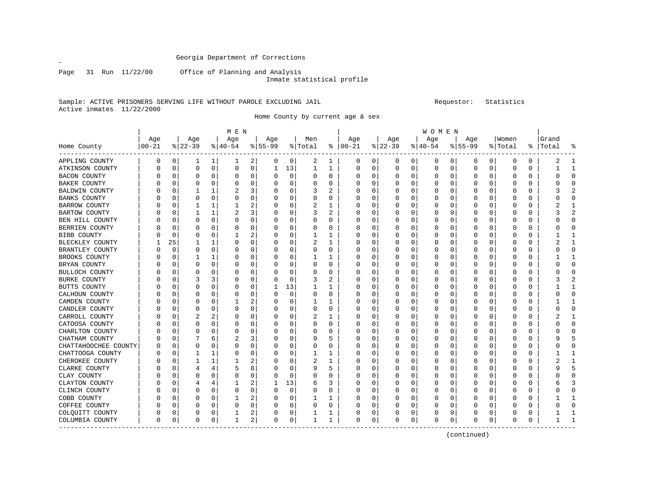Page 31 Run 11/22/00 Office of Planning and Analysis

Inmate statistical profile

### Sample: ACTIVE PRISONERS SERVING LIFE WITHOUT PAROLE EXCLUDING JAIL Requestor: Statistics Active inmates 11/22/2000

Home County by current age & sex

|                       |          |          |              |          | M E N    |             |          |             |          |          |               |          |          |              | W O M E N |   |              |          |          |          |       |              |
|-----------------------|----------|----------|--------------|----------|----------|-------------|----------|-------------|----------|----------|---------------|----------|----------|--------------|-----------|---|--------------|----------|----------|----------|-------|--------------|
|                       | Age      |          | Age          |          | Age      |             | Age      |             | Men      |          | Age           |          | Age      |              | Age       |   | Age          |          | Women    |          | Grand |              |
| Home County           | $ 00-21$ |          | $ 22-39 $    |          | $ 40-54$ |             | $ 55-99$ |             | % Total  |          | $8   00 - 21$ |          | $ 22-39$ |              | $ 40-54$  |   | $8155 - 99$  |          | % Total  | ႜ        | Total |              |
| APPLING COUNTY        | 0        | 0        | ı            | 1        | T        | 2           | 0        | 0           | 2        | 1        | 0             | 0        | 0        | $\mathbf{0}$ | 0         | 0 | 0            | 0        | 0        | 0        | 2     | -1           |
| ATKINSON COUNTY       | 0        | 0        | 0            | 0        | 0        | 0           | 1        | 13          | 1        | 1        | 0             | 0        | $\Omega$ | 0            | 0         | 0 | 0            | 0        | 0        | 0        |       | $\mathbf{1}$ |
| <b>BACON COUNTY</b>   | O        | 0        | 0            | $\Omega$ | 0        | 0           | 0        | $\mathbf 0$ | $\Omega$ | $\Omega$ | 0             | 0        |          | 0            | 0         | 0 | 0            | 0        | 0        | $\Omega$ | Λ     | $\Omega$     |
| <b>BAKER COUNTY</b>   | U        | O        | $\Omega$     | 0        | O        | 0           | O        | 0           | O        | 0        | U             | 0        | O        | 0            | 0         | 0 | $\Omega$     | 0        | 0        | 0        | U     | $\Omega$     |
| <b>BALDWIN COUNTY</b> | O        | C        |              | 1        | 2        | 3           | 0        | 0           | 3        | 2        | U             | 0        |          | 0            | 0         | 0 | 0            | 0        | 0        | 0        | 3     |              |
| <b>BANKS COUNTY</b>   | O        | C        | $\Omega$     | $\Omega$ | O        | 0           | 0        | $\Omega$    | $\Omega$ | 0        | 0             | O        |          | 0            | 0         | 0 | 0            | U        | 0        | 0        | U     | $\Omega$     |
| BARROW COUNTY         | n        | n        |              | 1        |          | 2           | O        | 0           | 2        | 1        | U             | 0        |          | 0            | U         | U | O            | $\Omega$ | Ω        | 0        | 2     |              |
| <b>BARTOW COUNTY</b>  |          | O        |              | 1        | 2        | 3           | 0        | $\Omega$    | 3        | 2        | 0             | $\Omega$ |          | $\Omega$     | 0         | 0 | 0            | $\Omega$ | 0        | $\Omega$ | 3     |              |
| BEN HILL COUNTY       |          | C        | 0            | $\Omega$ | O        | 0           |          | $\Omega$    | O        | 0        |               | 0        |          | $\Omega$     | 0         | 0 |              | 0        | 0        | 0        |       | $\sqrt{ }$   |
| BERRIEN COUNTY        |          | O        | $\Omega$     | 0        | O        | 0           | U        | 0           | O        | 0        | U             | 0        |          | 0            | U         | 0 | <sup>0</sup> | 0        | 0        | 0        | C     | <sup>0</sup> |
| BIBB COUNTY           |          | 0        | $\Omega$     | $\Omega$ |          | 2           | 0        | $\mathbf 0$ |          |          | U             | $\Omega$ |          | 0            | U         | 0 | <sup>0</sup> | $\Omega$ | 0        | 0        |       |              |
| BLECKLEY COUNTY       |          | 25       |              | 1        | O        | 0           | O        | 0           |          |          | Ω             | 0        |          | 0            | U         | 0 |              | 0        | C        | 0        |       |              |
| BRANTLEY COUNTY       | n        | $\Omega$ | O            | 0        | O        | 0           | U        | 0           | O        | 0        | U             | 0        |          | 0            | U         | 0 | <sup>0</sup> | $\Omega$ | Ω        | 0        | ∩     | ∩            |
| BROOKS COUNTY         |          | O        |              | 1        | O        | $\Omega$    | 0        | $\Omega$    |          | 1        | 0             | $\Omega$ |          | $\Omega$     | U         | 0 |              | $\Omega$ | 0        | $\Omega$ |       |              |
| BRYAN COUNTY          |          | O        | 0            | $\Omega$ | O        | $\Omega$    | C        | 0           | O        | 0        |               | 0        |          | $\Omega$     |           | 0 |              | 0        | 0        | 0        | 0     | $\Omega$     |
| <b>BULLOCH COUNTY</b> |          | C        | 0            | $\Omega$ | 0        | $\Omega$    | በ        | $\mathbf 0$ | $\Omega$ | 0        | 0             | 0        |          | $\Omega$     | 0         | 0 | 0            | 0        | 0        | 0        |       | $\Omega$     |
| <b>BURKE COUNTY</b>   | U        | 0        |              | 3        | 0        | 0           | 0        | 0           | 3        | 2        | 0             | 0        | 0        | 0            | 0         | 0 | 0            | 0        | 0        | 0        | 3     | 2            |
| BUTTS COUNTY          | n        | C        | 0            | 0        | 0        | 0           |          | 13          |          |          | U             | 0        |          | 0            | U         | 0 | O            | 0        | 0        | 0        |       |              |
| CALHOUN COUNTY        | U        | C        | $\Omega$     | O        | O        | 0           | U        | $\mathbf 0$ | O        | 0        | U             | U        |          | 0            | U         | 0 | <sup>0</sup> | U        | Ω        | 0        |       | ∩            |
| CAMDEN COUNTY         |          | O        | 0            | 0        |          | 2           | 0        | $\Omega$    | 1        | 1        | 0             | $\Omega$ |          | $\Omega$     | 0         | 0 | O            | $\Omega$ | 0        | 0        |       |              |
| CANDLER COUNTY        |          | O        | 0            | 0        | O        | 0           | O        | $\mathbf 0$ | 0        | 0        | Ω             | 0        |          | 0            | U         | 0 | O            | $\Omega$ | 0        | 0        | ი     | <sup>0</sup> |
| CARROLL COUNTY        |          | C        | 2            | 2        | 0        | $\Omega$    |          | $\Omega$    |          | 1        |               | 0        |          | $\Omega$     | 0         | 0 |              | $\Omega$ | 0        | 0        |       |              |
| CATOOSA COUNTY        |          | O        | $\Omega$     | 0        | O        | $\Omega$    | U        | 0           | O        | 0        | U             | 0        |          | 0            | U         | 0 | $\Omega$     | 0        | U        | 0        | ი     | $\Omega$     |
| CHARLTON COUNTY       | U        | $\Omega$ | $\Omega$     | 0        | O        | 0           | 0        | 0           | O        | 0        | U             | 0        |          | 0            | U         | 0 | <sup>0</sup> | $\Omega$ | U        | 0        | U     | <sup>0</sup> |
| CHATHAM COUNTY        | O        | 0        |              | 6        | 2        | 3           | 0        | $\mathbf 0$ | 9        | 5        | 0             | $\Omega$ |          | $\Omega$     | 0         | 0 | 0            | 0        | 0        | 0        | g     |              |
| CHATTAHOOCHEE COUNTY  | O        | O        | <sup>0</sup> | O        | O        | 0           | O        | 0           | O        | 0        | U             | 0        |          | $\Omega$     | U         | U | O            | $\Omega$ | U        | $\Omega$ | O     | <sup>0</sup> |
| CHATTOOGA COUNTY      |          | O        |              | 1        | O        | 0           | 0        | 0           | 1        | 1        | 0             | 0        |          | 0            | U         | 0 |              | $\Omega$ | U        | 0        |       |              |
| CHEROKEE COUNTY       |          | C        |              | 1        |          | 2           |          | 0           | 2        | 1        |               | 0        |          | 0            |           | 0 |              | $\Omega$ | 0        | 0        | 2     |              |
| CLARKE COUNTY         |          | C        | 4            | 4        | 5        | 8           | U        | 0           | 9        | 5        | 0             | 0        |          | 0            | U         | 0 |              | 0        | 0        | 0        | 9     | 5            |
| CLAY COUNTY           | U        | O        | $\Omega$     | 0        | O        | 0           | 0        | $\mathbf 0$ | 0        | 0        | 0             | 0        | 0        | 0            | 0         | 0 | 0            | 0        | 0        | 0        | C     | $\Omega$     |
| CLAYTON COUNTY        | O        | C        |              | 4        |          | 2           |          | 13          | 6        | 3        | U             | 0        |          | 0            | U         | 0 | O            | 0        | Ω        | 0        |       |              |
| CLINCH COUNTY         | O        | C        | 0            | 0        | O        | 0           | O        | $\mathbf 0$ | O        | 0        | U             | U        |          | 0            | U         | U | O            | $\Omega$ | ſ        | 0        |       | ∩            |
| COBB COUNTY           |          | C        | 0            | 0        |          | 2           | 0        | $\Omega$    |          | 1        | 0             | $\Omega$ |          | 0            | 0         | 0 | 0            | $\Omega$ | 0        | $\Omega$ |       |              |
| COFFEE COUNTY         |          | n        | 0            | 0        | O        | $\mathbf 0$ | 0        | 0           | O        | 0        | Ω             | $\Omega$ |          | 0            | U         | 0 | O            | $\Omega$ | U        | 0        |       | <sup>0</sup> |
| COLQUITT COUNTY       | 0        | 0        | 0            | 0        |          | 2           | Ω        | 0           |          | 1        |               | 0        |          | 0            | 0         | 0 |              | 0        |          | 0        |       |              |
| COLUMBIA COUNTY       | $\Omega$ | 0        | $\Omega$     | 0        | 1        | 2           | 0        | 0           | 1        | 1        | $\Omega$      | 0        | $\Omega$ | $\mathbf{0}$ | $\Omega$  | 0 | $\Omega$     | 0        | $\Omega$ | 0        |       |              |

(continued)

 $\mathscr{L}^{\pm}$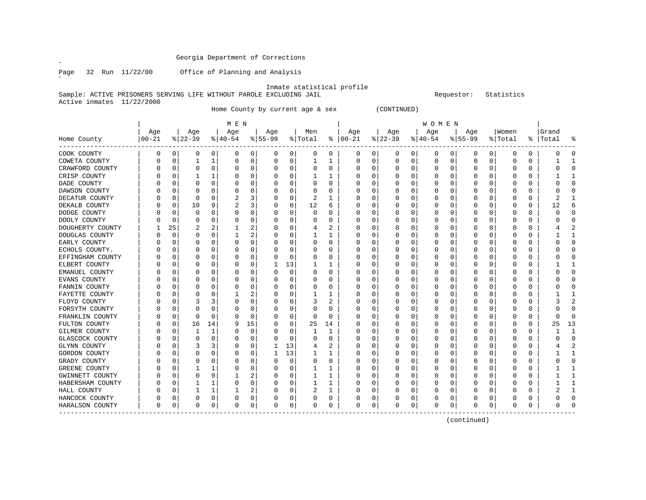$\mathscr{L}^{\pm}$ 

Page 32 Run 11/22/00 Office of Planning and Analysis

Inmate statistical profile

Sample: ACTIVE PRISONERS SERVING LIFE WITHOUT PAROLE EXCLUDING JAIL RESOURCHERRY Requestor: Statistics Active inmates 11/22/2000

Home County by current age & sex (CONTINUED)

|                  |            |             |          |    | M E N    |    |           |          |         |          |               |   |          |          | W O M E N        |   |              |             |         |          |       |                |
|------------------|------------|-------------|----------|----|----------|----|-----------|----------|---------|----------|---------------|---|----------|----------|------------------|---|--------------|-------------|---------|----------|-------|----------------|
|                  | Age        |             | Age      |    | Age      |    | Age       |          | Men     |          | Age           |   | Age      |          | Age              |   | Age          |             | Women   |          | Grand |                |
| Home County      | $ 00 - 21$ |             | $ 22-39$ |    | $ 40-54$ |    | $8 55-99$ |          | % Total |          | $8   00 - 21$ |   | $ 22-39$ |          | $ 40-54$         |   | $8155 - 99$  |             | % Total | ႜ        | Total |                |
| COOK COUNTY      | 0          | 0           | 0        | 0  | 0        | 0  | 0         | 0        | 0       | 0        | 0             | 0 | 0        | 0        | 0                | 0 | 0            | 0           | 0       | 0        |       |                |
| COWETA COUNTY    |            | $\mathbf 0$ |          | 1  | 0        | 0  | O         | 0        | 1       | 1        | C             | 0 | 0        | 0        | 0                | 0 | $\Omega$     | $\mathbf 0$ | 0       | 0        |       |                |
| CRAWFORD COUNTY  |            | 0           | 0        | 0  | 0        | 0  |           | 0        | 0       | 0        | C             | 0 |          | $\Omega$ | 0                | 0 |              | 0           | 0       | $\Omega$ |       |                |
| CRISP COUNTY     |            | 0           |          |    | 0        | 0  |           | 0        |         | 1        |               | 0 |          | O        |                  | O |              | 0           | C       | 0        |       |                |
| DADE COUNTY      |            | $\Omega$    | O        | U  | 0        | 0  |           | $\Omega$ | O       | $\Omega$ |               | 0 |          |          |                  | U |              | $\Omega$    | 0       | $\Omega$ |       |                |
| DAWSON COUNTY    |            | $\Omega$    | O        | O  | O        | 0  |           | 0        | U       | U        | ſ             | 0 |          | O        |                  |   | <sup>0</sup> | 0           | 0       | 0        |       |                |
| DECATUR COUNTY   |            | 0           | 0        | O  | 2        | 3  |           | 0        | 2       | 1        | C             | 0 |          | O        | U                | O | O            | 0           | 0       | 0        | 2     |                |
| DEKALB COUNTY    |            | 0           | 10       | 9  | 2        | 3  |           | 0        | 12      | 6        | C             | 0 |          |          | U                |   | 0            | 0           | 0       | 0        | 12    |                |
| DODGE COUNTY     |            | 0           | 0        |    | 0        | 0  |           | $\Omega$ | 0       | 0        | C             | 0 |          |          | 0                | 0 |              | 0           | C       | 0        |       |                |
| DOOLY COUNTY     |            | $\Omega$    | 0        | O  | 0        | 0  |           | $\Omega$ | 0       | 0        | C             | 0 |          | O        | U                | 0 |              | $\Omega$    | 0       | $\Omega$ |       |                |
| DOUGHERTY COUNTY |            | 25          |          |    |          | 2  |           | $\Omega$ | 4       | 2        | C             | U |          | n        | U                | U |              | $\Omega$    | O       | $\Omega$ |       |                |
| DOUGLAS COUNTY   |            | $\Omega$    | n        | 0  |          | 2  |           | $\Omega$ |         | 1        | O             | 0 |          | O        | $\left( \right)$ | O |              | $\Omega$    | O       | 0        |       |                |
| EARLY COUNTY     |            | 0           | O        | 0  | 0        | 0  |           | 0        | 0       | U        | C             | 0 |          | O        |                  |   |              | 0           | 0       | 0        |       | C              |
| ECHOLS COUNTY.   |            | 0           | O        | O  | 0        | 0  |           | 0        | 0       | 0        |               | 0 |          |          |                  | 0 |              | 0           | 0       | 0        |       |                |
| EFFINGHAM COUNTY |            | $\Omega$    | O        | O  | 0        | 0  |           | $\Omega$ | 0       | 0        | ſ             | 0 |          |          |                  |   | <sup>0</sup> | $\Omega$    | 0       | $\Omega$ |       | U              |
| ELBERT COUNTY    |            | $\Omega$    | O        | 0  | 0        | 0  |           | 13       | 1       | 1        | C             | 0 |          | 0        | 0                | 0 | <sup>0</sup> | 0           | 0       | 0        |       | -1             |
| EMANUEL COUNTY   |            | 0           | O        | 0  | 0        | 0  |           | 0        | 0       | 0        | C             | 0 |          | O        | U                | O | O            | 0           | 0       | 0        |       | ∩              |
| EVANS COUNTY     |            | 0           | O        | O  | 0        | 0  |           | $\Omega$ | 0       | U        | C             | 0 |          |          | U                | 0 |              | 0           | C       | 0        |       | Λ              |
| FANNIN COUNTY    |            | -0          | O        | n  | 0        | 0  |           | $\Omega$ | 0       | 0        | C             | 0 |          |          | U                | 0 |              | 0           | 0       | 0        |       |                |
| FAYETTE COUNTY   |            | n           | O        | n  |          | 2  |           | O        |         | 1        |               | 0 |          | O        |                  | O |              | $\Omega$    | O       | 0        |       |                |
| FLOYD COUNTY     |            | $\Omega$    |          | 3  | 0        | 0  |           | $\Omega$ | 3       | 2        | O             | 0 |          | $\Omega$ |                  | O |              | $\Omega$    | 0       | $\Omega$ |       |                |
| FORSYTH COUNTY   |            | 0           | 0        | 0  | 0        | 0  |           | $\Omega$ | 0       | 0        | C             | 0 |          | 0        |                  |   |              | $\Omega$    | 0       | $\Omega$ |       |                |
| FRANKLIN COUNTY  |            | 0           | 0        | O  | 0        | 0  |           | 0        | U       | 0        |               | 0 |          | 0        |                  |   |              | 0           | 0       | $\Omega$ |       |                |
| FULTON COUNTY    |            | $\mathbf 0$ | 16       | 14 | 9        | 15 |           | 0        | 25      | 14       |               | 0 |          |          |                  |   |              | 0           | 0       | 0        | 25    | 13             |
| GILMER COUNTY    |            | 0           | 1        | 1  | 0        | 0  |           | 0        | 1       | 1        | C             | 0 |          | O        | U                |   | 0            | 0           | 0       | 0        |       | $\mathbf{1}$   |
| GLASCOCK COUNTY  |            | 0           | 0        | 0  | 0        | 0  |           | 0        | 0       | 0        | C             | 0 |          | O        | 0                | 0 | 0            | 0           | 0       | 0        |       | U              |
| GLYNN COUNTY     |            | $\Omega$    | 3        | 3  | 0        | 0  |           | 13       | 4       | 2        | C             | 0 |          |          | 0                | 0 | 0            | 0           | 0       | 0        |       | $\overline{2}$ |
| GORDON COUNTY    |            | C.          | O        | 0  | 0        | 0  |           | 13       |         | 1        | C             | 0 |          |          | 0                |   |              | 0           | C       | 0        |       |                |
| GRADY COUNTY     |            | C           | U        | U  | $\left($ | 0  |           | $\Omega$ | 0       | 0        | O             | 0 |          |          | U                | O |              | $\Omega$    | C       | $\Omega$ |       |                |
| GREENE COUNTY    |            | C           |          |    | $\left($ | 0  |           | $\Omega$ |         | 1        | O             | U |          | O        | U                | O |              | $\Omega$    | C       | 0        |       |                |
| GWINNETT COUNTY  |            | $\Omega$    | O        | 0  |          | 2  |           | $\Omega$ | 1       | 1        | C             | 0 |          | O        | 0                | O |              | $\Omega$    | 0       | 0        |       |                |
| HABERSHAM COUNTY |            | 0           |          |    | 0        | 0  |           | 0        |         | 1        | C             | 0 |          | 0        |                  |   |              | $\Omega$    | 0       | $\Omega$ |       |                |
| HALL COUNTY      |            | 0           |          |    |          | 2  |           | 0        | 2       | 1        |               | 0 |          | 0        |                  |   |              | 0           |         | 0        |       | $\mathbf{1}$   |
| HANCOCK COUNTY   |            | 0           | O        | 0  | 0        | 0  |           | 0        | U       | 0        |               | 0 |          | 0        | 0                | 0 |              | 0           |         | 0        |       | C              |
| HARALSON COUNTY  | $\Omega$   | 0           | O        | 0  | $\Omega$ | 0  | $\Omega$  | 0        | U       | 0        | $\Omega$      | 0 | O        | 0        | 0                | 0 | $\Omega$     | 0           | 0       | 0        | U     |                |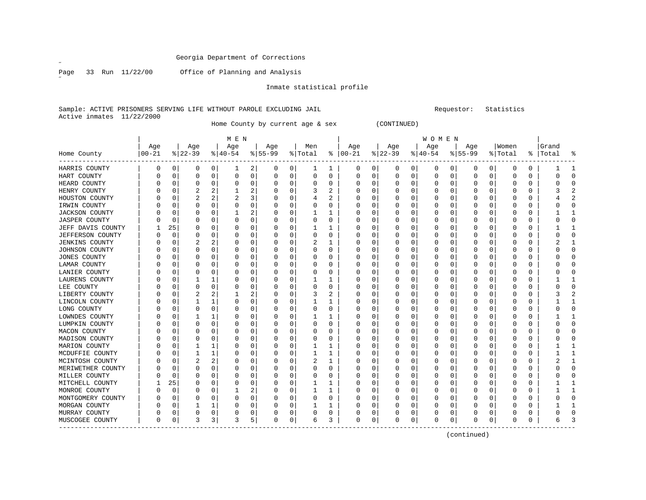$\mathscr{L}$ 

Page 33 Run 11/22/00 Office of Planning and Analysis

Inmate statistical profile

Sample: ACTIVE PRISONERS SERVING LIFE WITHOUT PAROLE EXCLUDING JAIL Requestor: Statistics Active inmates 11/22/2000

Home County by current age & sex (CONTINUED)

|                       |          |          |          |   | M E N       |             |           |          |          |          |               |   |          |   | W O M E N |          |           |             |          |          |           |                |
|-----------------------|----------|----------|----------|---|-------------|-------------|-----------|----------|----------|----------|---------------|---|----------|---|-----------|----------|-----------|-------------|----------|----------|-----------|----------------|
|                       | Age      |          | Age      |   | Age         |             | Age       |          | Men      |          | Age           |   | Age      |   | Age       |          | Age       |             | Women    |          | Grand     |                |
| Home County           | $ 00-21$ |          | $ 22-39$ |   | $ 40-54$    |             | $8 55-99$ |          | % Total  |          | $8   00 - 21$ |   | $ 22-39$ |   | $ 40-54$  |          | $8 55-99$ |             | % Total  |          | %   Total | °              |
| HARRIS COUNTY         | 0        | 0        | 0        | 0 | ı           | 2           | 0         | 0        | ı        | ı        | 0             | 0 | 0        | 0 | 0         | 0        | 0         | 0           | 0        | 0        |           | -1             |
| HART COUNTY           |          | $\Omega$ | 0        | 0 | $\mathbf 0$ | $\mathbf 0$ | O         | 0        | $\Omega$ | $\Omega$ | 0             | 0 | 0        | 0 | O         | 0        | 0         | $\mathbf 0$ | 0        | 0        |           | $\Omega$       |
| HEARD COUNTY          |          | 0        | 0        | 0 | 0           | 0           |           | 0        |          | 0        | 0             | 0 | 0        | 0 |           | 0        | C         | $\mathbf 0$ | 0        | $\Omega$ |           | $\Omega$       |
| HENRY COUNTY          |          | $\Omega$ | 2        |   |             | 2           |           | 0        | 3        |          | O             | U | 0        | 0 |           | 0        |           | $\mathbf 0$ | O        | $\Omega$ |           | 2              |
| HOUSTON COUNTY        |          | $\Omega$ | 2        | 2 | 2           | 3           |           | 0        | 4        | 2        | 0             | O | O        | U | O         | 0        | 0         | 0           | O        | 0        |           | $\overline{2}$ |
| IRWIN COUNTY          |          | 0        | 0        | U |             | 0           |           | 0        | 0        | 0        | 0             | O | 0        | 0 | O         | 0        | 0         | 0           | 0        | 0        |           | 0              |
| JACKSON COUNTY        |          | 0        | 0        | O |             | 2           |           | 0        |          |          | 0             | O | 0        | 0 | 0         | 0        |           | 0           | 0        | 0        |           |                |
| <b>JASPER COUNTY</b>  |          | 0        | 0        | 0 | 0           | 0           |           | 0        | 0        | 0        | 0             | O | O        | 0 | 0         | 0        | 0         | 0           | 0        | 0        |           | 0              |
| JEFF DAVIS COUNTY     |          | 25       | O        | U | O           | O           |           | $\Omega$ |          |          | O             | n | $\cap$   | U | O         | $\Omega$ | Ω         | $\Omega$    | O        | $\Omega$ |           | $\mathbf{1}$   |
| JEFFERSON COUNTY      |          | $\Omega$ |          | 0 | O           | O           |           | 0        | O        | $\Omega$ | O             | O | $\Omega$ | U | O         | O        | Ω         | $\Omega$    | O        | O        |           | $\Omega$       |
| <b>JENKINS COUNTY</b> |          | n        |          | 2 |             | O           |           | $\Omega$ | 2        |          | O             | O | 0        | U | O         | $\Omega$ |           | $\Omega$    | O        | O        |           | 1              |
| JOHNSON COUNTY        |          | $\Omega$ |          | U |             | O           |           | 0        |          | 0        |               | O | 0        | 0 |           | 0        |           | $\mathbf 0$ | 0        | 0        |           | $\Omega$       |
| JONES COUNTY          |          | $\Omega$ |          | U |             | O           |           | 0        |          | O        | O             | O | O        | U | O         | 0        |           | $\mathbf 0$ | O        | $\Omega$ |           | $\cap$         |
| LAMAR COUNTY          |          | $\Omega$ | O        | U | n           | O           |           | 0        | O        | O        | O             | O | $\Omega$ | U | O         | 0        | O         | $\mathbf 0$ | O        | 0        |           | $\Omega$       |
| LANIER COUNTY         |          | 0        | 0        | O |             | 0           |           | 0        | 0        | 0        | 0             | O | 0        | 0 | 0         | 0        | 0         | 0           | 0        | 0        |           | 0              |
| LAURENS COUNTY        |          | 0        |          |   | O           | O           |           | 0        |          |          | 0             | O | 0        | 0 | O         | 0        | 0         | 0           | O        | 0        |           | 1              |
| LEE COUNTY            |          | 0        |          | 0 | 0           |             |           | 0        |          |          | 0             |   | O        | 0 |           | 0        |           | 0           | 0        | 0        |           | $\Omega$       |
| LIBERTY COUNTY        |          | $\Omega$ |          |   |             | 2           |           | 0        |          |          | O             | n | O        | 0 |           | 0        | Ω         | $\Omega$    | O        | O        |           | 2              |
| LINCOLN COUNTY        |          | $\cap$   |          | 1 | O           | 0           |           | 0        |          |          | 0             | O | $\Omega$ | 0 |           | 0        | Ω         | $\Omega$    | 0        | 0        |           | 1              |
| LONG COUNTY           |          | O        | 0        | 0 | O           | 0           |           | 0        | O        | $\Omega$ | 0             | O | 0        | 0 |           | 0        |           | $\Omega$    | 0        | $\Omega$ |           | $\Omega$       |
| LOWNDES COUNTY        |          | O        |          |   |             | O           |           | 0        |          |          | 0             | 0 | O        | 0 |           | $\Omega$ |           | $\mathbf 0$ | 0        | O        |           | 1              |
| LUMPKIN COUNTY        |          | 0        |          | 0 |             | O           |           | 0        |          | 0        | 0             | 0 | O        | 0 |           | 0        |           | 0           | 0        | 0        |           | $\Omega$       |
| MACON COUNTY          |          | $\Omega$ |          | U |             | O           |           | 0        |          | O        | O             | O | O        | U | O         | 0        | C         | 0           | O        | 0        |           | $\Omega$       |
| MADISON COUNTY        |          | n        | O        | O | n           | O           |           | 0        | O        | 0        | O             | O | 0        | 0 | O         | 0        | 0         | 0           | O        | 0        |           | $\mathbf 0$    |
| MARION COUNTY         |          | n        |          | 1 |             | O           |           | 0        |          | 1        | O             | O | 0        | 0 | O         | 0        | 0         | 0           | O        | 0        |           | 1              |
| MCDUFFIE COUNTY       |          | 0        |          | 1 | 0           |             |           | 0        |          | 1        | 0             |   | 0        | 0 | 0         | 0        |           | 0           | 0        | 0        |           | 1              |
| MCINTOSH COUNTY       |          | 0        | 2        |   |             |             |           | 0        | 2        |          | 0             |   | O        | 0 | 0         | 0        |           | 0           | 0        | 0        |           | 1              |
| MERIWETHER COUNTY     |          | $\Omega$ | U        | 0 | O           | O           |           | 0        | O        | $\Omega$ | 0             | U | 0        | 0 | O         | 0        | O         | $\Omega$    | O        | 0        |           | $\Omega$       |
| MILLER COUNTY         |          | $\cap$   |          | U | O           | O           |           | 0        | $\Omega$ | $\Omega$ |               | U | $\Omega$ | U | O         | O        | Ω         | $\Omega$    | O        | $\Omega$ |           | $\Omega$       |
| MITCHELL COUNTY       |          | 25       |          | U |             | O           |           | $\Omega$ |          | 1        | O             | O | 0        | U |           | $\Omega$ |           | $\mathbf 0$ | O        | $\Omega$ |           | 1              |
| MONROE COUNTY         |          | $\Omega$ |          | 0 |             | 2           |           | 0        |          | 1        | O             | O | O        | U |           | $\Omega$ |           | $\mathbf 0$ | O        | 0        |           | $\mathbf{1}$   |
| MONTGOMERY COUNTY     |          | $\Omega$ |          | 0 |             | 0           |           | 0        |          | 0        | O             | O | 0        | 0 | 0         | 0        |           | $\mathbf 0$ | O        | $\Omega$ |           | 0              |
| MORGAN COUNTY         |          | 0        |          | 1 |             | 0           |           | 0        |          |          | 0             | 0 | 0        | 0 | O         | 0        | 0         | 0           | O        | 0        |           | 1              |
| MURRAY COUNTY         |          | 0        | 0        | 0 | 0           | 0           |           | 0        | 0        | 0        | 0             | 0 | 0        | 0 | 0         | 0        | 0         | 0           | 0        | 0        |           | 0              |
| MUSCOGEE COUNTY       | 0        | 0        | 3        | 3 | 3           | 5           | 0         | 0        | 6        | 3        | 0             | 0 | 0        | 0 | 0         | 0        | 0         | 0           | $\Omega$ | 0        |           | 3              |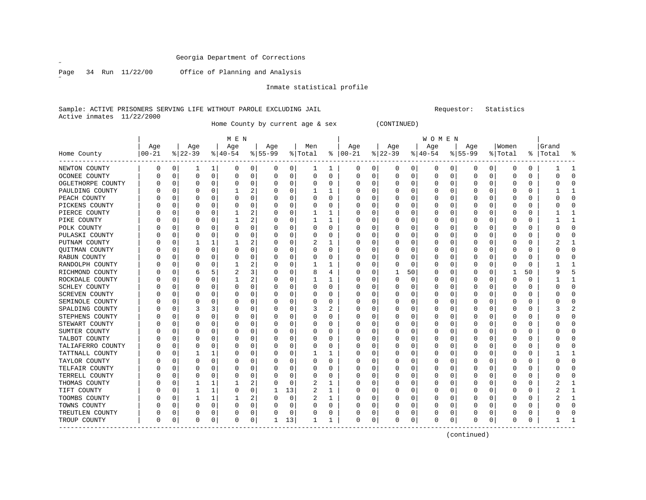$\overline{a}$ 

Page 34 Run 11/22/00 Office of Planning and Analysis

Inmate statistical profile

Sample: ACTIVE PRISONERS SERVING LIFE WITHOUT PAROLE EXCLUDING JAIL Requestor: Statistics Active inmates 11/22/2000

Home County by current age & sex (CONTINUED)

| Home County           | Age<br>$ 00-21$ |          | Age<br>$ 22-39$ |              | M E N<br>Age<br>$ 40-54$ |                | Age<br>$8 55-99$ |             | Men<br>% Total |          | Age<br>$8   00 - 21$ |   | Age<br>$ 22-39$ |          | W O M E N<br>Age<br>$ 40-54$ |          | Age<br>$8 55-99$ |                | Women<br>% Total | ႜ        | Grand<br> Total | ៖            |
|-----------------------|-----------------|----------|-----------------|--------------|--------------------------|----------------|------------------|-------------|----------------|----------|----------------------|---|-----------------|----------|------------------------------|----------|------------------|----------------|------------------|----------|-----------------|--------------|
| NEWTON COUNTY         | 0               | 0        |                 | 1            | 0                        | 0              | 0                | 0           | ı              |          | 0                    | 0 | 0               | 0        | 0                            | 0        | 0                | 0 <sup>1</sup> | 0                | 0        |                 | 1            |
| OCONEE COUNTY         |                 | 0        | 0               | 0            | $\Omega$                 | 0              | 0                | 0           | 0              | 0        | 0                    | 0 | 0               | 0        | 0                            | 0        | 0                | 0              | $\Omega$         | 0        | Ω               | $\Omega$     |
| OGLETHORPE COUNTY     |                 | 0        | 0               | 0            | $\Omega$                 | 0              | C                | 0           | $\Omega$       | 0        | 0                    | 0 | 0               | 0        | C                            | 0        |                  | 0              | 0                | 0        |                 | $\Omega$     |
| PAULDING COUNTY       |                 | 0        | 0               | 0            |                          | 2              |                  | 0           |                | 1        | 0                    | 0 | O               | 0        |                              | 0        |                  | 0              | U                | 0        |                 | $\mathbf{1}$ |
| PEACH COUNTY          |                 | 0        | 0               | 0            | O                        | 0              |                  | 0           | O              | $\Omega$ | 0                    | 0 | 0               | 0        | U                            | 0        | O                | 0              | U                | 0        |                 | $\mathbf 0$  |
| PICKENS COUNTY        |                 | 0        | 0               | 0            | 0                        | 0              | C                | 0           | 0              | $\Omega$ | 0                    | 0 | 0               | $\Omega$ | 0                            | 0        |                  | 0              | 0                | 0        |                 | $\Omega$     |
| PIERCE COUNTY         |                 | $\Omega$ | 0               | 0            |                          | 2              |                  | 0           |                |          | 0                    | 0 | 0               | 0        | C                            | 0        |                  | 0              | U                | 0        |                 | 1            |
| PIKE COUNTY           |                 | $\Omega$ | N               | O            | 1                        | $\overline{2}$ | C                | 0           | 1              | 1        | 0                    | U | $\Omega$        | 0        | C                            | 0        | O                | 0              | U                | 0        |                 | 1            |
| POLK COUNTY           |                 | $\Omega$ | 0               | O            | $\Omega$                 | 0              | C                | 0           | $\Omega$       | $\Omega$ | 0                    | U | 0               | 0        | 0                            | 0        |                  | $\Omega$       | U                | 0        | Ω               | $\mathbf 0$  |
| PULASKI COUNTY        |                 | $\Omega$ | 0               | 0            | 0                        | 0              | C                | 0           | 0              | 0        | 0                    | 0 | O               | 0        | 0                            | 0        |                  | 0              | 0                | 0        | 0               | 0            |
| PUTNAM COUNTY         |                 | $\Omega$ |                 | 1            |                          | 2              |                  | 0           | 2              | 1        | 0                    | 0 | O               | 0        |                              | 0        |                  | 0              | 0                | 0        |                 | $\mathbf{1}$ |
| QUITMAN COUNTY        |                 | $\Omega$ | 0               | $\Omega$     | $\Omega$                 | $\Omega$       | C                | 0           | $\Omega$       | $\Omega$ | 0                    | 0 | O               | 0        | 0                            | 0        | 0                | 0              | 0                | 0        |                 | 0            |
| RABUN COUNTY          |                 | 0        | 0               | 0            | 0                        | 0              | C                | 0           | 0              | 0        | 0                    | 0 | 0               | 0        | U                            | 0        |                  | 0              | U                | 0        | C               | 0            |
| RANDOLPH COUNTY       |                 | $\Omega$ | 0               | 0            |                          | 2              | C                | 0           |                |          | 0                    | 0 | O               | 0        | C                            | 0        |                  | 0              | 0                | 0        |                 |              |
| RICHMOND COUNTY       |                 | $\Omega$ | 6               | 5            |                          | 3              |                  | 0           | 8              | 4        | 0                    | U |                 | 50       | 0                            | 0        |                  | 0              |                  | 50       |                 | 5            |
| ROCKDALE COUNTY       |                 | $\Omega$ | 0               | 0            |                          | 2              | O                | 0           |                |          | 0                    | U | 0               | 0        | 0                            | 0        | <sup>0</sup>     | 0              | U                | 0        |                 | 1            |
| SCHLEY COUNTY         |                 | $\Omega$ | 0               | 0            | O                        | 0              | C                | 0           | O              | $\Omega$ | 0                    | 0 | 0               | $\Omega$ | U                            | 0        |                  | 0              | Ω                | 0        | 0               | $\mathbf 0$  |
| <b>SCREVEN COUNTY</b> |                 | $\Omega$ | 0               | 0            | $\Omega$                 | $\Omega$       |                  | 0           |                | $\Omega$ | $\Omega$             | 0 | O               | $\Omega$ | C                            | 0        |                  | 0              | 0                | 0        |                 | $\Omega$     |
| SEMINOLE COUNTY       |                 | 0        | 0               | 0            | $\Omega$                 | $\Omega$       |                  | 0           | $\Omega$       | 0        | 0                    | 0 | O               | 0        | 0                            | 0        | Ω                | 0              | U                | 0        |                 | $\mathbf 0$  |
| SPALDING COUNTY       |                 | 0        | 3               | 3            | O                        | 0              | C                | 0           | 3              | 2        | 0                    | 0 | 0               | 0        | U                            | 0        | $\left($         | 0              | U                | 0        |                 | 2            |
| STEPHENS COUNTY       |                 | 0        | 0               | 0            | O                        | 0              | C                | 0           | $\left($       | 0        | 0                    | 0 | 0               | 0        | U                            | 0        |                  | 0              | U                | 0        | C               | $\Omega$     |
| STEWART COUNTY        |                 | $\Omega$ | 0               | 0            | $\Omega$                 | $\Omega$       |                  | 0           |                | $\Omega$ | 0                    | 0 | O               | 0        | C                            | 0        |                  | 0              | 0                | 0        |                 | $\Omega$     |
| SUMTER COUNTY         |                 | $\Omega$ | N               | O            | $\Omega$                 | $\Omega$       | C                | 0           | O              | O        | 0                    | U | O               | 0        | C                            | 0        |                  | 0              | U                | 0        |                 | $\Omega$     |
| TALBOT COUNTY         |                 | $\Omega$ | 0               | 0            | $\Omega$                 | $\Omega$       | $\Omega$         | 0           | 0              | $\Omega$ | 0                    | 0 | O               | 0        | 0                            | $\Omega$ |                  | $\Omega$       | 0                | 0        | C               | $\Omega$     |
| TALIAFERRO COUNTY     |                 | 0        | 0               | 0            | $\Omega$                 | 0              | C                | 0           | $\Omega$       | $\Omega$ | 0                    | 0 | O               | 0        |                              | 0        |                  | 0              | 0                | 0        | C               | $\Omega$     |
| TATTNALL COUNTY       |                 | $\Omega$ |                 | $\mathbf{1}$ | $\Omega$                 | 0              |                  | 0           |                | 1        | 0                    | 0 | O               | $\Omega$ | U                            | 0        |                  | 0              | O                | 0        |                 | $\mathbf{1}$ |
| TAYLOR COUNTY         |                 | $\Omega$ | 0               | 0            | $\Omega$                 | $\Omega$       | C                | 0           | O              | $\Omega$ | 0                    | U | O               | $\Omega$ | U                            | 0        |                  | 0              | U                | 0        |                 | $\mathbf 0$  |
| TELFAIR COUNTY        |                 | 0        | 0               | 0            | $\Omega$                 | 0              | C                | 0           | 0              | 0        | 0                    | 0 | 0               | 0        | U                            | 0        |                  | 0              | U                | 0        |                 | 0            |
| TERRELL COUNTY        |                 | $\Omega$ | 0               | O            | O                        | $\Omega$       |                  | 0           | 0              | O        | 0                    | 0 | O               | 0        | C                            | 0        |                  | 0              | 0                | 0        |                 | $\Omega$     |
| THOMAS COUNTY         |                 | $\Omega$ |                 | 1            |                          | 2              | C                | $\Omega$    | $\overline{c}$ | 1        | 0                    | 0 | O               | $\Omega$ | C                            | 0        |                  | $\Omega$       | 0                | $\Omega$ |                 | 1            |
| TIFT COUNTY           |                 | 0        |                 | 1            | $\Omega$                 | 0              |                  | 13          | 2              | 1        | 0                    | 0 | O               | 0        | 0                            | 0        |                  | 0              | 0                | 0        |                 | 1            |
| TOOMBS COUNTY         |                 | 0        |                 | 1            |                          | 2              | $\Omega$         | $\mathbf 0$ | 2              |          | 0                    | 0 | 0               | $\Omega$ | 0                            | 0        |                  | 0              | Ω                | 0        |                 | 1            |
| TOWNS COUNTY          |                 | 0        | 0               | 0            |                          | 0              |                  | 0           |                | $\Omega$ | 0                    | 0 | O               | 0        | C                            | 0        |                  | $\mathbf 0$    | O                | 0        |                 | $\Omega$     |
| TREUTLEN COUNTY       |                 | 0        | 0               | 0            |                          | 0              |                  | 0           |                | $\Omega$ | 0                    | 0 | O               | 0        |                              | 0        |                  | 0              | 0                | 0        |                 | $\Omega$     |
| TROUP COUNTY          | $\Omega$        | 0        | 0               | 0            | $\Omega$                 | 0              | -1               | 13          |                | 1        | 0                    | 0 | O               | 0        | U                            | 0        |                  | 0              | O                | 0        |                 | $\mathbf{1}$ |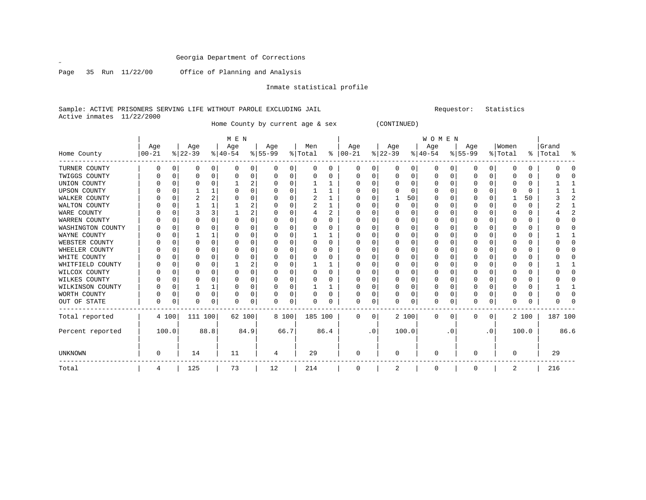$\mathscr{L}^{\pm}$ 

Page 35 Run 11/22/00 Office of Planning and Analysis

Inmate statistical profile

Sample: ACTIVE PRISONERS SERVING LIFE WITHOUT PAROLE EXCLUDING JAIL **SECONDER SECONDER SECULDING** Statistics Active inmates 11/22/2000

Home County by current age & sex (CONTINUED)

|                     |          |          |           |          | M E N    |          |           |          |         |          |              |           |           |       | <b>WOMEN</b> |           |          |           |          |          |           |                |
|---------------------|----------|----------|-----------|----------|----------|----------|-----------|----------|---------|----------|--------------|-----------|-----------|-------|--------------|-----------|----------|-----------|----------|----------|-----------|----------------|
|                     | Age      |          | Age       |          | Age      |          | Age       |          | Men     |          | Age          |           | Age       |       | Age          |           | Age      |           | Women    |          | Grand     |                |
| Home County         | $ 00-21$ |          | $ 22-39 $ |          | $ 40-54$ |          | $8 55-99$ |          | % Total | ိ        | $ 00-21$     |           | $ 22-39 $ |       | $ 40-54$     |           | $ 55-99$ |           | % Total  |          | %   Total | ႜ              |
| TURNER COUNTY       | 0        | 0        | 0         | 0        | O        | 0        | 0         | 0        | 0       | 0        | $\Omega$     | 0         | 0         | 0     | 0            | 0         | 0        | 0         | O        | 0        |           | O              |
| TWIGGS COUNTY       |          | $\Omega$ |           | O        |          |          |           | 0        |         |          |              |           | 0         | N     | $\Omega$     | 0         |          | $\Omega$  | O        | O        |           | ∩              |
| UNION COUNTY        |          | $\Omega$ | N         | O        |          |          |           | $\Omega$ |         |          | U            |           | $\Omega$  | U     | $\Omega$     | O         | U        | $\Omega$  | ∩        | $\Omega$ |           |                |
| <b>UPSON COUNTY</b> |          | $\Omega$ |           |          |          |          |           | U        |         |          | ∩            |           | $\Omega$  | U     | $\Omega$     | O         |          | $\Omega$  | ∩        | $\Omega$ |           |                |
| WALKER COUNTY       |          | $\Omega$ | 2         | 2        |          |          |           | 0        | 2       |          |              |           |           | 50    | 0            | O         |          | U         |          | 50       |           | $\overline{a}$ |
| WALTON COUNTY       |          | $\Omega$ |           |          |          |          |           | 0        |         |          |              |           | $\Omega$  | U     | O            | O         | U        | $\Omega$  | ∩        | $\Omega$ |           |                |
| WARE COUNTY         |          | $\Omega$ |           |          |          | 2        |           | U        |         | 2        |              |           | n         | U     | O            | O         |          | $\Omega$  |          | 0        |           | 2              |
| WARREN COUNTY       |          | $\Omega$ |           | O        |          |          |           | U        |         |          |              |           | $\Omega$  | U     | $\Omega$     | O         |          | U         | O        | $\Omega$ |           | O              |
| WASHINGTON COUNTY   |          |          | U         |          |          |          |           | U        |         | n        |              |           | n         | U     | O            | U         | ი        | ∩         | ∩        | $\Omega$ |           | U              |
| WAYNE COUNTY        |          |          |           |          |          |          |           | 0        |         |          | U            |           | 0         | U     | O            | O         |          | $\Omega$  | ∩        | $\Omega$ |           |                |
| WEBSTER COUNTY      |          | $\Omega$ |           | $\Omega$ |          |          |           | $\Omega$ |         | $\Omega$ | U            |           | $\Omega$  | O     | $\Omega$     | O         |          | $\Omega$  | $\Omega$ | $\Omega$ |           | $\Omega$       |
| WHEELER COUNTY      |          | $\Omega$ | U         | U        |          |          |           | U        |         | n        | U            |           | n         | U     | O            | $\Omega$  | ი        | $\Omega$  | ∩        | $\Omega$ |           | O              |
| WHITE COUNTY        |          | $\Omega$ |           | O        |          |          |           | U        |         |          | O            |           | 0         | U     | O            | O         |          | $\Omega$  | ∩        | $\Omega$ |           | O              |
| WHITFIELD COUNTY    |          | O        |           | U        |          | 2        |           | U        |         |          |              |           | $\Omega$  | U     | O            | O         |          | $\Omega$  | ∩        | $\Omega$ |           |                |
| WILCOX COUNTY       |          | ∩        |           | U        |          |          |           | U        |         | U        | U            |           | n         | U     | O            | U         | ი        | ∩         | ∩        | 0        |           |                |
| WILKES COUNTY       |          | $\Omega$ |           | O        |          |          |           | $\Omega$ |         |          | U            |           | $\Omega$  | O     | $\Omega$     | $\Omega$  |          | $\Omega$  | $\Omega$ | $\Omega$ |           | O              |
| WILKINSON COUNTY    |          | $\Omega$ |           |          |          | $\Omega$ |           | 0        |         |          | U            |           | $\Omega$  | 0     | $\Omega$     | O         |          | 0         | $\Omega$ | $\Omega$ |           |                |
| WORTH COUNTY        |          | 0        | N         | $\Omega$ |          | O        |           | 0        |         | U        |              |           | $\Omega$  | U     | 0            | O         |          | $\Omega$  | O        | $\Omega$ |           | O              |
| OUT OF STATE        | $\Omega$ | 0        | N         | $\Omega$ | ∩        | 0        | 0         | 0        |         |          | U            | 0         | $\Omega$  | 0     | $\Omega$     | 0         | U        | 0         | $\Omega$ | $\Omega$ |           |                |
| Total reported      |          | 4 100    | 111 100   |          | 62 100   |          | 8 100     |          | 185 100 |          | 0            | 0         |           | 2 100 | $\mathbf 0$  | 0         | 0        | 0         |          | 2 100    | 187 100   |                |
| Percent reported    |          | 100.0    |           | 88.8     |          | 84.9     | 66.7      |          |         | 86.4     |              | $\cdot$ 0 |           | 100.0 |              | $\cdot$ 0 |          | $\cdot$ 0 |          | 100.0    |           | 86.6           |
| UNKNOWN             | 0        |          | 14        |          | 11       |          | 4         |          | 29      |          | <sup>0</sup> |           | $\Omega$  |       | $\Omega$     |           | U        |           | $\Omega$ |          | 29        |                |
| Total               | 4        |          | 125       |          | 73       |          | 12        |          | 214     |          | 0            |           | 2         |       | 0            |           | 0        |           | 2        |          | 216       |                |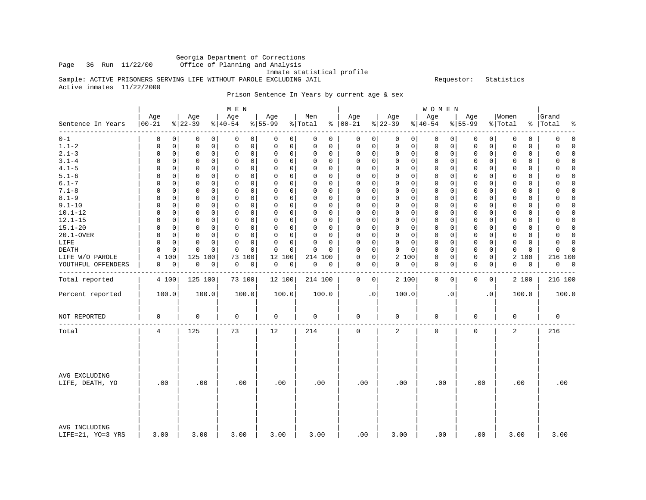# Georgia Department of Corrections<br>Page 36 Run 11/22/00 Office of Planning and Analysis

Office of Planning and Analysis

Inmate statistical profile

Sample: ACTIVE PRISONERS SERVING LIFE WITHOUT PAROLE EXCLUDING JAIL **Example** Sequestor: Statistics

Active inmates 11/22/2000

Prison Sentence In Years by current age & sex

|                                    |                 |                  | M E N           |                          |                |                               |                       | W O M E N        |                             |                  |                         |
|------------------------------------|-----------------|------------------|-----------------|--------------------------|----------------|-------------------------------|-----------------------|------------------|-----------------------------|------------------|-------------------------|
| Sentence In Years                  | Age<br>$ 00-21$ | Age<br>$ 22-39 $ | Age<br>$ 40-54$ | Age<br>$\frac{8}{55-99}$ | Men<br>% Total | Age<br>$8   00 - 21$          | Age<br>$ 22-39$       | Age<br>$ 40-54$  | Age<br>$8 55-99$            | Women<br>% Total | Grand<br>%   Total<br>ႜ |
| --------                           | 0               | 0                | 0               | 0                        | 0              | 0                             | $\mathbf 0$           | $\mathsf 0$      | 0                           | 0                | $\mathbf 0$             |
| $0 - 1$                            | 0               | 0                | 0               | 0                        | 0              | 0                             | 0 <sup>1</sup>        | 0                | 0                           | $\mathbf 0$      | 0                       |
| $1.1 - 2$                          | $\mathbf 0$     | $\mathbf 0$      | $\mathbf 0$     | $\mathbf 0$              | 0              | 0                             | $\mathbf 0$           | $\mathbf 0$      | $\mathbf 0$                 | $\Omega$         | 0                       |
|                                    | 0               | 0                | 0               | 0                        | $\Omega$       | 0                             | $\mathbf 0$           | 0                | 0                           | 0                | $\Omega$                |
| $2.1 - 3$                          | $\mathbf 0$     | $\mathbf 0$      | $\mathbf 0$     | 0                        | $\Omega$       | $\mathbf 0$                   | $\mathbf 0$           | 0                | $\mathbf 0$                 | 0                | 0                       |
|                                    | $\mathbf 0$     | 0                | 0               | $\mathbf 0$              | $\mathbf 0$    | 0                             | $\mathsf{O}$          | 0                | $\mathsf{O}$                | $\mathbf 0$      | $\Omega$                |
| $3.1 - 4$                          | 0               | 0                | $\mathbf 0$     | $\mathbf 0$              | $\Omega$       | 0                             | $\mathbf 0$           | $\mathbf 0$      | 0                           | $\mathbf 0$      | $\Omega$                |
|                                    | 0               | 0                | $\mathbf 0$     | 0                        | 0              | 0                             | $\mathbf 0$           | 0                | 0                           | 0                | $\Omega$                |
| $4.1 - 5$                          | 0               | 0                | 0               | $\Omega$                 | 0              | 0                             | $\mathbf 0$           | 0                | $\mathbf 0$                 | 0                | $\Omega$                |
|                                    | 0               | 0                | $\mathbf 0$     | 0                        | 0              | 0                             | $\mathbf 0$           | 0                | 0                           | 0                | 0                       |
| $5.1 - 6$                          | $\Omega$        | 0                | $\mathbf 0$     | $\Omega$                 | $\Omega$       | $\mathbf 0$                   | $\mathbf 0$           | 0                | $\mathbf 0$                 | 0                | $\mathbf 0$             |
|                                    | 0               | 0                | $\mathbf 0$     | 0                        | 0              | 0                             | $\mathbf 0$           | 0                | $\mathbf{0}$                | 0                | 0                       |
| $6.1 - 7$                          | $\Omega$        | $\Omega$         | $\Omega$        | $\Omega$                 | $\Omega$       | $\Omega$                      | $\Omega$              | $\mathbf 0$      | $\mathbf 0$                 | $\Omega$         | $\Omega$                |
|                                    | $\Omega$        | $\Omega$         | $\Omega$        | $\mathbf 0$              | $\Omega$       | $\Omega$                      | $\Omega$              | $\Omega$         | $\Omega$                    | $\Omega$         | $\Omega$                |
| $7.1 - 8$                          | 0               | $\mathbf 0$      | $\mathsf 0$     | $\Omega$                 | $\Omega$       | 0                             | $\mathsf{O}$          | 0                | $\mathbf 0$                 | $\mathbf 0$      | $\Omega$                |
|                                    | 0               | 0                | $\mathbf 0$     | $\mathbf 0$              | 0              | 0                             | $\mathbf 0$           | 0                | $\mathbf 0$                 | 0                | 0                       |
| $8.1 - 9$                          | $\Omega$        | $\mathbf 0$      | $\mathbf 0$     | $\Omega$                 | $\Omega$       | $\Omega$                      | $\mathbf 0$           | $\mathbf 0$      | $\mathbf 0$                 | 0                | 0                       |
|                                    | $\Omega$        | 0                | $\Omega$        | 0                        | $\Omega$       | 0                             | $\mathbf 0$           | 0                | $\Omega$                    | 0                | $\Omega$                |
| $9.1 - 10$                         | $\mathbf 0$     | $\mathbf 0$      | $\mathbf 0$     | 0                        | $\Omega$       | $\mathbf 0$                   | $\mathbf{0}$          | $\mathbf 0$      | $\mathbf 0$                 | $\mathbf 0$      | $\Omega$                |
|                                    | 0               | $\mathbf 0$      | $\mathbf 0$     | $\mathbf 0$              | 0              | 0                             | $\mathbf 0$           | 0                | $\mathbf 0$                 | $\mathbf 0$      | 0                       |
| $10.1 - 12$                        | 0               | $\mathbf 0$      | $\mathbf 0$     | $\mathbf 0$              | $\Omega$       | 0                             | $\mathbf{0}$          | $\mathbf 0$      | $\mathbf 0$                 | $\mathbf 0$      | $\mathbf 0$             |
|                                    | 0               | $\mathbf 0$      | $\mathbf 0$     | $\mathbf 0$              | 0              | 0                             | $\mathbf 0$           | 0                | $\mathbf 0$                 | 0                | 0                       |
| $12.1 - 15$                        | $\Omega$        | 0                | 0               | 0                        | $\Omega$       | $\Omega$                      | 0                     | 0                | $\mathbf 0$                 | 0                | $\mathbf 0$             |
|                                    | 0               | 0                | 0               | 0                        | $\Omega$       | 0                             | 0                     | 0                | $\mathbf{0}$                | 0                | 0                       |
| $15.1 - 20$                        | $\Omega$        | 0                | $\mathbf 0$     | $\mathbf 0$              | $\Omega$       | 0                             | $\mathbf 0$           | $\mathbf 0$      | $\mathbf 0$                 | $\mathbf 0$      | $\Omega$                |
|                                    | 0               | 0                | $\mathbf 0$     | $\Omega$                 | 0              | 0                             | $\mathbf 0$           | 0                | 0                           | $\mathbf 0$      | $\Omega$                |
| 20.1-OVER                          | $\Omega$        | $\mathbf 0$      | $\mathbf 0$     | $\mathbf 0$              | $\Omega$       | 0                             | $\mathbf{0}$          | 0                | $\mathbf 0$                 | $\mathbf 0$      | $\Omega$                |
|                                    | 0               | $\mathbf 0$      | 0               | $\Omega$                 | $\Omega$       | 0                             | $\mathbf 0$           | 0                | 0                           | 0                | 0                       |
| LIFE                               | $\Omega$        | $\mathbf 0$      | $\mathbf 0$     | $\Omega$                 | $\Omega$       | $\Omega$                      | $\mathbf{0}$          | 0                | $\mathbf 0$                 | $\mathbf 0$      | 0                       |
|                                    | 0               | 0                | 0               | $\mathbf 0$              | $\Omega$       | 0                             | $\mathbf 0$           | 0                | $\mathbf 0$                 | $\mathbf 0$      | $\mathbf 0$             |
| <b>DEATH</b>                       | $\Omega$        | $\mathbf 0$      | $\Omega$        | 0                        | $\Omega$       | 0                             | $\Omega$              | 0                | $\mathbf 0$                 | $\mathbf 0$      | $\Omega$                |
|                                    | $\Omega$        | $\Omega$         | $\Omega$        | $\Omega$                 | $\Omega$       | $\Omega$                      | $\Omega$              | 0                | 0                           | 0                | 0                       |
| LIFE W/O PAROLE                    | 100<br>4        | 125 100          | 100<br>73       | 12<br>100                | 214 100        | 0<br>$\mathbf 0$              | $\overline{a}$<br>100 | $\mathsf 0$<br>0 | $\mathsf{O}$<br>$\mathbf 0$ | 2<br>100         | 216 100                 |
| YOUTHFUL OFFENDERS                 | 0               | 0                | 0               | 0                        | 0              | 0                             | 0                     | 0                | $\mathbf 0$                 | 0                | 0                       |
|                                    | 0               | 0                | 0               | 0                        | 0              | $\overline{0}$                | 0                     | 0                | 0                           | 0                | 0                       |
|                                    |                 |                  |                 |                          |                |                               |                       |                  |                             |                  |                         |
| Total reported                     | 4 100           | 125 100          | 73 100          | 12 100                   | 214 100        | $\mathbf 0$<br>$\overline{0}$ | 2 100                 | $\mathbf 0$<br>0 | $\mathbf 0$<br>$\mathbf{0}$ | 2 100            | 216 100                 |
| Percent reported                   | 100.0           | 100.0            | 100.0           | 100.0                    | 100.0          | $\cdot$ 0                     | 100.0                 | $\cdot$ 0        | $\cdot$ 0                   | 100.0            | 100.0                   |
| NOT REPORTED                       | 0               | 0                | 0               | 0                        | 0              | 0                             | 0                     | 0                | $\mathbf 0$                 | 0                | $\mathbf 0$             |
| Total                              | 4               | 125              | 73              | 12                       | 214            | $\mathbf 0$                   | 2                     | $\mathbf 0$      | $\mathbf 0$                 | 2                | 216                     |
| AVG EXCLUDING<br>LIFE, DEATH, YO   | .00             | .00              | .00             | .00                      | .00            | .00                           | .00                   | .00              | .00                         | .00              | .00                     |
| AVG INCLUDING<br>LIFE=21, YO=3 YRS | 3.00            | 3.00             | 3.00            | 3.00                     | 3.00           | .00                           | 3.00                  | .00              | .00                         | 3.00             | 3.00                    |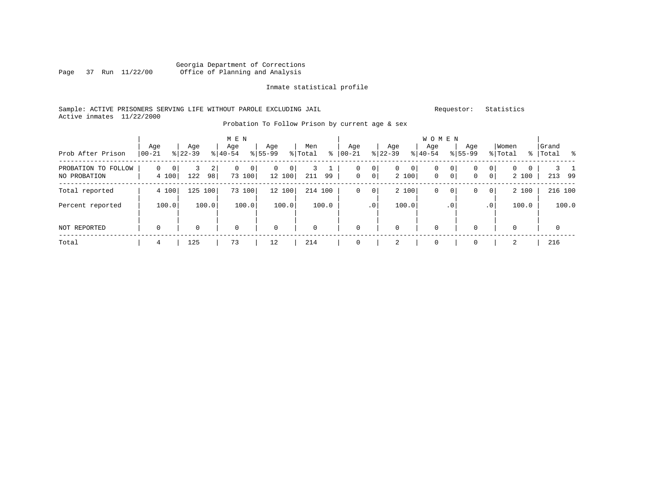# Georgia Department of Corrections<br>Page 37 Run 11/22/00 Office of Planning and Analysis Office of Planning and Analysis

Inmate statistical profile

Sample: ACTIVE PRISONERS SERVING LIFE WITHOUT PAROLE EXCLUDING JAIL **Requestor:** Statistics Active inmates 11/22/2000

|                                     |                              |                                  | M E N            |                    |                     |                             |                              | W O M E N             |                                                    |                                       |                         |
|-------------------------------------|------------------------------|----------------------------------|------------------|--------------------|---------------------|-----------------------------|------------------------------|-----------------------|----------------------------------------------------|---------------------------------------|-------------------------|
| Prob After Prison                   | Age<br>$ 00-21 $             | Age<br>$8 22-39$                 | Age<br>$ 40-54 $ | Age<br>$8155 - 99$ | Men<br>ႜ<br>% Total | Age<br>$00 - 21$            | Age<br>$ 22-39 $             | Age<br>$8 40-54$      | Age<br>$8155 - 99$                                 | Women<br>% Total                      | Grand<br>%   Total<br>ိ |
| PROBATION TO FOLLOW<br>NO PROBATION | 0<br>$\overline{0}$<br>4 100 | 3<br>$\overline{2}$<br>122<br>98 | 0<br>0<br>73 100 | 0<br>0<br>12 100   | 99<br>211           | 0<br>0<br>$\mathbf 0$<br> 0 | $\overline{0}$<br>0<br>2 100 | 0<br>0<br>$\mathbf 0$ | 0<br>$\mathbf 0$<br>$\overline{0}$<br>$\circ$<br>0 | $\mathbf{0}$<br>$\mathbf{0}$<br>2 100 | 213 99                  |
| Total reported                      | 4 100                        | 125<br>100                       | 73 100           | 12 100             | 214 100             | 0<br>0                      | 2 100                        | 0<br>0                | $\overline{0}$<br>0                                | 2 100                                 | 216 100                 |
| Percent reported                    | 100.0                        | 100.0                            | 100.0            | 100.0              | 100.0               | .0 <sup>1</sup>             | 100.0                        | . 0                   | .0'                                                | 100.0                                 | 100.0                   |
| <b>NOT REPORTED</b>                 | $\mathbf 0$                  | 0                                | $\mathbf 0$      | $\mathbf 0$        | 0                   | $\mathbf 0$                 | $\mathbf 0$                  | 0                     | 0                                                  | $\mathbf 0$                           | 0                       |
| Total                               | 4                            | 125                              | 73               | 12                 | 214                 | 0                           | 2                            | 0                     | 0                                                  | 2                                     | 216                     |

Probation To Follow Prison by current age & sex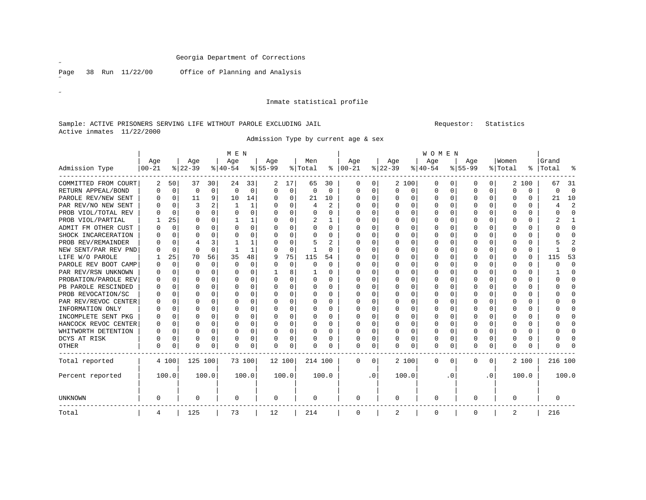Page 38 Run 11/22/00 Office of Planning and Analysis

 $\overline{a}$ 

˝

#### Inmate statistical profile

### Sample: ACTIVE PRISONERS SERVING LIFE WITHOUT PAROLE EXCLUDING JAIL Requestor: Statistics Active inmates 11/22/2000

Admission Type by current age & sex

|                      |          |          |           |             | M E N    |          |           |             |          |          |          |          |             |          | <b>WOMEN</b> |          |           |              |             |          |           |                |
|----------------------|----------|----------|-----------|-------------|----------|----------|-----------|-------------|----------|----------|----------|----------|-------------|----------|--------------|----------|-----------|--------------|-------------|----------|-----------|----------------|
|                      | Age      |          | Age       |             | Age      |          | Age       |             | Men      |          | Age      |          | Age         |          | Age          |          | Age       |              | Women       |          | Grand     |                |
| Admission Type       | $ 00-21$ |          | $ 22-39 $ |             | $ 40-54$ |          | $8 55-99$ |             | % Total  | ႜႂ       | $ 00-21$ |          | $ 22-39 $   |          | $ 40-54$     |          | $8 55-99$ |              | % Total     |          | %   Total | ႜ              |
| COMMITTED FROM COURT | 2        | 50       | 37        | 30          | 24       | 33       | 2         | 17          | 65       | 30       | 0        | 0        | 2 100       |          | 0            | 0        | 0         | $\mathbf{0}$ | 2           | 100      | 67        | 31             |
| RETURN APPEAL/BOND   | O        | 0        | 0         | $\mathbf 0$ | $\Omega$ | $\Omega$ | $\Omega$  | $\mathbf 0$ | $\Omega$ | $\Omega$ | 0        | 0        | $\mathbf 0$ | 0        | 0            | 0        | 0         | 0            | $\Omega$    | $\Omega$ | $\Omega$  | 0              |
| PAROLE REV/NEW SENT  | O        | 0        | 11        | 9           | 10       | 14       | $\Omega$  | 0           | 21       | 10       | O        | $\Omega$ | $\Omega$    | 0        | U            | 0        | 0         | 0            | $\Omega$    | $\Omega$ | 21        | 10             |
| PAR REV/NO NEW SENT  |          | $\Omega$ | 3         | 2           | -1       | 1        | U         | 0           | 4        | 2        | O        | $\Omega$ | $\Omega$    | 0        | U            | $\Omega$ | Ω         | $\Omega$     | $\Omega$    | $\Omega$ | 4         | $\overline{2}$ |
| PROB VIOL/TOTAL REV  |          | $\Omega$ | 0         | $\Omega$    | $\Omega$ | $\Omega$ | 0         | 0           | $\Omega$ | $\Omega$ | $\Omega$ | $\Omega$ | $\Omega$    | $\Omega$ | 0            | $\Omega$ | 0         | $\Omega$     | $\Omega$    | $\Omega$ | 0         | $\Omega$       |
| PROB VIOL/PARTIAL    |          | 25       | U         | $\Omega$    |          |          | $\Omega$  | 0           | 2        |          | $\Omega$ | $\Omega$ | $\Omega$    | 0        | $\Omega$     | $\Omega$ | 0         | $\Omega$     | $\Omega$    | $\Omega$ |           | $\mathbf{1}$   |
| ADMIT FM OTHER CUST  |          | $\Omega$ | 0         | $\Omega$    | $\Omega$ | $\Omega$ | 0         | 0           | 0        | $\Omega$ | 0        | $\Omega$ | $\Omega$    | 0        | 0            | $\Omega$ | 0         | $\Omega$     | $\Omega$    | $\Omega$ | O         | $\Omega$       |
| SHOCK INCARCERATION  |          | $\Omega$ | O         | $\Omega$    | ∩        | $\Omega$ | O         | 0           | O        | $\Omega$ | $\Omega$ | $\Omega$ | $\Omega$    | O        | O            | $\Omega$ | 0         | $\Omega$     | $\Omega$    | 0        |           | $\Omega$       |
| PROB REV/REMAINDER   |          | $\Omega$ | 4         | 3           |          |          | U         | 0           |          | 2        | O        | $\Omega$ | $\Omega$    | O        | U            | $\Omega$ | Ω         | 0            | $\Omega$    | 0        |           | $\overline{2}$ |
| NEW SENT/PAR REV PND |          | $\Omega$ | U         | $\Omega$    | 1        |          | $\Omega$  | $\mathbf 0$ |          | $\Omega$ | O        | $\Omega$ | $\Omega$    | O        | U            | $\Omega$ | Ω         | $\Omega$     | $\Omega$    | $\Omega$ |           | $\Omega$       |
| LIFE W/O PAROLE      |          | 25       | 70        | 56          | 35       | 48       | 9         | 75          | 115      | 54       | U        | $\Omega$ | $\Omega$    | O        | O            | $\Omega$ | Ω         | $\Omega$     | $\Omega$    | $\Omega$ | 115       | 53             |
| PAROLE REV BOOT CAMP |          | $\Omega$ | O         | $\mathbf 0$ | $\Omega$ | $\Omega$ | $\Omega$  | 0           |          | $\Omega$ | U        | $\cap$   | $\Omega$    | U        | U            | $\Omega$ | Ω         | $\Omega$     | $\Omega$    | $\Omega$ | ∩         | $\Omega$       |
| PAR REV/RSN UNKNOWN  |          | $\Omega$ | O         | $\Omega$    | $\Omega$ | 0        |           | 8           |          | $\Omega$ | 0        | $\Omega$ | $\Omega$    | U        | 0            | $\Omega$ | Ω         | $\Omega$     | $\Omega$    | $\Omega$ |           | $\Omega$       |
| PROBATION/PAROLE REV |          | 0        | U         | 0           | $\Omega$ | 0        | n         | 0           |          | $\Omega$ | $\Omega$ | $\cap$   | $\Omega$    | O        | U            | 0        |           | 0            | $\Omega$    | 0        |           | 0              |
| PB PAROLE RESCINDED  |          | 0        | 0         | $\Omega$    | $\Omega$ | 0        | O         | 0           |          | $\Omega$ | O        | 0        | $\Omega$    | U        | U            | 0        |           | 0            | $\Omega$    | 0        |           | $\Omega$       |
| PROB REVOCATION/SC   |          | $\Omega$ | U         | $\Omega$    | $\Omega$ | 0        | $\Omega$  | 0           |          | $\Omega$ | O        | 0        | $\Omega$    | U        | U            | 0        | Ω         | 0            | $\Omega$    | 0        |           | $\Omega$       |
| PAR REV/REVOC CENTER | U        | $\Omega$ | U         | $\Omega$    | $\Omega$ | 0        | O         | 0           | 0        | 0        | 0        | 0        | $\Omega$    | U        | U            | $\Omega$ | 0         | 0            | ∩           | $\Omega$ |           | $\Omega$       |
| INFORMATION ONLY     | U        | 0        | U         | $\Omega$    | ∩        | 0        | n         | 0           | O        | 0        | $\Omega$ | $\Omega$ | $\Omega$    | O        | U            | 0        | Ω         | $\Omega$     | ∩           | 0        |           | $\Omega$       |
| INCOMPLETE SENT PKG  | O        | $\Omega$ | U         | $\Omega$    | $\Omega$ | 0        | n         | 0           | $\Omega$ | $\Omega$ | O        | $\Omega$ | $\Omega$    | U        | 0            | $\Omega$ | 0         | $\Omega$     | $\Omega$    | $\Omega$ |           | $\Omega$       |
| HANCOCK REVOC CENTER | 0        | 0        | 0         | $\Omega$    | $\Omega$ | 0        | n         | 0           | $\Omega$ | $\Omega$ | $\Omega$ | $\Omega$ | 0           | $\Omega$ | $\Omega$     | 0        | 0         | 0            | $\Omega$    | 0        |           | $\Omega$       |
| WHITWORTH DETENTION  | O        | 0        | U         | $\Omega$    | $\Omega$ | 0        | n         | 0           | $\Omega$ | $\Omega$ | 0        | $\Omega$ | $\Omega$    | O        | 0            | $\Omega$ | Ω         | 0            | $\Omega$    | $\Omega$ |           | $\Omega$       |
| DCYS AT RISK         |          | 0        | 0         | 0           | $\Omega$ | 0        | 0         | 0           |          | $\Omega$ | $\Omega$ | $\Omega$ | $\Omega$    | 0        | 0            | 0        | 0         | $\Omega$     | $\Omega$    | $\Omega$ |           | $\Omega$       |
| <b>OTHER</b>         | 0        | 0        | U         | 0           | $\Omega$ | 0        | $\Omega$  | 0           |          | O        | $\Omega$ | $\Omega$ | $\mathbf 0$ | 0        | $\Omega$     | 0        | 0         | 0            | $\Omega$    | $\Omega$ |           | ∩              |
| Total reported       |          | 4 100    | 125 100   |             |          | 73 100   | 12 100    |             | 214 100  |          | $\Omega$ | 0        | 2 100       |          | $\mathbf 0$  | 0        | 0         | 0            |             | 2 100    | 216 100   |                |
| Percent reported     |          | 100.0    |           | 100.0       |          | 100.0    |           | 100.0       |          | 100.0    |          | . 0      | 100.0       |          |              | . 0      |           | . 0          |             | 100.0    |           | 100.0          |
| UNKNOWN              | 0        |          | 0         |             | 0        |          | 0         |             | $\Omega$ |          | 0        |          | 0           |          | 0            |          | 0         |              | $\mathbf 0$ |          | 0         |                |
| Total                | 4        |          | 125       |             | 73       |          | 12        |             | 214      |          | 0        |          | 2           |          | 0            |          | 0         |              | 2           |          | 216       |                |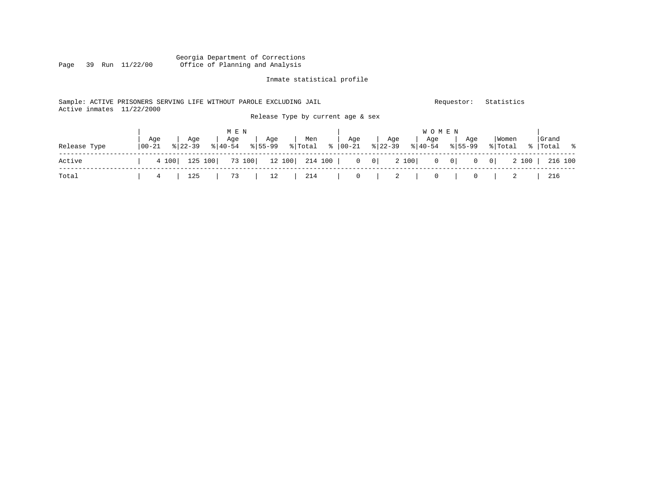### Georgia Department of Corrections Office of Planning and Analysis

### Inmate statistical profile

### Sample: ACTIVE PRISONERS SERVING LIFE WITHOUT PAROLE EXCLUDING JAIL Requestor: Statistics Active inmates 11/22/2000 Release Type by current age & sex

|              |                   |                    | M E N |                                                  |                                                |     |     | W O M E N |         |                                                                                         |                      |
|--------------|-------------------|--------------------|-------|--------------------------------------------------|------------------------------------------------|-----|-----|-----------|---------|-----------------------------------------------------------------------------------------|----------------------|
| Release Type | Aqe<br>$100 - 21$ | Age<br>$8122 - 39$ | ` Age | Age<br>$\frac{1}{6}$  40-54 $\frac{1}{6}$  55-99 | Men<br>% Total % 00-21 % 22-39 % 40-54 % 55-99 | Aqe | Age | Aqe       | and Aqe | Women<br>% Total                                                                        | Grand<br>%   Total % |
| Active       |                   |                    |       |                                                  |                                                |     |     |           |         | 4 100   125 100   73 100   12 100   214 100   0 0   2 100   0 0   0 0   2 100   216 100 |                      |
| Total        | $\frac{1}{1}$ 4 1 | 125                |       |                                                  | 73   12   214   0   2   0   0   2              |     |     |           |         |                                                                                         | 216                  |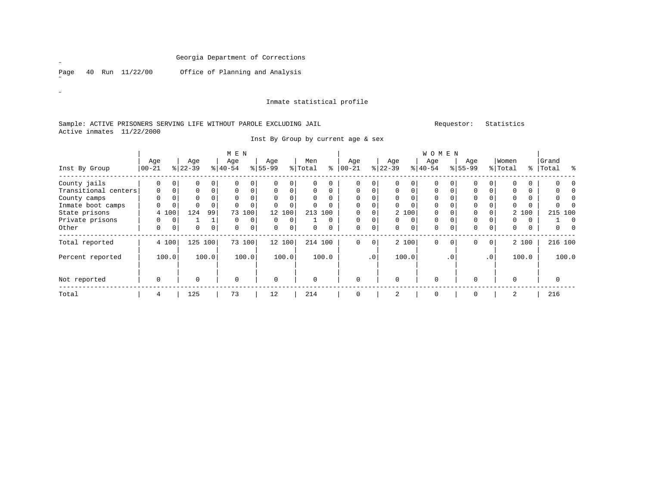Page 40 Run 11/22/00 Office of Planning and Analysis

#### Inmate statistical profile

#### Sample: ACTIVE PRISONERS SERVING LIFE WITHOUT PAROLE EXCLUDING JAIL Requestor: Statistics Active inmates 11/22/2000

|                      |                 |             |                  |             | M E N            |          |                 |                |                |          |                 |           |                 |             | <b>WOMEN</b>     |             |                 |                 |                  |       |                    |          |
|----------------------|-----------------|-------------|------------------|-------------|------------------|----------|-----------------|----------------|----------------|----------|-----------------|-----------|-----------------|-------------|------------------|-------------|-----------------|-----------------|------------------|-------|--------------------|----------|
| Inst By Group        | Age<br>$ 00-21$ |             | Age<br>$ 22-39 $ |             | Age<br>$8 40-54$ |          | Age<br>$ 55-99$ |                | Men<br>% Total | နွ       | Age<br>$ 00-21$ |           | Age<br>$ 22-39$ |             | Age<br>$8 40-54$ |             | Age<br>$ 55-99$ |                 | Women<br>% Total |       | Grand<br>%   Total | ွေ       |
| County jails         | $\Omega$        | $\Omega$    | $\Omega$         |             | $\Omega$         | 0        |                 | $\Omega$       |                | 0        | $\Omega$        | 0         |                 | $\Omega$    | $\Omega$         |             |                 | 0               |                  |       |                    |          |
| Transitional centers | 0               | $\mathbf 0$ | $\Omega$         |             | $\Omega$         | 0        | $\mathbf 0$     | $\overline{0}$ | 0              | $\Omega$ | $\mathbf 0$     | 0         | $\Omega$        | $\Omega$    | $\Omega$         |             | $\mathbf 0$     | 0               |                  | 0     |                    |          |
| County camps         | $\Omega$        | $\Omega$    | $\Omega$         |             | $\Omega$         | $\Omega$ |                 |                |                |          | $\Omega$        |           |                 |             | $\Omega$         |             |                 |                 |                  |       |                    |          |
| Inmate boot camps    | 0               | $\Omega$    |                  |             | $\Omega$         | $\Omega$ |                 |                |                |          | $\Omega$        | O         | $\Omega$        | $\Omega$    | $\Omega$         |             | $\Omega$        |                 | U                |       |                    |          |
| State prisons        |                 | 4 100       | 124              | 99          | 73               | 100      | 12 <sup>°</sup> | 100            | 213            | 100      | $\Omega$        | 0         |                 | 2 100       | $\Omega$         |             | $\mathbf 0$     |                 |                  | 2 100 | 215 100            |          |
| Private prisons      | 0               | 0           |                  |             | $\Omega$         | 0        | $\Omega$        | $\Omega$       |                | 0        | $\Omega$        | 0         | $\Omega$        | $\mathbf 0$ | 0                | $\Omega$    | $\mathbf 0$     |                 | 0                |       |                    | $\Omega$ |
| Other                | 0               | 0           | 0                | $\mathbf 0$ | 0                | 0        | 0               | 0 <sup>1</sup> | 0              | 0        | $\mathbf 0$     | 0         | 0               | 0           | 0                | 0           | $\mathbf 0$     | $\overline{0}$  | 0                | 0     | 0                  | $\Omega$ |
| Total reported       |                 | 4 100       | 125              | 100         |                  | 73 100   |                 | 12 100         |                | 214 100  | $\mathbf 0$     | 0         |                 | 2 100       | 0                | $\mathbf 0$ | 0               | 0               |                  | 2 100 | 216 100            |          |
| Percent reported     |                 | 100.0       |                  | 100.0       |                  | 100.0    |                 | 100.0          |                | 100.0    |                 | $\cdot$ 0 |                 | 100.0       |                  | $\cdot$ 0   |                 | .0 <sup>1</sup> |                  | 100.0 |                    | 100.0    |
| Not reported         | 0               |             | 0                |             | $\mathbf 0$      |          | $\mathbf 0$     |                | 0              |          | $\mathbf 0$     |           | $\Omega$        |             | 0                |             | $\Omega$        |                 | $\Omega$         |       | 0                  |          |
| Total                | 4               |             | 125              |             | 73               |          | 12              |                | 214            |          | 0               |           | 2               |             | 0                |             | $\mathbf 0$     |                 | 2                |       | 216                |          |

Inst By Group by current age & sex

 $\mathscr{L}$ 

 $\mathscr{B}^{\pm}$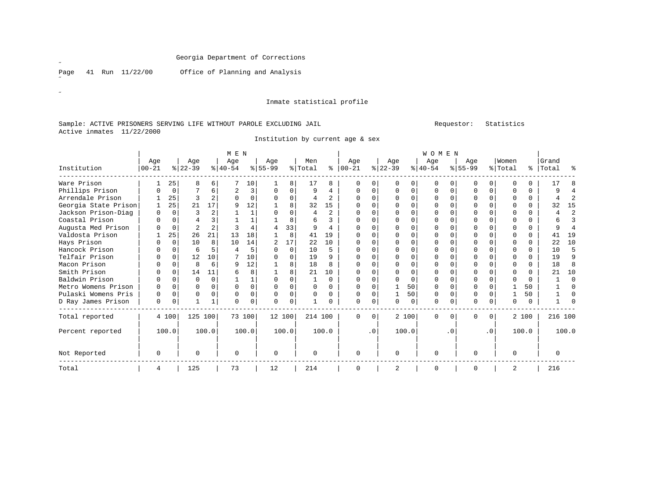Page 41 Run 11/22/00 Office of Planning and Analysis

 $\mathscr{B}^{\pm}$ 

 $\mathscr{L}$ 

#### Inmate statistical profile

#### Sample: ACTIVE PRISONERS SERVING LIFE WITHOUT PAROLE EXCLUDING JAIL Requestor: Statistics Active inmates 11/22/2000

Institution by current age & sex

|                      |              |             |                |                | M E N    |          |                |          |              |                |           |           |              |       | <b>WOMEN</b> |           |             |             |          |          |          |          |
|----------------------|--------------|-------------|----------------|----------------|----------|----------|----------------|----------|--------------|----------------|-----------|-----------|--------------|-------|--------------|-----------|-------------|-------------|----------|----------|----------|----------|
|                      | Age          |             | Age            |                | Age      |          | Age            |          | Men          |                | Age       |           | Age          |       | Age          |           | Age         |             | Women    |          | Grand    |          |
| Institution          | $00 - 21$    |             | $ 22-39 $      |                | $ 40-54$ |          | $8 55-99$      |          | % Total      | နွ             | $00 - 21$ |           | $ 22-39$     |       | $8 40-54$    |           | $8155 - 99$ |             | % Total  | ÷        | Total    | ႜ        |
| Ware Prison          |              | 25          | 8              | 6              |          | 10       |                | 8        | 17           | 8              |           |           |              |       | U            |           |             | 0           |          |          | 17       |          |
| Phillips Prison      |              | $\mathbf 0$ |                | 6              | 2        | 3        | O              | $\Omega$ | 9            | 4              |           | 0         | <sup>0</sup> |       | O            | $\Omega$  |             | $\mathbf 0$ | O        | $\Omega$ | 9        | 4        |
| Arrendale Prison     |              | 25          |                | $\overline{a}$ | $\Omega$ |          | $\cap$         | $\Omega$ | 4            | $\overline{c}$ |           |           | $\cap$       |       | $\cap$       | $\Omega$  |             | $\Omega$    | U        | 0        |          | 2        |
| Georgia State Prison |              | 25          | 21             | 17             | 9        | 12       |                | 8        | 32           | 15             |           |           |              |       |              |           |             | $\Omega$    |          | $\Omega$ | 32       | 15       |
| Jackson Prison-Diag  | <sup>0</sup> | $\Omega$    | ς              | 2              |          |          | $\Omega$       | $\Omega$ | 4            | $\mathfrak{D}$ | O         |           | ∩            |       | $\Omega$     | O         |             | $\Omega$    | O        | 0        | 4        | 2        |
| Coastal Prison       | U            | $\Omega$    |                | ς              |          |          |                | 8        | 6            | 3              | 0         | $\cap$    | $\Omega$     |       | $\Omega$     |           |             | $\Omega$    | $\Omega$ | $\Omega$ | 6        | 3        |
| Augusta Med Prison   |              | $\mathbf 0$ | $\overline{2}$ | $\overline{c}$ | ζ        |          | 4              | 33       | 9            | $\overline{4}$ | U         |           | $\cap$       |       | $\Omega$     | U         |             | $\Omega$    | U        | 0        | q        | 4        |
| Valdosta Prison      |              | 25          | 26             | 21             | 13       | 18       |                | 8        | 41           | 19             |           |           | <sup>0</sup> |       | O            |           |             | $\Omega$    | O        | $\Omega$ | 41       | 19       |
| Hays Prison          |              | $\Omega$    | 10             | 8              | 10       | 14       | $\overline{2}$ | 17       | 22           | 10             | U         | $\cap$    | ∩            |       | $\Omega$     | U         |             | $\Omega$    | O        | $\Omega$ | 22       | 10       |
| Hancock Prison       |              | 0           | 6              | 5              | 4        |          | $\Omega$       | $\Omega$ | 10           | 5              | 0         | U         | $\Omega$     |       | $\Omega$     |           |             | $\Omega$    | $\Omega$ | $\Omega$ | 10       | 5        |
| Telfair Prison       |              | 0           | 12             | 10             |          | 10       | $\Omega$       | $\Omega$ | 19           | 9              | U         | U         | ∩            |       | <sup>0</sup> | U         |             | $\Omega$    | O        | $\Omega$ | 19       | 9        |
| Macon Prison         |              | $\Omega$    | 8              | 6              | 9        | 12       |                | 8        | 18           | $\mathsf{R}$   |           |           |              |       | O            |           |             | $\Omega$    | O        | $\Omega$ | 18       | 8        |
| Smith Prison         | U            | $\Omega$    | 14             | 11             | 6        |          |                | 8        | 21           | 10             | O         |           | ∩            |       | $\Omega$     |           |             | $\Omega$    | O        | $\Omega$ | 2.1      | 10       |
| Baldwin Prison       | U            | $\Omega$    | O              | $\Omega$       |          |          | $\Omega$       |          | $\mathbf{1}$ | $\Omega$       | U         |           | $\cap$       |       | $\Omega$     |           |             | $\Omega$    | $\Omega$ | $\cap$   |          | $\Omega$ |
| Metro Womens Prison  | O            | $\Omega$    | O              | $\Omega$       | $\Omega$ | $\Omega$ | $\Omega$       | $\Omega$ | $\Omega$     | $\Omega$       | U         | $\cap$    |              | 50    | $\Omega$     | $\Omega$  |             | $\Omega$    |          | 50       |          | $\Omega$ |
| Pulaski Womens Pris  | 0            | 0           | 0              | $\Omega$       | $\Omega$ | 0        | $\Omega$       | $\Omega$ | $\Omega$     | 0              | U         |           |              | 50    | $\Omega$     | O         |             | $\Omega$    |          | 50       |          | $\Omega$ |
| D Ray James Prison   | 0            | 0           |                | 1              | $\Omega$ | $\Omega$ | $\Omega$       | $\Omega$ |              | <sup>n</sup>   | $\Omega$  | $\cap$    | $\Omega$     | O     | 0            | 0         |             | 0           | $\Omega$ | $\cap$   |          |          |
| Total reported       |              | 4 100       | 125 100        |                |          | 73 100   |                | 12 100   | 214 100      |                | $\Omega$  | $\Omega$  |              | 2 100 | 0            | 0         | $\Omega$    | 0           |          | 2 100    | 216 100  |          |
| Percent reported     |              | 100.0       |                | 100.0          |          | 100.0    |                | 100.0    |              | 100.0          |           | $\cdot$ 0 |              | 100.0 |              | $\cdot$ 0 |             | $\cdot$ 0   |          | 100.0    |          | 100.0    |
| Not Reported         | $\Omega$     |             | $\Omega$       |                | $\Omega$ |          | $\Omega$       |          | $\Omega$     |                | $\Omega$  |           | $\Omega$     |       | $\Omega$     |           | ∩           |             | $\Omega$ |          | $\Omega$ |          |
| Total                | 4            |             | 125            |                | 73       |          | 12             |          | 214          |                | 0         |           | 2            |       | 0            |           |             |             | 2        |          | 216      |          |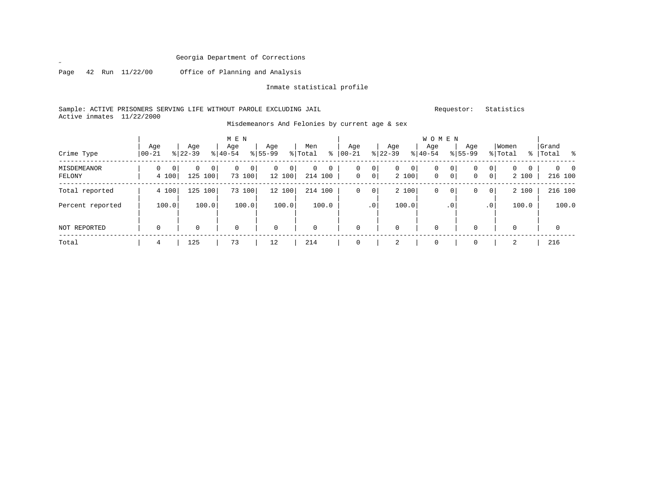Page 42 Run 11/22/00 Office of Planning and Analysis

˝

Inmate statistical profile

Sample: ACTIVE PRISONERS SERVING LIFE WITHOUT PAROLE EXCLUDING JAIL **Requestor:** Statistics Active inmates 11/22/2000

| Crime Type            | Age<br>$ 00 - 21$            | Age<br>$8 22-39$                             | M E N<br>Age<br>$8 40-54$     | Age<br>$8 55-99$              | Men<br>% Total<br>៖          | Aqe<br>$00 - 21$ | Age<br>$ 22-39 $                       | <b>WOMEN</b><br>Aqe<br>$8 40-54$ | Age<br>$8155 - 99$            | Women<br>% Total                   | Grand<br>%   Total<br>း - ၁ |
|-----------------------|------------------------------|----------------------------------------------|-------------------------------|-------------------------------|------------------------------|------------------|----------------------------------------|----------------------------------|-------------------------------|------------------------------------|-----------------------------|
| MISDEMEANOR<br>FELONY | 0<br>0 <sup>1</sup><br>4 100 | $\mathbf{0}$<br>0 <sup>1</sup><br>125<br>100 | 0<br>0 <sup>1</sup><br>73 100 | 0<br>$\overline{0}$<br>12 100 | $\mathbf{0}$<br>0<br>214 100 | 0<br>0           | 0<br>0<br>0<br>0 <sup>1</sup><br>2 100 | 0<br>0                           | 0<br>0<br>0 <sup>1</sup><br>0 | 0<br>0<br>$\Omega$<br> 0 <br>2 100 | $0\qquad 0$<br>216 100      |
| Total reported        | 4 100                        | 125<br>100                                   | 73 100                        | 12 100                        | 214 100                      | 0                | 2 100<br>$\mathbf{0}$                  | 0                                | 0<br>0                        | 2 100<br>0                         | 216 100                     |
| Percent reported      | 100.0                        | 100.0                                        | 100.0                         | 100.0                         | 100.0                        | .0 <sup>1</sup>  | 100.0                                  |                                  | .0                            | 100.0<br>$\cdot$ 0                 | 100.0                       |
| NOT REPORTED          | $\mathbf 0$                  | 0                                            | $\mathbf 0$                   | $\mathbf 0$                   | 0                            | $\mathbf 0$      | $\mathbf 0$                            | $\mathbf 0$                      | $\Omega$                      | $\mathbf 0$                        | 0                           |
| Total                 | 4                            | 125                                          | 73                            | 12                            | 214                          | 0                | 2                                      | 0                                | 0                             | 2                                  | 216                         |

Misdemeanors And Felonies by current age & sex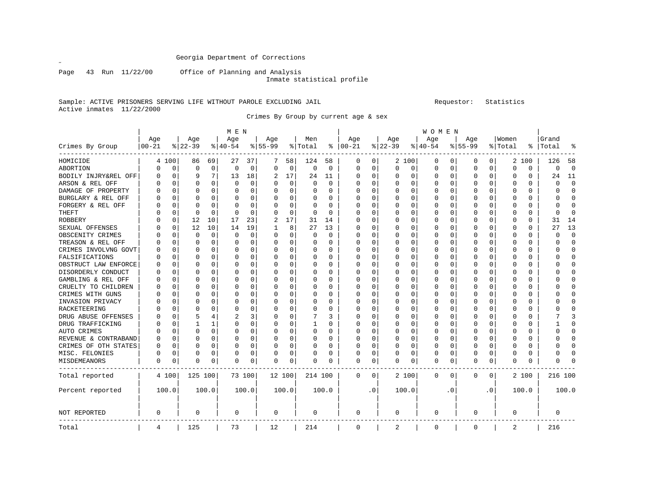Page 43 Run 11/22/00 Office of Planning and Analysis

Inmate statistical profile

### Sample: ACTIVE PRISONERS SERVING LIFE WITHOUT PAROLE EXCLUDING JAIL Requestor: Statistics Active inmates 11/22/2000

Crimes By Group by current age & sex

|                      |            |       |             |              | M E N    |          |                |             |              |             |          |             |              |             | W O M E N |     |             |                |          |          |          |                |
|----------------------|------------|-------|-------------|--------------|----------|----------|----------------|-------------|--------------|-------------|----------|-------------|--------------|-------------|-----------|-----|-------------|----------------|----------|----------|----------|----------------|
|                      | Age        |       | Age         |              | Age      |          | Age            |             | Men          |             | Age      |             | Age          |             | Age       |     | Age         |                | Women    |          | Grand    |                |
| Crimes By Group      | $ 00 - 21$ |       | $8$   22-39 |              | $ 40-54$ |          | $8 55-99$      |             | % Total      | ႜ           | $ 00-21$ |             | $8$   22-39  |             | $ 40-54$  |     | $8155 - 99$ |                | % Total  | ႜ        | Total    |                |
| HOMICIDE             | 4          | 100   | 86          | 69           | 27       | 37       | 7              | 58          | 124          | 58          | 0        | 0           |              | 2 100       | 0         | 0   | 0           | 0 <sup>1</sup> |          | 2 100    | 126      | 58             |
| ABORTION             | O          | 0     | $\Omega$    | $\mathbf 0$  | $\Omega$ | 0        | $\Omega$       | $\mathsf 0$ | $\mathbf 0$  | $\mathbf 0$ | 0        | $\mathbf 0$ | $\Omega$     | $\mathbf 0$ | 0         | 0   | $\Omega$    | $\mathbf 0$    | $\Omega$ | 0        | $\Omega$ | $\overline{0}$ |
| BODILY INJRY&REL OFF | N          | 0     |             | 7            | 13       | 18       | 2              | 17          | 24           | 11          | O        | 0           |              | $\Omega$    | 0         | 0   | $\Omega$    | 0              | 0        | 0        | 24       | 11             |
| ARSON & REL OFF      | U          | 0     | $\Omega$    | $\Omega$     | 0        | 0        | O              | 0           | 0            | $\Omega$    | O        | 0           | 0            | 0           | 0         | 0   | $\Omega$    | 0              | 0        | 0        | 0        | $\mathbf 0$    |
| DAMAGE OF PROPERTY   |            | O     | O           | 0            | 0        | 0        | U              | 0           | 0            | U           | C        | 0           |              | $\Omega$    | 0         | O   | O           | 0              | 0        | 0        | ი        | $\Omega$       |
| BURGLARY & REL OFF   |            | U     | $\cap$      | $\Omega$     | O        | 0        | U              | 0           | 0            | U           | O        | $\Omega$    | <sup>0</sup> | $\Omega$    | O         | O   | ∩           | $\Omega$       | $\Omega$ | 0        | U        | $\Omega$       |
| FORGERY & REL OFF    |            | O     | $\Omega$    | $\Omega$     | $\Omega$ | 0        | U              | 0           | 0            | $\Omega$    | C        | 0           | <sup>0</sup> | $\Omega$    | 0         | 0   | $\Omega$    | 0              | $\Omega$ | 0        | U        | $\Omega$       |
| THEFT                |            | 0     | $\Omega$    | $\Omega$     | $\Omega$ | $\Omega$ |                | $\mathbf 0$ | $\Omega$     | $\Omega$    | C        | $\Omega$    |              | $\Omega$    | 0         | 0   | 0           | $\Omega$       | 0        | 0        | 0        | <sup>0</sup>   |
| <b>ROBBERY</b>       |            | 0     | 12          | 10           | 17       | 23       | $\overline{a}$ | 17          | 31           | 14          | C        | $\Omega$    |              | $\Omega$    | 0         | 0   | $\Omega$    | $\Omega$       | $\Omega$ | $\Omega$ | 31       | 14             |
| SEXUAL OFFENSES      |            | 0     | 12          | 10           | 14       | 19       |                | 8           | 27           | 13          | U        | 0           | O            | $\Omega$    | 0         | O   | $\Omega$    | $\Omega$       | U        | 0        | 27       | 13             |
| OBSCENITY CRIMES     |            | O     | $\Omega$    | 0            | $\Omega$ | 0        | O              | 0           | 0            | $\Omega$    | C        | $\Omega$    |              | $\Omega$    | O         | O   | $\Omega$    | $\Omega$       | $\Omega$ | 0        | C        | $\Omega$       |
| TREASON & REL OFF    |            | O     | $\Omega$    | $\Omega$     | O        | 0        | O              | 0           | $\Omega$     | 0           | O        | $\Omega$    | O            | $\Omega$    | O         | O   | $\Omega$    | $\Omega$       | U        | 0        | O        | $\Omega$       |
| CRIMES INVOLVNG GOVT |            | O     | O           | $\Omega$     | O        | 0        | O              | 0           | 0            | $\Omega$    | 0        | $\Omega$    |              | $\Omega$    | O         | O   | O           | $\Omega$       | U        | U        | O        | <sup>0</sup>   |
| FALSIFICATIONS       |            | O     | O           | $\Omega$     | $\Omega$ | 0        | U              | $\mathbf 0$ | 0            | O           | C        | 0           |              | $\Omega$    | 0         | O   | O           | $\Omega$       | 0        | 0        | U        | $\Omega$       |
| OBSTRUCT LAW ENFORCE | U          | O     | $\cap$      | $\Omega$     | O        | 0        | O              | 0           | 0            | $\Omega$    | C        | 0           | <sup>0</sup> | $\Omega$    | 0         | O   | ∩           | 0              | U        | 0        | U        | <sup>0</sup>   |
| DISORDERLY CONDUCT   | U          | 0     | O           | $\Omega$     | O        | 0        | $\Omega$       | 0           | 0            | O           | O        | 0           |              | $\Omega$    | 0         | O   | $\Omega$    | $\Omega$       | U        | 0        | U        | <sup>0</sup>   |
| GAMBLING & REL OFF   |            | O     | $\Omega$    | $\Omega$     | $\Omega$ | 0        | $\Omega$       | $\mathbf 0$ | 0            | O           | O        | 0           |              | $\Omega$    | $\Omega$  | O   | O           | $\Omega$       | $\Omega$ | 0        |          | $\cap$         |
| CRUELTY TO CHILDREN  | U          | O     | n           | $\Omega$     | O        | 0        | O              | 0           | 0            | 0           | 0        | 0           | <sup>0</sup> | $\Omega$    | 0         | O   | $\Omega$    | $\Omega$       | U        | 0        | ∩        | ∩              |
| CRIMES WITH GUNS     |            | 0     | O           | $\Omega$     | 0        | 0        |                | $\mathbf 0$ | 0            | O           | 0        | 0           |              | 0           | 0         | 0   | O           | 0              | 0        | 0        | U        | Ω              |
| INVASION PRIVACY     |            | 0     | O           | $\Omega$     | 0        | $\Omega$ |                | $\mathbf 0$ | 0            | O           | C        | $\Omega$    |              | $\Omega$    | 0         | 0   | O           | $\Omega$       | $\Omega$ | $\Omega$ |          | $\cap$         |
| RACKETEERING         |            | 0     | $\cap$      | 0            | O        | $\Omega$ | O              | 0           | $\Omega$     | $\Omega$    | C        | 0           | 0            | $\Omega$    | 0         | 0   | $\Omega$    | $\Omega$       | U        | 0        |          | $\Omega$       |
| DRUG ABUSE OFFENSES  |            | 0     | 5           | 4            | 2        | 3        | U              | 0           | 7            | ς           | O        | 0           | O            | $\Omega$    | O         | O   | O           | $\Omega$       | U        | 0        |          | κ              |
| DRUG TRAFFICKING     |            | O     |             | $\mathbf{1}$ | $\Omega$ | 0        | O              | $\mathbf 0$ | $\mathbf{1}$ | U           | C        | $\Omega$    | <sup>0</sup> | $\Omega$    | O         | O   | ∩           | $\Omega$       | $\Omega$ | 0        |          | $\cap$         |
| AUTO CRIMES          |            | O     | $\Omega$    | $\Omega$     | O        | 0        | O              | 0           | 0            | $\Omega$    | 0        | $\Omega$    | <sup>0</sup> | $\Omega$    | 0         | O   | n           | $\Omega$       | U        | 0        | U        | ∩              |
| REVENUE & CONTRABAND | U          | 0     | O           | $\Omega$     | O        | 0        | O              | $\mathbf 0$ | 0            | U           | C        | 0           | 0            | 0           | 0         | 0   | 0           | $\Omega$       | 0        | 0        | ი        | Ω              |
| CRIMES OF OTH STATES | N          | 0     | O           | $\Omega$     | 0        | 0        | O              | 0           | 0            | $\Omega$    | C        | 0           |              | $\Omega$    | 0         | O   | $\Omega$    | 0              | 0        | 0        | U        | $\Omega$       |
| MISC. FELONIES       | 0          | 0     | $\Omega$    | 0            | 0        | 0        | O              | 0           | 0            | $\Omega$    | 0        | 0           | <sup>0</sup> | 0           | 0         | 0   | $\Omega$    | 0              | 0        | 0        | N        | <sup>0</sup>   |
| MISDEMEANORS         | 0          | 0     | 0           | 0            | 0        | 0        | $\Omega$       | 0           | 0            | 0           | 0        | 0           | 0            | 0           | 0         | 0   | $\mathbf 0$ | 0              | 0        | 0        | ი        | C              |
| Total reported       |            | 4 100 | 125 100     |              |          | 73 100   |                | 12 100      | 214 100      |             | $\Omega$ | 0           |              | 2 100       | 0         | 0   | $\Omega$    | 0 <sup>1</sup> |          | 2 100    | 216 100  |                |
| Percent reported     |            | 100.0 |             | 100.0        |          | 100.0    |                | 100.0       |              | 100.0       |          | . 0         |              | 100.0       |           | . 0 |             | . 0            |          | 100.0    |          | 100.0          |
| NOT REPORTED         | 0          |       | $\Omega$    |              | 0        |          | 0              |             | 0            |             | 0        |             | $\Omega$     |             | 0         |     | $\Omega$    |                | 0        |          | 0        |                |
| Total                | 4          |       | 125         |              | 73       |          | 12             |             | 214          |             | 0        |             | 2            |             | 0         |     | $\mathbf 0$ |                | 2        |          | 216      |                |

 $\overline{a}$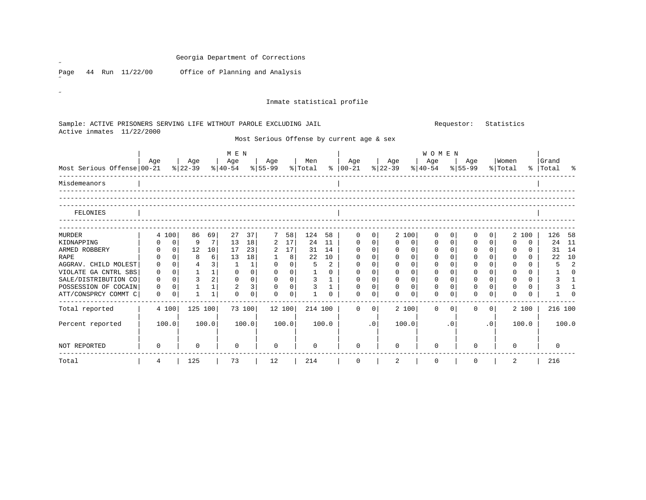|                                                                     |                               |                                 |                         |                                  | Inmate statistical profile                |              |                |                                |              |                |              |                |                                |              |    |
|---------------------------------------------------------------------|-------------------------------|---------------------------------|-------------------------|----------------------------------|-------------------------------------------|--------------|----------------|--------------------------------|--------------|----------------|--------------|----------------|--------------------------------|--------------|----|
|                                                                     |                               |                                 |                         |                                  |                                           |              |                |                                |              |                |              |                |                                |              |    |
| Sample: ACTIVE PRISONERS SERVING LIFE WITHOUT PAROLE EXCLUDING JAIL |                               |                                 |                         |                                  |                                           |              |                |                                |              | Requestor:     |              | Statistics     |                                |              |    |
| Active inmates 11/22/2000                                           |                               |                                 |                         |                                  |                                           |              |                |                                |              |                |              |                |                                |              |    |
|                                                                     |                               |                                 |                         |                                  | Most Serious Offense by current age & sex |              |                |                                |              |                |              |                |                                |              |    |
|                                                                     |                               |                                 | M E N                   |                                  |                                           |              |                |                                | <b>WOMEN</b> |                |              |                |                                |              |    |
|                                                                     | Aqe                           | Age                             | Age                     | Age                              | Men                                       | Age          |                | Age                            | Age          |                | Age          | Women          |                                | Grand        |    |
| Most Serious Offense 00-21                                          |                               | $ 22-39 $                       | $\frac{1}{6}$   40-54   | $8 55-99$                        | % Total %  00-21                          |              | $ 22-39 $      |                                | $ 40-54 $    | $8 55-99$      |              | % Total        |                                | %   Total    |    |
| Misdemeanors                                                        |                               |                                 |                         |                                  |                                           |              |                |                                |              |                |              |                |                                |              |    |
|                                                                     |                               |                                 |                         |                                  |                                           |              |                |                                |              |                |              |                |                                |              |    |
|                                                                     |                               |                                 |                         |                                  |                                           |              |                |                                |              |                |              |                |                                |              |    |
| FELONIES                                                            |                               |                                 |                         |                                  |                                           |              |                |                                |              |                |              |                |                                |              |    |
|                                                                     |                               |                                 |                         |                                  |                                           |              |                |                                |              |                |              |                |                                |              |    |
| MURDER                                                              | 4 100                         | 86<br>69                        | 27<br>37                | 7 <sup>7</sup><br>58             | 124<br>58                                 | 0            | $\overline{0}$ | 2 100                          | 0            | 0              | 0            | $\overline{0}$ | 2 100                          | 126          | 58 |
| KIDNAPPING                                                          | $\overline{0}$<br>$\mathbf 0$ | $7\phantom{.0}$<br>9            | 13<br>18                | $2 \quad 17$                     | 24<br>11                                  | $\mathsf{O}$ | $\overline{0}$ | 0 <sup>1</sup><br>$\mathbf 0$  | $\mathbf 0$  | 0 <sup>1</sup> | $\mathbf 0$  | 0 <sup>1</sup> | $\mathbf 0$<br>0               | 24 11        |    |
| ARMED ROBBERY                                                       | 0 <br>$\mathbf 0$             | 12<br>10                        | 17<br>23                | $2 \quad 17$                     | 31<br>14                                  | $\mathbf 0$  | 0              | 0 <br>$\mathbf 0$              | $\mathbf 0$  | 0 <sup>1</sup> | $\mathbb O$  | 0 <sup>1</sup> | $\overline{0}$<br>0            | 31 14        |    |
| <b>RAPE</b>                                                         | 0 <sup>1</sup><br>0           | 6 <br>8                         | 13<br>18                | $\mathbf{1}$<br>8                | 22<br>10                                  | $\mathbf 0$  | 0              | 0<br>$\mathbf 0$               | $\mathbf 0$  | 0 <sup>1</sup> | $\mathbf 0$  | 0 <sup>1</sup> | 0<br>$\overline{0}$            | 22           | 10 |
| AGGRAV. CHILD MOLEST                                                | 0 <sup>1</sup><br>$\mathbf 0$ | $\overline{4}$<br>$\frac{3}{2}$ | $\overline{1}$<br> 1    | $0 \qquad 0 \mid$                | 5<br>2                                    | $\mathbf{0}$ | 0              | $\mathsf{O}$<br>0 <sup>1</sup> | $\mathbf{0}$ | 0 <sup>1</sup> | $\mathbf 0$  | 0              | $\mathbf 0$<br>$\overline{0}$  | 5            |    |
| VIOLATE GA CNTRL SBS                                                | 0 <sup>1</sup><br>$\mathbf 0$ | $1 \quad 1$                     | 0 <br>$\overline{0}$    | $0 \qquad 0$                     | $\overline{1}$<br>$\mathsf{O}$            | $\mathbf 0$  | 0              | 0<br>$\mathsf{O}$              | $\mathbf{0}$ | 0 <sup>1</sup> | $\mathsf{O}$ | 0 <sup>1</sup> | $\overline{0}$<br>$\mathbf{0}$ | 1            |    |
| SALE/DISTRIBUTION CO                                                | 0 <sup>1</sup><br>$\Omega$    | $3 \mid 2 $                     | $0 \qquad 0 \mid$       | $0 \quad 0$                      | $\overline{3}$<br>1                       | $\mathbf 0$  | 0 <sup>1</sup> | 0 <sup>1</sup><br>$\mathbf 0$  | $\Omega$     | 0 <sup>1</sup> | $\mathbf 0$  | 0 <sup>1</sup> | $\Omega$<br>$\overline{0}$     | 3            |    |
| POSSESSION OF COCAIN                                                | 0 <sup>1</sup><br>$\Omega$    | $\mathbf{1}$<br>1               | 2<br>3                  | 0 <sup>1</sup><br>$\overline{0}$ | 3<br>$\mathbf{1}$                         | $\mathbf 0$  | $\overline{0}$ | 0 <sup>1</sup><br>$\mathbf{0}$ | $\mathbf 0$  | 0 <sup>1</sup> | $\mathbf 0$  | 0              | $\mathbf 0$<br>$\Omega$        | 3            |    |
| ATT/CONSPRCY COMMT C                                                | $\mathbf 0$<br>$\Omega$       | $\mathbf{1}$<br>1               | $\mathbf 0$<br>$\Omega$ | $\mathbf 0$<br>0 <sup>1</sup>    | $\mathbf{1}$<br>$\Omega$                  | $\Omega$     | $\mathbf 0$    | $\mathbf 0$<br>$\mathbf 0$     | $\Omega$     | $\overline{0}$ | $\mathbf 0$  | $\circ$        | $\Omega$<br>$\Omega$           | $\mathbf{1}$ |    |
| Total reported                                                      | 4 100                         | 125 100                         | 73 100                  | 12 100                           | 214 100                                   | $\mathbf 0$  | $\overline{0}$ | 2 100                          | $\Omega$     | 0 <sup>1</sup> | $\mathbf 0$  | 0 <sup>1</sup> | 2 100                          | 216 100      |    |
| Percent reported                                                    | 100.0                         | 100.0                           | 100.0                   | 100.0                            | 100.0                                     |              | $\cdot$ 0      | 100.0                          |              | $\cdot$ 0      |              | $\cdot$ 0      | 100.0                          | 100.0        |    |
|                                                                     |                               |                                 |                         |                                  |                                           |              |                |                                |              |                |              |                |                                |              |    |
| NOT REPORTED                                                        | 0                             | $\Omega$                        | $\Omega$                | $\Omega$                         | $\Omega$                                  | $\Omega$     |                | 0                              | $\Omega$     |                | $\Omega$     |                | $\Omega$                       | $\mathbf 0$  |    |
|                                                                     |                               |                                 |                         |                                  |                                           |              |                |                                |              |                |              |                |                                |              |    |
|                                                                     |                               |                                 | 73                      | 12                               |                                           |              |                |                                |              |                |              |                |                                |              |    |

 $\mathscr{B}^{\pm}$